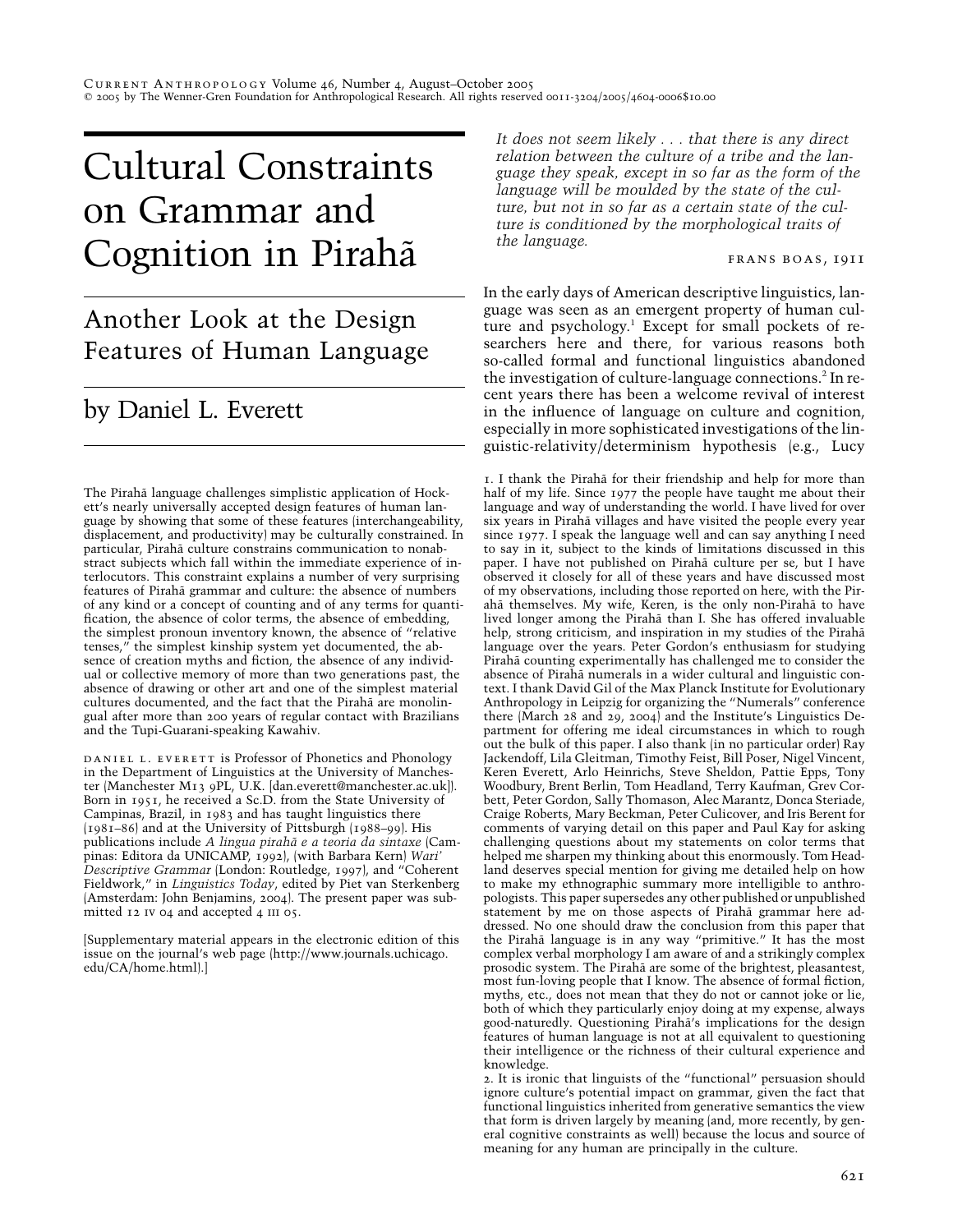# Cultural Constraints on Grammar and Cognition in Pirahã

# Another Look at the Design Features of Human Language

## by Daniel L. Everett

The Pirahã language challenges simplistic application of Hockett's nearly universally accepted design features of human language by showing that some of these features (interchangeability, displacement, and productivity) may be culturally constrained. In particular, Pirahã culture constrains communication to nonabstract subjects which fall within the immediate experience of interlocutors. This constraint explains a number of very surprising features of Pirahã grammar and culture: the absence of numbers of any kind or a concept of counting and of any terms for quantification, the absence of color terms, the absence of embedding, the simplest pronoun inventory known, the absence of "relative tenses," the simplest kinship system yet documented, the absence of creation myths and fiction, the absence of any individual or collective memory of more than two generations past, the absence of drawing or other art and one of the simplest material cultures documented, and the fact that the Pirahã are monolingual after more than 200 years of regular contact with Brazilians and the Tupi-Guarani-speaking Kawahiv.

DANIEL L. EVERETT is Professor of Phonetics and Phonology in the Department of Linguistics at the University of Manchester (Manchester M13 9PL, U.K. [dan.everett@manchester.ac.uk]). Born in 1951, he received a Sc.D. from the State University of Campinas, Brazil, in 1983 and has taught linguistics there (1981–86) and at the University of Pittsburgh (1988–99). His publications include *A lingua piraha˜ e a teoria da sintaxe* (Campinas: Editora da UNICAMP, 1992), (with Barbara Kern) *Wari' Descriptive Grammar* (London: Routledge, 1997), and "Coherent Fieldwork," in *Linguistics Today*, edited by Piet van Sterkenberg (Amsterdam: John Benjamins, 2004). The present paper was submitted 12 iv 04 and accepted 4 iii 05.

[Supplementary material appears in the electronic edition of this issue on the journal's web page (http://www.journals.uchicago. edu/CA/home.html).]

*It does not seem likely . . . that there is any direct relation between the culture of a tribe and the language they speak, except in so far as the form of the language will be moulded by the state of the culture, but not in so far as a certain state of the culture is conditioned by the morphological traits of the language.*

#### FRANS BOAS, 1911

In the early days of American descriptive linguistics, language was seen as an emergent property of human culture and psychology.<sup>1</sup> Except for small pockets of researchers here and there, for various reasons both so-called formal and functional linguistics abandoned the investigation of culture-language connections.<sup>2</sup> In recent years there has been a welcome revival of interest in the influence of language on culture and cognition, especially in more sophisticated investigations of the linguistic-relativity/determinism hypothesis (e.g., Lucy

1. I thank the Pirahã for their friendship and help for more than half of my life. Since 1977 the people have taught me about their language and way of understanding the world. I have lived for over six years in Pirahã villages and have visited the people every year since 1977. I speak the language well and can say anything I need to say in it, subject to the kinds of limitations discussed in this paper. I have not published on Pirahã culture per se, but I have observed it closely for all of these years and have discussed most of my observations, including those reported on here, with the Pirahã themselves. My wife, Keren, is the only non-Pirahã to have lived longer among the Pirahã than I. She has offered invaluable help, strong criticism, and inspiration in my studies of the Pirahã language over the years. Peter Gordon's enthusiasm for studying Pirahã counting experimentally has challenged me to consider the absence of Pirahã numerals in a wider cultural and linguistic context. I thank David Gil of the Max Planck Institute for Evolutionary Anthropology in Leipzig for organizing the "Numerals" conference there (March 28 and 29, 2004) and the Institute's Linguistics Department for offering me ideal circumstances in which to rough out the bulk of this paper. I also thank (in no particular order) Ray Jackendoff, Lila Gleitman, Timothy Feist, Bill Poser, Nigel Vincent, Keren Everett, Arlo Heinrichs, Steve Sheldon, Pattie Epps, Tony Woodbury, Brent Berlin, Tom Headland, Terry Kaufman, Grev Corbett, Peter Gordon, Sally Thomason, Alec Marantz, Donca Steriade, Craige Roberts, Mary Beckman, Peter Culicover, and Iris Berent for comments of varying detail on this paper and Paul Kay for asking challenging questions about my statements on color terms that helped me sharpen my thinking about this enormously. Tom Headland deserves special mention for giving me detailed help on how to make my ethnographic summary more intelligible to anthropologists. This paper supersedes any other published or unpublished statement by me on those aspects of Pirahã grammar here addressed. No one should draw the conclusion from this paper that the Pirahã language is in any way "primitive." It has the most complex verbal morphology I am aware of and a strikingly complex prosodic system. The Pirahã are some of the brightest, pleasantest, most fun-loving people that I know. The absence of formal fiction, myths, etc., does not mean that they do not or cannot joke or lie, both of which they particularly enjoy doing at my expense, always good-naturedly. Questioning Pirahã's implications for the design features of human language is not at all equivalent to questioning their intelligence or the richness of their cultural experience and knowledge.

2. It is ironic that linguists of the "functional" persuasion should ignore culture's potential impact on grammar, given the fact that functional linguistics inherited from generative semantics the view that form is driven largely by meaning (and, more recently, by general cognitive constraints as well) because the locus and source of meaning for any human are principally in the culture.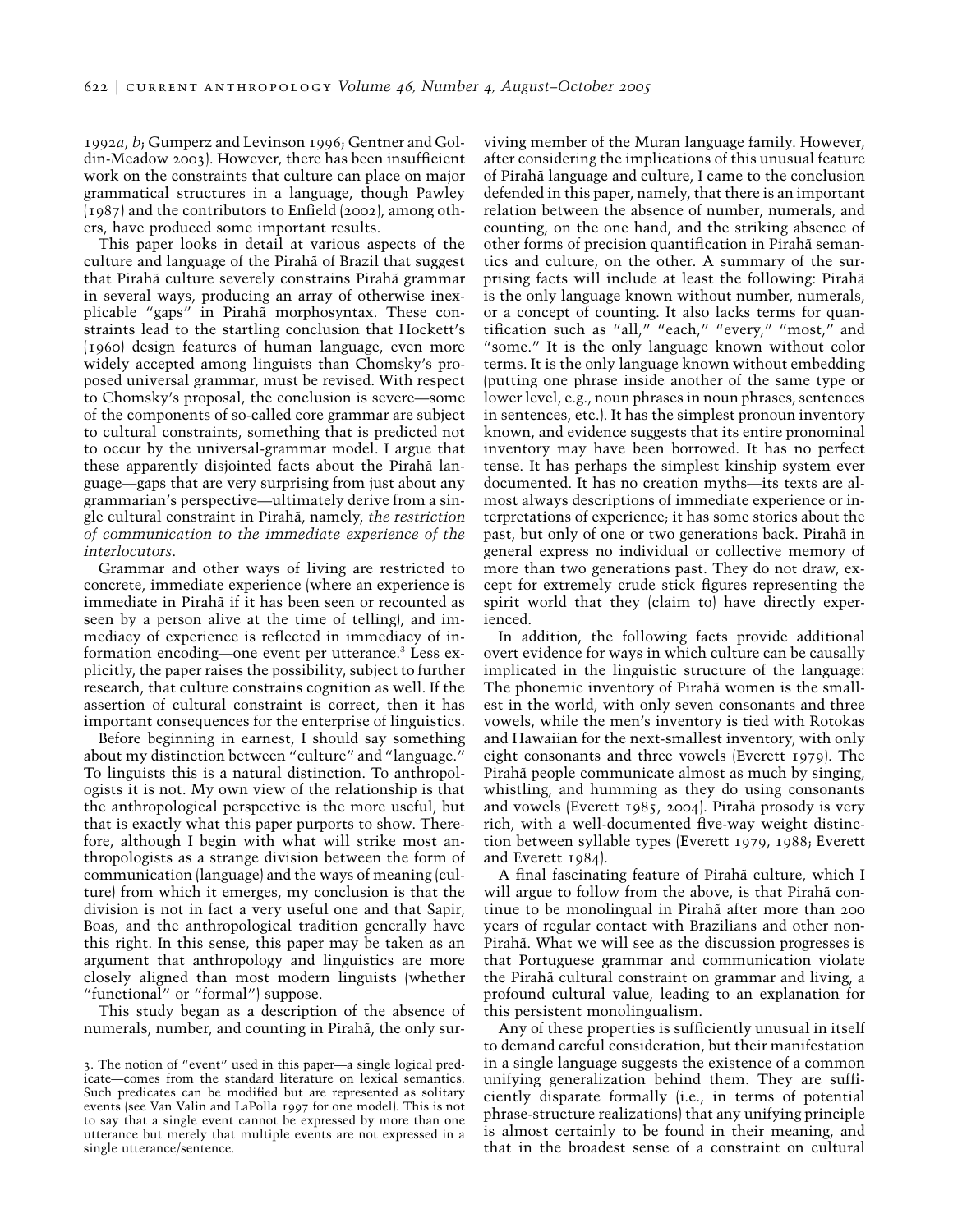1992*a*, *b*; Gumperz and Levinson 1996; Gentner and Goldin-Meadow 2003). However, there has been insufficient work on the constraints that culture can place on major grammatical structures in a language, though Pawley (1987) and the contributors to Enfield (2002), among others, have produced some important results.

This paper looks in detail at various aspects of the culture and language of the Piraha of Brazil that suggest that Pirahã culture severely constrains Pirahã grammar in several ways, producing an array of otherwise inexplicable "gaps" in Pirahã morphosyntax. These constraints lead to the startling conclusion that Hockett's (1960) design features of human language, even more widely accepted among linguists than Chomsky's proposed universal grammar, must be revised. With respect to Chomsky's proposal, the conclusion is severe—some of the components of so-called core grammar are subject to cultural constraints, something that is predicted not to occur by the universal-grammar model. I argue that these apparently disjointed facts about the Piraha language—gaps that are very surprising from just about any grammarian's perspective—ultimately derive from a single cultural constraint in Piraha˜, namely, *the restriction of communication to the immediate experience of the interlocutors*.

Grammar and other ways of living are restricted to concrete, immediate experience (where an experience is immediate in Pirahã if it has been seen or recounted as seen by a person alive at the time of telling), and immediacy of experience is reflected in immediacy of information encoding—one event per utterance.<sup>3</sup> Less explicitly, the paper raises the possibility, subject to further research, that culture constrains cognition as well. If the assertion of cultural constraint is correct, then it has important consequences for the enterprise of linguistics.

Before beginning in earnest, I should say something about my distinction between "culture" and "language." To linguists this is a natural distinction. To anthropologists it is not. My own view of the relationship is that the anthropological perspective is the more useful, but that is exactly what this paper purports to show. Therefore, although I begin with what will strike most anthropologists as a strange division between the form of communication (language) and the ways of meaning (culture) from which it emerges, my conclusion is that the division is not in fact a very useful one and that Sapir, Boas, and the anthropological tradition generally have this right. In this sense, this paper may be taken as an argument that anthropology and linguistics are more closely aligned than most modern linguists (whether "functional" or "formal") suppose.

This study began as a description of the absence of numerals, number, and counting in Pirahã, the only surviving member of the Muran language family. However, after considering the implications of this unusual feature of Pirahã language and culture, I came to the conclusion defended in this paper, namely, that there is an important relation between the absence of number, numerals, and counting, on the one hand, and the striking absence of other forms of precision quantification in Pirahã semantics and culture, on the other. A summary of the surprising facts will include at least the following: Pirah $\tilde{a}$ is the only language known without number, numerals, or a concept of counting. It also lacks terms for quantification such as "all," "each," "every," "most," and "some." It is the only language known without color terms. It is the only language known without embedding (putting one phrase inside another of the same type or lower level, e.g., noun phrases in noun phrases, sentences in sentences, etc.). It has the simplest pronoun inventory known, and evidence suggests that its entire pronominal inventory may have been borrowed. It has no perfect tense. It has perhaps the simplest kinship system ever documented. It has no creation myths—its texts are almost always descriptions of immediate experience or interpretations of experience; it has some stories about the past, but only of one or two generations back. Pirahã in general express no individual or collective memory of more than two generations past. They do not draw, except for extremely crude stick figures representing the spirit world that they (claim to) have directly experienced.

In addition, the following facts provide additional overt evidence for ways in which culture can be causally implicated in the linguistic structure of the language: The phonemic inventory of Piraha women is the smallest in the world, with only seven consonants and three vowels, while the men's inventory is tied with Rotokas and Hawaiian for the next-smallest inventory, with only eight consonants and three vowels (Everett 1979). The Pirahã people communicate almost as much by singing, whistling, and humming as they do using consonants and vowels (Everett 1985, 2004). Pirahã prosody is very rich, with a well-documented five-way weight distinction between syllable types (Everett 1979, 1988; Everett and Everett 1984).

A final fascinating feature of Pirahã culture, which I will argue to follow from the above, is that Pirahã continue to be monolingual in Pirahã after more than 200 years of regular contact with Brazilians and other non-Pirahã. What we will see as the discussion progresses is that Portuguese grammar and communication violate the Pirahã cultural constraint on grammar and living, a profound cultural value, leading to an explanation for this persistent monolingualism.

Any of these properties is sufficiently unusual in itself to demand careful consideration, but their manifestation in a single language suggests the existence of a common unifying generalization behind them. They are sufficiently disparate formally (i.e., in terms of potential phrase-structure realizations) that any unifying principle is almost certainly to be found in their meaning, and that in the broadest sense of a constraint on cultural

<sup>3.</sup> The notion of "event" used in this paper—a single logical predicate—comes from the standard literature on lexical semantics. Such predicates can be modified but are represented as solitary events (see Van Valin and LaPolla 1997 for one model). This is not to say that a single event cannot be expressed by more than one utterance but merely that multiple events are not expressed in a single utterance/sentence.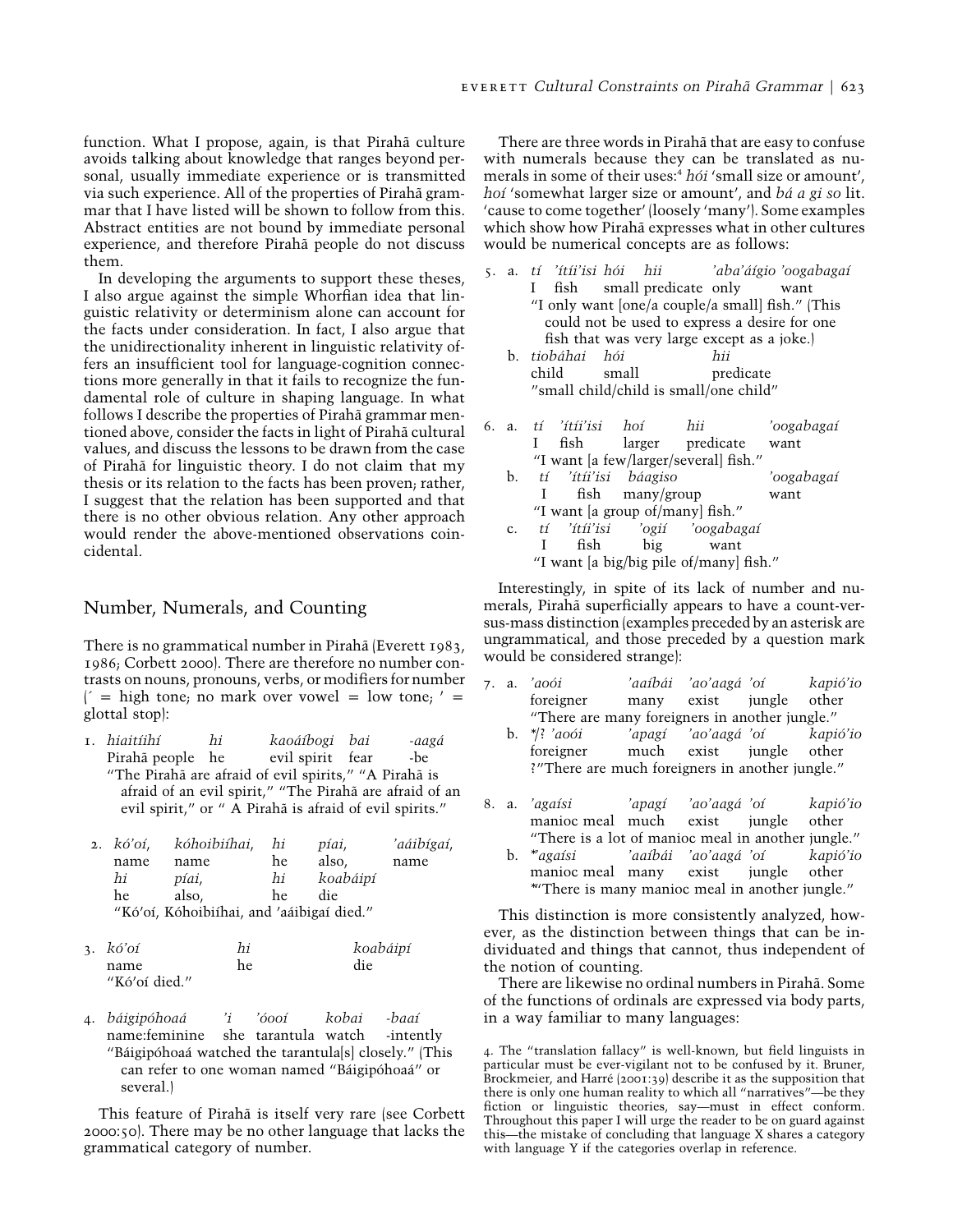function. What I propose, again, is that Pirahã culture avoids talking about knowledge that ranges beyond personal, usually immediate experience or is transmitted via such experience. All of the properties of Pirahã grammar that I have listed will be shown to follow from this. Abstract entities are not bound by immediate personal experience, and therefore Piraha people do not discuss them.

In developing the arguments to support these theses, I also argue against the simple Whorfian idea that linguistic relativity or determinism alone can account for the facts under consideration. In fact, I also argue that the unidirectionality inherent in linguistic relativity offers an insufficient tool for language-cognition connections more generally in that it fails to recognize the fundamental role of culture in shaping language. In what follows I describe the properties of Pirahã grammar mentioned above, consider the facts in light of Pirahã cultural values, and discuss the lessons to be drawn from the case of Pirahã for linguistic theory. I do not claim that my thesis or its relation to the facts has been proven; rather, I suggest that the relation has been supported and that there is no other obvious relation. Any other approach would render the above-mentioned observations coincidental.

#### Number, Numerals, and Counting

There is no grammatical number in Pirahã (Everett 1983, 1986; Corbett 2000). There are therefore no number contrasts on nouns, pronouns, verbs, or modifiers for number  $\gamma$  = high tone; no mark over vowel = low tone;  $\gamma$  = glottal stop):

1. *hiaitíihí* hi kaoáíbogi bai -aagá Pirahã people he evil spirit fear -be "The Pirahã are afraid of evil spirits," "A Pirahã is afraid of an evil spirit," "The Pirahã are afraid of an evil spirit," or " A Pirahã is afraid of evil spirits."

| 2. $k\acute{o}$ oi,                       | kóhoibiíhai. | hi | píai,    | 'aáibígaí, |  |
|-------------------------------------------|--------------|----|----------|------------|--|
| name                                      | name         | he | also,    | name       |  |
| hi                                        | píai,        | hi | koabáipí |            |  |
| he                                        | also,        | he | die      |            |  |
| "Kó'oí, Kóhoibiíhai, and 'aáibigaí died." |              |    |          |            |  |

| $3. k'$ oí    | hi | koabáipí |
|---------------|----|----------|
| name.         | he | die      |
| "Kó'oí died." |    |          |

4. *ba´igipo´hoaa´ 'i 'o´ ooı´ kobai -baaı´* name:feminine she tarantula watch -intently "Báigipóhoaá watched the tarantula[s] closely." (This can refer to one woman named "Báigipóhoaá" or several.)

This feature of Pirahã is itself very rare (see Corbett 2000:50). There may be no other language that lacks the grammatical category of number.

There are three words in Pirahã that are easy to confuse with numerals because they can be translated as numerals in some of their uses:<sup>4</sup> *hot* 'small size or amount', *hoı´* 'somewhat larger size or amount', and *ba´ a gi so* lit. 'cause to come together' (loosely 'many'). Some examples which show how Pirahã expresses what in other cultures would be numerical concepts are as follows:

5. a. *tı´ 'ı´tı´i'isi ho´i hii 'aba'a´ ı´gio 'oogabagaı´* I fish small predicate only want "I only want [one/a couple/a small] fish." (This could not be used to express a desire for one fish that was very large except as a joke.) b. *tioba´ hai ho´i hii* child small predicate "small child/child is small/one child"

| 6. a.                                   |                                       | tí 'ítíi'isi hoí     |                 | hii              | 'oogabagaí |  |
|-----------------------------------------|---------------------------------------|----------------------|-----------------|------------------|------------|--|
|                                         |                                       | fish                 |                 | larger predicate | want       |  |
|                                         | "I want [a few/larger/several] fish." |                      |                 |                  |            |  |
| b.                                      |                                       | tí 'ítíi'isi báagiso |                 |                  | 'oogabagaí |  |
|                                         |                                       |                      | fish many/group |                  | want       |  |
|                                         | "I want [a group of/many] fish."      |                      |                 |                  |            |  |
| c.                                      |                                       | tí ′ítíi'isi         |                 | 'ogií 'oogabagaí |            |  |
|                                         |                                       | fish                 | big             | want             |            |  |
| "I want [a big/big pile of/many] fish." |                                       |                      |                 |                  |            |  |

Interestingly, in spite of its lack of number and numerals, Pirahã superficially appears to have a count-versus-mass distinction (examples preceded by an asterisk are ungrammatical, and those preceded by a question mark would be considered strange):

- 7. a. *'aoói 'aaibái 'ao'aagá 'oi* kapió'io<br>foreigner many exist jungle other foreigner many exist jungle other "There are many foreigners in another jungle."
	- b.  $\frac{1}{2}$  '*aoói* /? *'aoo´i 'apagı´ 'ao'aaga´ 'oı´ kapio´ 'io* foreigner much exist jungle other ?"There are much foreigners in another jungle."
- 8. a. *'agaı´si 'apagı´ 'ao'aaga´ 'oı´ kapio´ 'io* manioc meal much exist jungle other "There is a lot of manioc meal in another jungle."
	- b. \*'agaísi *'agaı´si 'aaı´ba´ i 'ao'aaga´ 'oı´ kapio´ 'io* manioc meal many exist jungle other ∗ "There is many manioc meal in another jungle."

This distinction is more consistently analyzed, however, as the distinction between things that can be individuated and things that cannot, thus independent of the notion of counting.

There are likewise no ordinal numbers in Pirahã. Some of the functions of ordinals are expressed via body parts, in a way familiar to many languages:

4. The "translation fallacy" is well-known, but field linguists in particular must be ever-vigilant not to be confused by it. Bruner, Brockmeier, and Harré (2001:39) describe it as the supposition that there is only one human reality to which all "narratives"—be they fiction or linguistic theories, say—must in effect conform. Throughout this paper I will urge the reader to be on guard against this—the mistake of concluding that language X shares a category with language Y if the categories overlap in reference.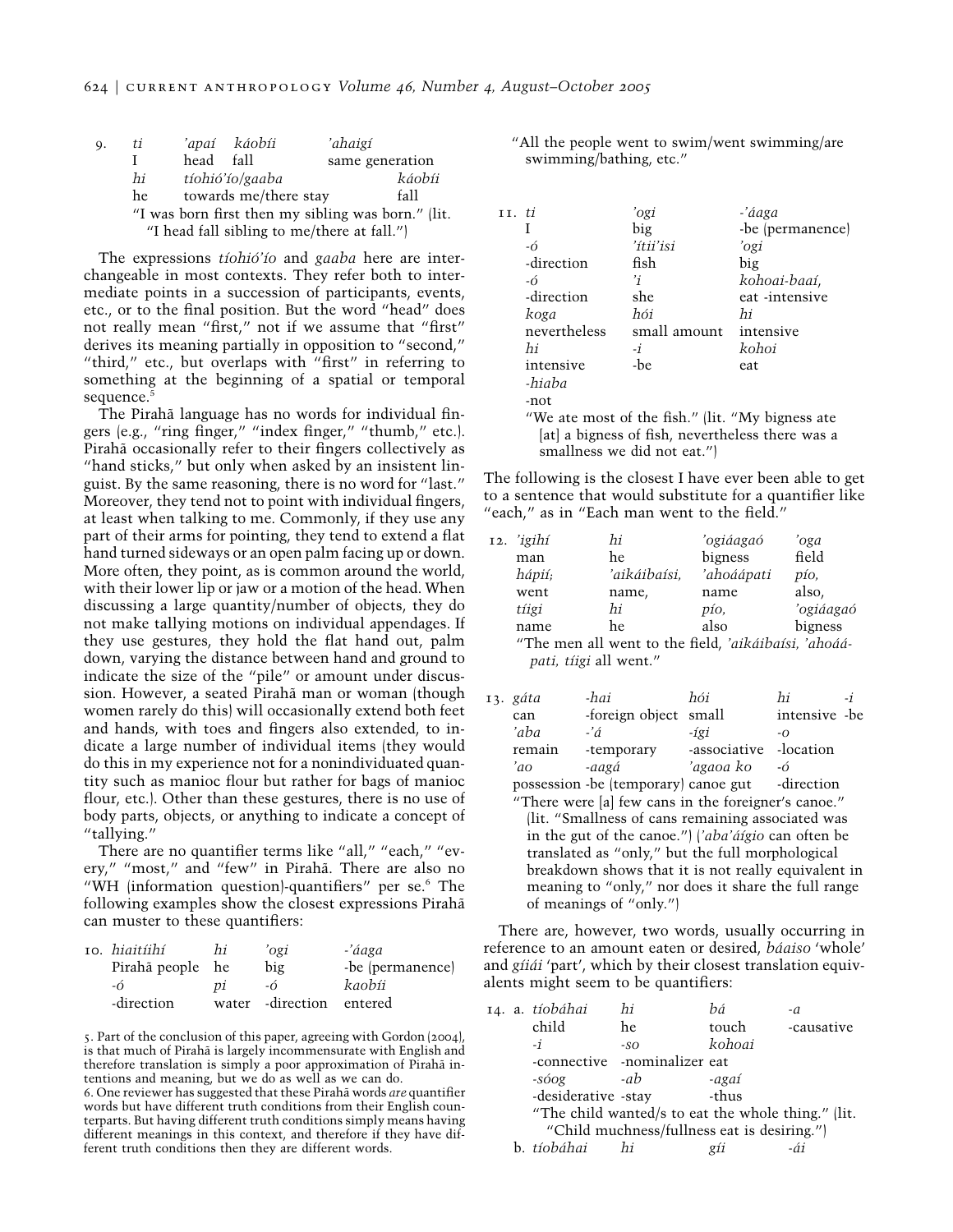| $Q_{\bullet}$                                      | ti |      | 'apaí káobíi          | 'ahaigí                                    |                 |
|----------------------------------------------------|----|------|-----------------------|--------------------------------------------|-----------------|
|                                                    |    | head | fall                  |                                            | same generation |
|                                                    | hi |      | tíohió'ío/gaaba       |                                            | káobíi          |
|                                                    | he |      | towards me/there stay |                                            | fall            |
| "I was born first then my sibling was born." (lit. |    |      |                       |                                            |                 |
|                                                    |    |      |                       | "I head fall sibling to me/there at fall." |                 |

The expressions *tiohio'io* and *gaaba* here are interchangeable in most contexts. They refer both to intermediate points in a succession of participants, events, etc., or to the final position. But the word "head" does not really mean "first," not if we assume that "first" derives its meaning partially in opposition to "second," "third," etc., but overlaps with "first" in referring to something at the beginning of a spatial or temporal sequence.<sup>5</sup>

The Pirahã language has no words for individual fingers (e.g., "ring finger," "index finger," "thumb," etc.). Pirahã occasionally refer to their fingers collectively as "hand sticks," but only when asked by an insistent linguist. By the same reasoning, there is no word for "last." Moreover, they tend not to point with individual fingers, at least when talking to me. Commonly, if they use any part of their arms for pointing, they tend to extend a flat hand turned sideways or an open palm facing up or down. More often, they point, as is common around the world, with their lower lip or jaw or a motion of the head. When discussing a large quantity/number of objects, they do not make tallying motions on individual appendages. If they use gestures, they hold the flat hand out, palm down, varying the distance between hand and ground to indicate the size of the "pile" or amount under discussion. However, a seated Pirahã man or woman (though women rarely do this) will occasionally extend both feet and hands, with toes and fingers also extended, to indicate a large number of individual items (they would do this in my experience not for a nonindividuated quantity such as manioc flour but rather for bags of manioc flour, etc.). Other than these gestures, there is no use of body parts, objects, or anything to indicate a concept of "tallving."

There are no quantifier terms like "all," "each," "every," "most," and "few" in Pirahã. There are also no "WH (information question)-quantifiers" per se. $6$  The following examples show the closest expressions Pirahã can muster to these quantifiers:

| 10. <i>hiaitíihí</i> | hi | 'ogi                     | -'áaga           |
|----------------------|----|--------------------------|------------------|
| Pirahã people he     |    | big                      | -be (permanence) |
| -ó                   | n1 | -Ò                       | kaobíi           |
| -direction           |    | water -direction entered |                  |

5. Part of the conclusion of this paper, agreeing with Gordon (2004), is that much of Pirahã is largely incommensurate with English and therefore translation is simply a poor approximation of Pirahã intentions and meaning, but we do as well as we can do.

6. One reviewer has suggested that these Piraha˜ words *are* quantifier words but have different truth conditions from their English counterparts. But having different truth conditions simply means having different meanings in this context, and therefore if they have different truth conditions then they are different words.

"All the people went to swim/went swimming/are swimming/bathing, etc."

| II. ti |                                                  | 'ogi         | -'áaga           |  |  |  |
|--------|--------------------------------------------------|--------------|------------------|--|--|--|
|        |                                                  | big          | -be (permanence) |  |  |  |
|        | -ó                                               | 'ítii'isi    | 'ogi             |  |  |  |
|        | -direction                                       | fish         | big              |  |  |  |
|        | -ó                                               | 'i           | kohoai-baaí,     |  |  |  |
|        | -direction                                       | she          | eat -intensive   |  |  |  |
|        | koga                                             | hói          | hi               |  |  |  |
|        | nevertheless                                     | small amount | intensive        |  |  |  |
|        | hi                                               | $-i$         | kohoi            |  |  |  |
|        | intensive                                        | -be          | eat              |  |  |  |
|        | -hiaba                                           |              |                  |  |  |  |
|        | -not                                             |              |                  |  |  |  |
|        | "We ate most of the fish." (lit. "My bigness ate |              |                  |  |  |  |
|        | [at] a bigness of fish, nevertheless there was a |              |                  |  |  |  |
|        | smallness we did not eat."                       |              |                  |  |  |  |

The following is the closest I have ever been able to get to a sentence that would substitute for a quantifier like "each," as in "Each man went to the field."

| 12. 'igihí                                           | hi           | 'ogiáagaó  | 'oga      |  |  |
|------------------------------------------------------|--------------|------------|-----------|--|--|
| man                                                  | he           | bigness    | field     |  |  |
| hápií;                                               | 'aikáibaísi, | 'ahoáápati | pío,      |  |  |
| went                                                 | name,        | name       | also,     |  |  |
| tíigi                                                | hi           | pío,       | 'ogiáagaó |  |  |
| name                                                 | he           | also       | bigness   |  |  |
| "The men all went to the field, 'aikáibaísi, 'ahoáá- |              |            |           |  |  |
| pati, tíigi all went."                               |              |            |           |  |  |

| I3.                                               | gáta                                                | -hai                                                | hói                    | hi            |  |  |  |
|---------------------------------------------------|-----------------------------------------------------|-----------------------------------------------------|------------------------|---------------|--|--|--|
|                                                   | can                                                 | -foreign object                                     | small                  | intensive -be |  |  |  |
|                                                   | 'aba                                                | $\cdot'$ á                                          | -ígi                   | $-0$          |  |  |  |
|                                                   | remain                                              | -temporary                                          | -associative -location |               |  |  |  |
|                                                   | 'ao                                                 | -aagá                                               | 'agaoa ko              | -ó            |  |  |  |
| possession - be (temporary) canoe gut - direction |                                                     |                                                     |                        |               |  |  |  |
|                                                   |                                                     | "There were [a] few cans in the foreigner's canoe." |                        |               |  |  |  |
|                                                   |                                                     | (lit. "Smallness of cans remaining associated was   |                        |               |  |  |  |
|                                                   |                                                     | in the gut of the canoe.") ('aba'áígio can often be |                        |               |  |  |  |
|                                                   |                                                     | translated as "only," but the full morphological    |                        |               |  |  |  |
|                                                   | breakdown shows that it is not really equivalent in |                                                     |                        |               |  |  |  |
|                                                   | meaning to "only," nor does it share the full range |                                                     |                        |               |  |  |  |
|                                                   |                                                     | of meanings of "only.")                             |                        |               |  |  |  |
|                                                   |                                                     |                                                     |                        |               |  |  |  |

There are, however, two words, usually occurring in reference to an amount eaten or desired, *báaiso* 'whole' and *gíiái* 'part', which by their closest translation equivalents might seem to be quantifiers:

|                                                    | 14. a. tíobáhai     | hi                                          | há     | $-a$       |  |
|----------------------------------------------------|---------------------|---------------------------------------------|--------|------------|--|
|                                                    | child               | he                                          | touch  | -causative |  |
|                                                    | $-i$                | $-SO$                                       | kohoai |            |  |
|                                                    |                     | -connective -nominalizer eat                |        |            |  |
|                                                    | -sóog               | $-ab$                                       | -agaí  |            |  |
|                                                    | -desiderative -stay |                                             | -thus  |            |  |
| "The child wanted/s to eat the whole thing." (lit. |                     |                                             |        |            |  |
|                                                    |                     | "Child muchness/fullness eat is desiring.") |        |            |  |
|                                                    | b. tíobáhai         |                                             | gíi    |            |  |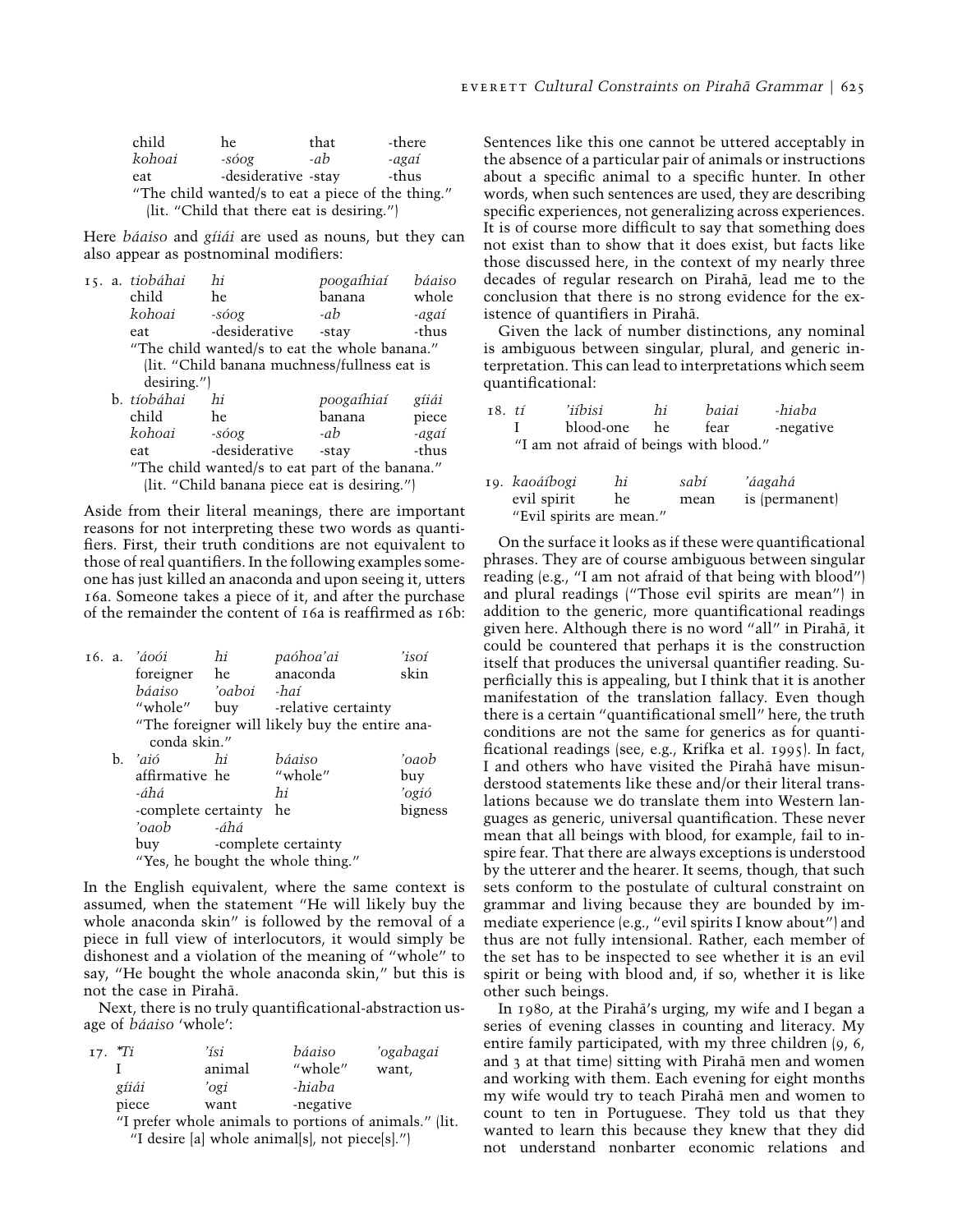| child                                             | he       | that                | -there |  |  |
|---------------------------------------------------|----------|---------------------|--------|--|--|
| kohoai                                            | $-$ sóog | $-ah$               | -agaí  |  |  |
| eat                                               |          | -desiderative -stay | -thus  |  |  |
| "The child wanted/s to eat a piece of the thing." |          |                     |        |  |  |
| (lit. "Child that there eat is desiring.")        |          |                     |        |  |  |

Here *báaiso* and *gíiái* are used as nouns, but they can also appear as postnominal modifiers:

|                                                 |                                               | 15. a. tiobáhai | hi                                           | poogaíhiaí | báaiso |  |
|-------------------------------------------------|-----------------------------------------------|-----------------|----------------------------------------------|------------|--------|--|
|                                                 |                                               | child           | he                                           | banana     | whole  |  |
|                                                 |                                               | kohoai          | $-$ sóog                                     | -ab        | -agaí  |  |
|                                                 |                                               | eat             | -desiderative                                | -stay      | -thus  |  |
|                                                 | "The child wanted/s to eat the whole banana." |                 |                                              |            |        |  |
|                                                 |                                               |                 | (lit. "Child banana muchness/fullness eat is |            |        |  |
|                                                 |                                               | design.'        |                                              |            |        |  |
|                                                 |                                               | b. tíobáhai     | hi                                           | poogaíhiaí | gíiái  |  |
|                                                 |                                               | child           | he                                           | banana     | piece  |  |
|                                                 |                                               | kohoai          | $-$ sóog                                     | -ab        | -agaí  |  |
|                                                 |                                               | eat             | -desiderative                                | -stay      | -thus  |  |
| "The child wanted/s to eat part of the banana." |                                               |                 |                                              |            |        |  |
|                                                 | (lit. "Child banana piece eat is desiring.")  |                 |                                              |            |        |  |

Aside from their literal meanings, there are important reasons for not interpreting these two words as quantifiers. First, their truth conditions are not equivalent to those of real quantifiers. In the following examples someone has just killed an anaconda and upon seeing it, utters 16a. Someone takes a piece of it, and after the purchase of the remainder the content of 16a is reaffirmed as 16b:

| 16. a. | 'áoói                                          | hi   | paóhoa'ai               | 'isoí   |  |  |
|--------|------------------------------------------------|------|-------------------------|---------|--|--|
|        | foreigner he                                   |      | anaconda                | skin    |  |  |
|        | báaiso 'oaboi -haí                             |      |                         |         |  |  |
|        | "whole"                                        |      | buy -relative certainty |         |  |  |
|        | "The foreigner will likely buy the entire ana- |      |                         |         |  |  |
|        | conda skin."                                   |      |                         |         |  |  |
|        | b. $'ai\acute{o}$                              | hi   | <i>báaiso</i>           | 'oaob   |  |  |
|        | affirmative he                                 |      | "whole"                 | buy     |  |  |
|        | -áhá                                           |      | hi                      | 'ogió   |  |  |
|        | -complete certainty he                         |      |                         | bigness |  |  |
|        | 'oaob                                          | -áhá |                         |         |  |  |
|        | buy                                            |      | -complete certainty     |         |  |  |
|        | "Yes, he bought the whole thing."              |      |                         |         |  |  |

In the English equivalent, where the same context is assumed, when the statement "He will likely buy the whole anaconda skin" is followed by the removal of a piece in full view of interlocutors, it would simply be dishonest and a violation of the meaning of "whole" to say, "He bought the whole anaconda skin," but this is not the case in Pirahã.

Next, there is no truly quantificational-abstraction usage of *ba´aiso* 'whole':

| $17.$ Ti | 'ísi                                                   | báaiso    | 'ogabagai |
|----------|--------------------------------------------------------|-----------|-----------|
|          | animal                                                 | "whole"   | want,     |
| gíiái    | 'ogi                                                   | -hiaba    |           |
| piece    | want                                                   | -negative |           |
|          | "I prefer whole animals to portions of animals." (lit. |           |           |

"I desire [a] whole animal[s], not piece[s].")

Sentences like this one cannot be uttered acceptably in the absence of a particular pair of animals or instructions about a specific animal to a specific hunter. In other words, when such sentences are used, they are describing specific experiences, not generalizing across experiences. It is of course more difficult to say that something does not exist than to show that it does exist, but facts like those discussed here, in the context of my nearly three decades of regular research on Pirahã, lead me to the conclusion that there is no strong evidence for the existence of quantifiers in Pirahã.

Given the lack of number distinctions, any nominal is ambiguous between singular, plural, and generic interpretation. This can lead to interpretations which seem quantificational:

| 18. tí | 'iíbisi                                 | hi | haiai | -hiaba    |
|--------|-----------------------------------------|----|-------|-----------|
|        | blood-one he                            |    | fear  | -negative |
|        | "I am not afraid of beings with blood." |    |       |           |

|                          | 19. kaoáíbogi | hi | sabí | 'áagahá        |
|--------------------------|---------------|----|------|----------------|
|                          | evil spirit   | he | mean | is (permanent) |
| "Evil spirits are mean." |               |    |      |                |

On the surface it looks as if these were quantificational phrases. They are of course ambiguous between singular reading (e.g., "I am not afraid of that being with blood") and plural readings ("Those evil spirits are mean") in addition to the generic, more quantificational readings given here. Although there is no word "all" in Pirahã, it could be countered that perhaps it is the construction itself that produces the universal quantifier reading. Superficially this is appealing, but I think that it is another manifestation of the translation fallacy. Even though there is a certain "quantificational smell" here, the truth conditions are not the same for generics as for quantificational readings (see, e.g., Krifka et al. 1995). In fact, I and others who have visited the Pirahã have misunderstood statements like these and/or their literal translations because we do translate them into Western languages as generic, universal quantification. These never mean that all beings with blood, for example, fail to inspire fear. That there are always exceptions is understood by the utterer and the hearer. It seems, though, that such sets conform to the postulate of cultural constraint on grammar and living because they are bounded by immediate experience (e.g., "evil spirits I know about") and thus are not fully intensional. Rather, each member of the set has to be inspected to see whether it is an evil spirit or being with blood and, if so, whether it is like other such beings.

In 1980, at the Piraha<sup>'</sup>s urging, my wife and I began a series of evening classes in counting and literacy. My entire family participated, with my three children (9, 6, and 3 at that time) sitting with Pirahã men and women and working with them. Each evening for eight months my wife would try to teach Pirahã men and women to count to ten in Portuguese. They told us that they wanted to learn this because they knew that they did not understand nonbarter economic relations and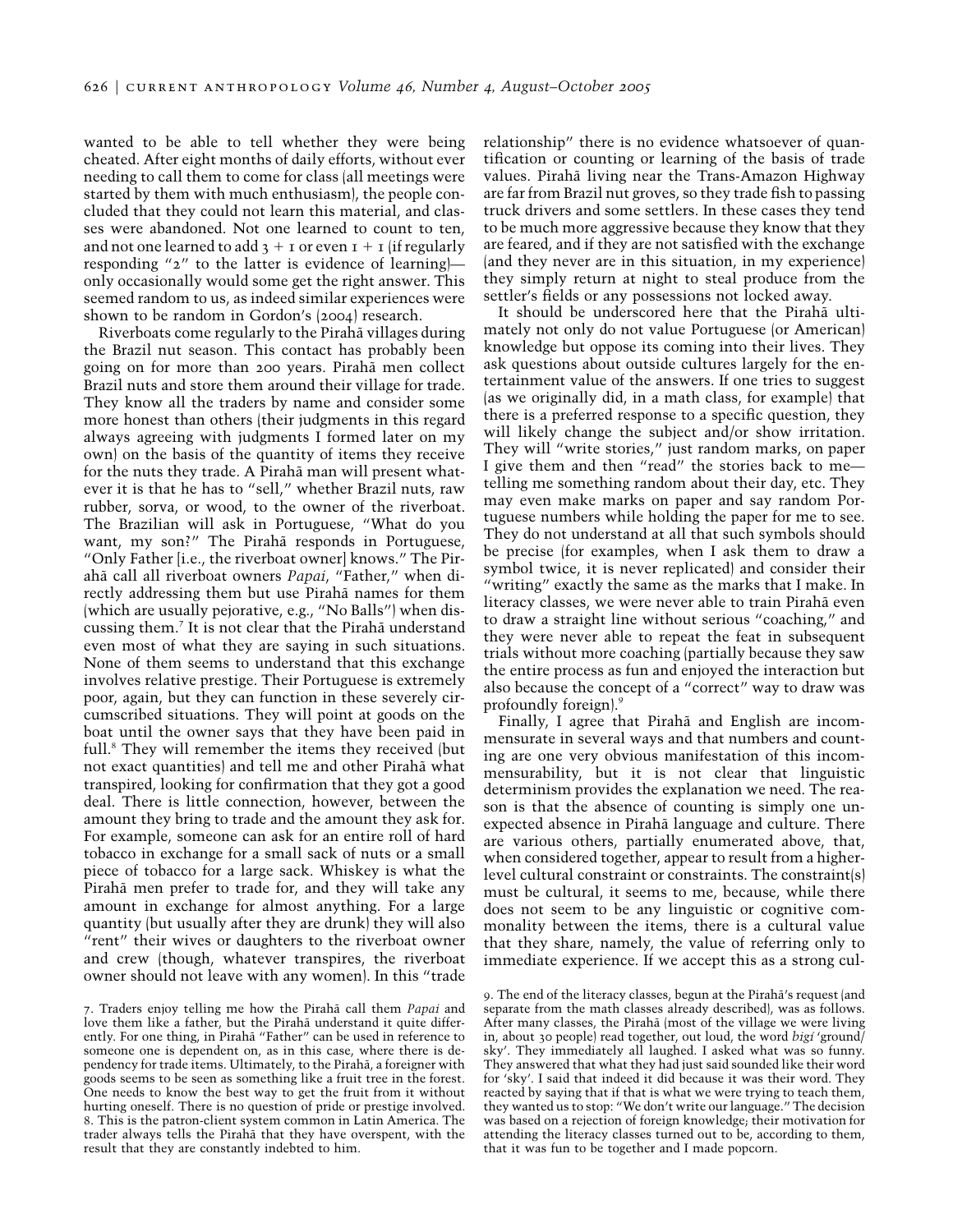wanted to be able to tell whether they were being cheated. After eight months of daily efforts, without ever needing to call them to come for class (all meetings were started by them with much enthusiasm), the people concluded that they could not learn this material, and classes were abandoned. Not one learned to count to ten, and not one learned to add  $3 + i$  or even  $1 + i$  (if regularly responding "2" to the latter is evidence of learning) only occasionally would some get the right answer. This seemed random to us, as indeed similar experiences were shown to be random in Gordon's (2004) research.

Riverboats come regularly to the Pirahã villages during the Brazil nut season. This contact has probably been going on for more than 200 years. Pirahã men collect Brazil nuts and store them around their village for trade. They know all the traders by name and consider some more honest than others (their judgments in this regard always agreeing with judgments I formed later on my own) on the basis of the quantity of items they receive for the nuts they trade. A Pirahã man will present whatever it is that he has to "sell," whether Brazil nuts, raw rubber, sorva, or wood, to the owner of the riverboat. The Brazilian will ask in Portuguese, "What do you want, my son?" The Pirahã responds in Portuguese, "Only Father [i.e., the riverboat owner] knows." The Pirahã call all riverboat owners *Papai*, "Father," when directly addressing them but use Pirahã names for them (which are usually pejorative, e.g., "No Balls") when discussing them.<sup>7</sup> It is not clear that the Piraha understand even most of what they are saying in such situations. None of them seems to understand that this exchange involves relative prestige. Their Portuguese is extremely poor, again, but they can function in these severely circumscribed situations. They will point at goods on the boat until the owner says that they have been paid in full.8 They will remember the items they received (but not exact quantities) and tell me and other Pirahã what transpired, looking for confirmation that they got a good deal. There is little connection, however, between the amount they bring to trade and the amount they ask for. For example, someone can ask for an entire roll of hard tobacco in exchange for a small sack of nuts or a small piece of tobacco for a large sack. Whiskey is what the Pirahã men prefer to trade for, and they will take any amount in exchange for almost anything. For a large quantity (but usually after they are drunk) they will also "rent" their wives or daughters to the riverboat owner and crew (though, whatever transpires, the riverboat owner should not leave with any women). In this "trade relationship" there is no evidence whatsoever of quantification or counting or learning of the basis of trade values. Pirahã living near the Trans-Amazon Highway are far from Brazil nut groves, so they trade fish to passing truck drivers and some settlers. In these cases they tend to be much more aggressive because they know that they are feared, and if they are not satisfied with the exchange (and they never are in this situation, in my experience) they simply return at night to steal produce from the settler's fields or any possessions not locked away.

It should be underscored here that the Pirahã ultimately not only do not value Portuguese (or American) knowledge but oppose its coming into their lives. They ask questions about outside cultures largely for the entertainment value of the answers. If one tries to suggest (as we originally did, in a math class, for example) that there is a preferred response to a specific question, they will likely change the subject and/or show irritation. They will "write stories," just random marks, on paper I give them and then "read" the stories back to me telling me something random about their day, etc. They may even make marks on paper and say random Portuguese numbers while holding the paper for me to see. They do not understand at all that such symbols should be precise (for examples, when I ask them to draw a symbol twice, it is never replicated) and consider their "writing" exactly the same as the marks that I make. In literacy classes, we were never able to train Pirahã even to draw a straight line without serious "coaching," and they were never able to repeat the feat in subsequent trials without more coaching (partially because they saw the entire process as fun and enjoyed the interaction but also because the concept of a "correct" way to draw was profoundly foreign).9

Finally, I agree that Pirahã and English are incommensurate in several ways and that numbers and counting are one very obvious manifestation of this incommensurability, but it is not clear that linguistic determinism provides the explanation we need. The reason is that the absence of counting is simply one unexpected absence in Piraha language and culture. There are various others, partially enumerated above, that, when considered together, appear to result from a higherlevel cultural constraint or constraints. The constraint(s) must be cultural, it seems to me, because, while there does not seem to be any linguistic or cognitive commonality between the items, there is a cultural value that they share, namely, the value of referring only to immediate experience. If we accept this as a strong cul-

<sup>7.</sup> Traders enjoy telling me how the Pirahã call them *Papai* and love them like a father, but the Pirahã understand it quite differently. For one thing, in Piraha "Father" can be used in reference to someone one is dependent on, as in this case, where there is dependency for trade items. Ultimately, to the Pirahã, a foreigner with goods seems to be seen as something like a fruit tree in the forest. One needs to know the best way to get the fruit from it without hurting oneself. There is no question of pride or prestige involved. 8. This is the patron-client system common in Latin America. The trader always tells the Pirahã that they have overspent, with the result that they are constantly indebted to him.

<sup>9.</sup> The end of the literacy classes, begun at the Piraha's request (and separate from the math classes already described), was as follows. After many classes, the Pirahã (most of the village we were living in, about 30 people) read together, out loud, the word *bigı´* 'ground/ sky'. They immediately all laughed. I asked what was so funny. They answered that what they had just said sounded like their word for 'sky'. I said that indeed it did because it was their word. They reacted by saying that if that is what we were trying to teach them, they wanted us to stop: "We don't write our language." The decision was based on a rejection of foreign knowledge; their motivation for attending the literacy classes turned out to be, according to them, that it was fun to be together and I made popcorn.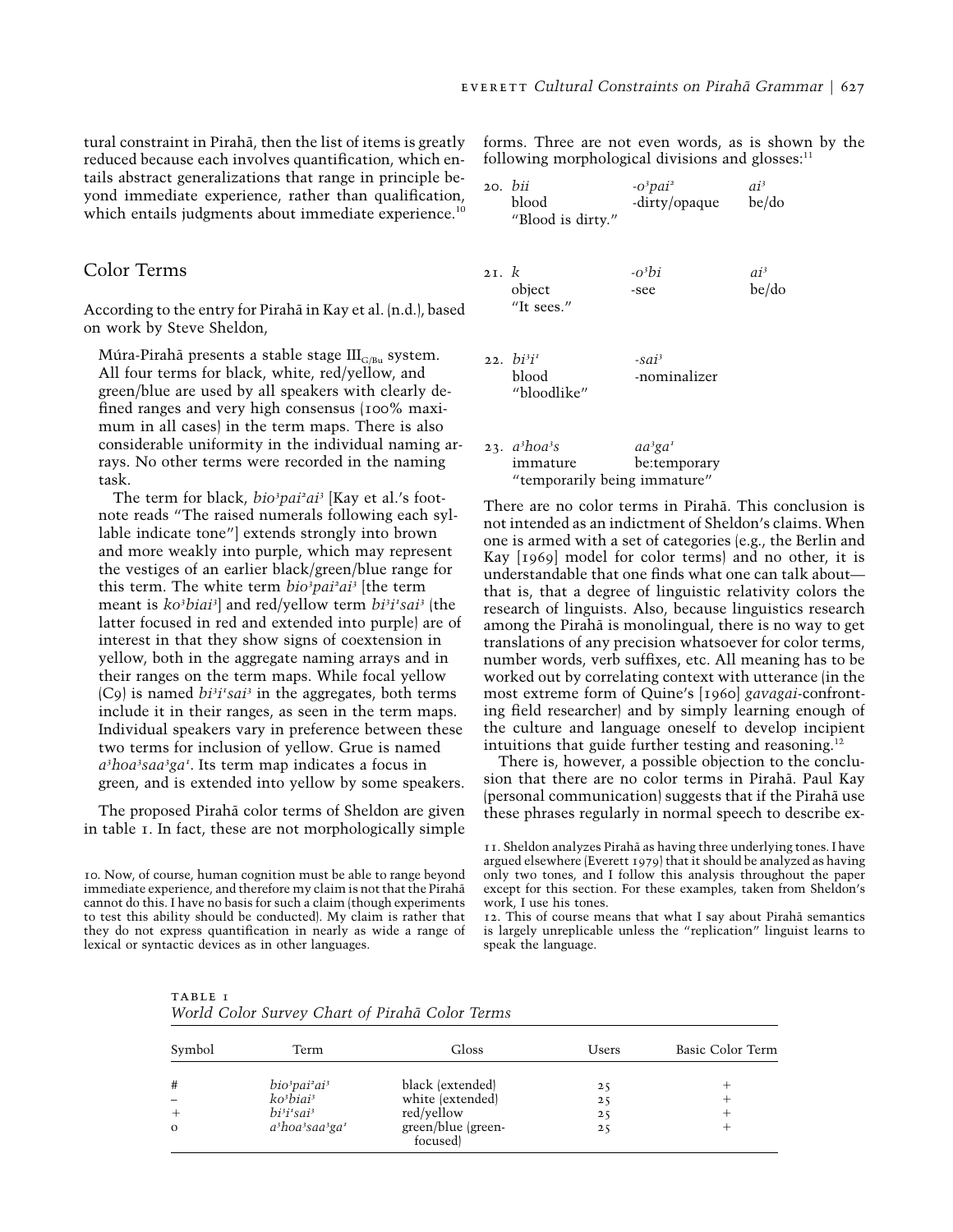tural constraint in Pirahã, then the list of items is greatly reduced because each involves quantification, which entails abstract generalizations that range in principle beyond immediate experience, rather than qualification, which entails judgments about immediate experience.<sup>10</sup>

#### Color Terms

According to the entry for Pirahã in Kay et al. (n.d.), based on work by Steve Sheldon,

Múra-Pirahã presents a stable stage  $III_{\text{G/Bu}}$  system. All four terms for black, white, red/yellow, and green/blue are used by all speakers with clearly defined ranges and very high consensus (100% maximum in all cases) in the term maps. There is also considerable uniformity in the individual naming arrays. No other terms were recorded in the naming task.

The term for black, *bio*<sup>3</sup> *pai*<sup>2</sup> *ai*<sup>3</sup> [Kay et al.'s footnote reads "The raised numerals following each syllable indicate tone"] extends strongly into brown and more weakly into purple, which may represent the vestiges of an earlier black/green/blue range for this term. The white term *bio*<sup>3</sup> *pai*<sup>2</sup> *ai*<sup>3</sup> [the term meant is *ko*<sup>3</sup> *biai*<sup>3</sup> ] and red/yellow term *bi*<sup>3</sup> *i* 1 *sai*<sup>3</sup> (the latter focused in red and extended into purple) are of interest in that they show signs of coextension in yellow, both in the aggregate naming arrays and in their ranges on the term maps. While focal yellow (C<sub>9</sub>) is named *bi*<sup>3</sup>*i*<sup>1</sup>sa*i*<sup>3</sup> in the aggregates, both terms include it in their ranges, as seen in the term maps. Individual speakers vary in preference between these two terms for inclusion of yellow. Grue is named *a*3 *hoa*<sup>3</sup> *saa*<sup>3</sup> *ga*<sup>1</sup> . Its term map indicates a focus in green, and is extended into yellow by some speakers.

The proposed Pirahã color terms of Sheldon are given in table 1. In fact, these are not morphologically simple

10. Now, of course, human cognition must be able to range beyond immediate experience, and therefore my claim is not that the Pirahã cannot do this. I have no basis for such a claim (though experiments to test this ability should be conducted). My claim is rather that they do not express quantification in nearly as wide a range of lexical or syntactic devices as in other languages.

forms. Three are not even words, as is shown by the following morphological divisions and glosses: $11$ 

|       | $20.$ $bii$<br>blood<br>"Blood is dirty."                        | $-o3 pai2$<br>-dirty/opaque    | $a_i$ <sup>3</sup><br>be/do |
|-------|------------------------------------------------------------------|--------------------------------|-----------------------------|
| 2I. k | object<br>"It sees."                                             | $-o^3bi$<br>-see               | $a_i$ <sup>3</sup><br>be/do |
|       | 22. $bi^{3}i^{1}$<br>blood<br>"bloodlike"                        | $-sai3$<br>-nominalizer        |                             |
|       | 23. $a^3$ ho $a^3$ s<br>immature<br>"temporarily being immature" | $aa^3$ g $a^1$<br>be:temporary |                             |

There are no color terms in Pirahã. This conclusion is not intended as an indictment of Sheldon's claims. When one is armed with a set of categories (e.g., the Berlin and Kay [1969] model for color terms) and no other, it is understandable that one finds what one can talk about that is, that a degree of linguistic relativity colors the research of linguists. Also, because linguistics research among the Pirahã is monolingual, there is no way to get translations of any precision whatsoever for color terms, number words, verb suffixes, etc. All meaning has to be worked out by correlating context with utterance (in the most extreme form of Quine's [1960] *gavagai*-confronting field researcher) and by simply learning enough of the culture and language oneself to develop incipient intuitions that guide further testing and reasoning.<sup>12</sup>

There is, however, a possible objection to the conclusion that there are no color terms in Pirahã. Paul Kay (personal communication) suggests that if the Piraha use these phrases regularly in normal speech to describe ex-

12. This of course means that what I say about Pirahã semantics is largely unreplicable unless the "replication" linguist learns to speak the language.

TABLE I *World Color Survey Chart of Piraha˜ Color Terms*

| Symbol   | Term                                    | Gloss                          | Users    | Basic Color Term |
|----------|-----------------------------------------|--------------------------------|----------|------------------|
| #        | $bio3pa2ai3$                            | black (extended)               |          |                  |
|          | ko <sup>3</sup> biai <sup>3</sup>       | white (extended)               | 25<br>25 |                  |
|          | $bi3ir sai3$                            | red/yellow                     | 25       |                  |
| $\Omega$ | $a^3$ ho $a^3$ sa $a^3$ ga <sup>r</sup> | green/blue (green-<br>focused) | 25       |                  |

<sup>11.</sup> Sheldon analyzes Pirahã as having three underlying tones. I have argued elsewhere (Everett 1979) that it should be analyzed as having only two tones, and I follow this analysis throughout the paper except for this section. For these examples, taken from Sheldon's work, I use his tones.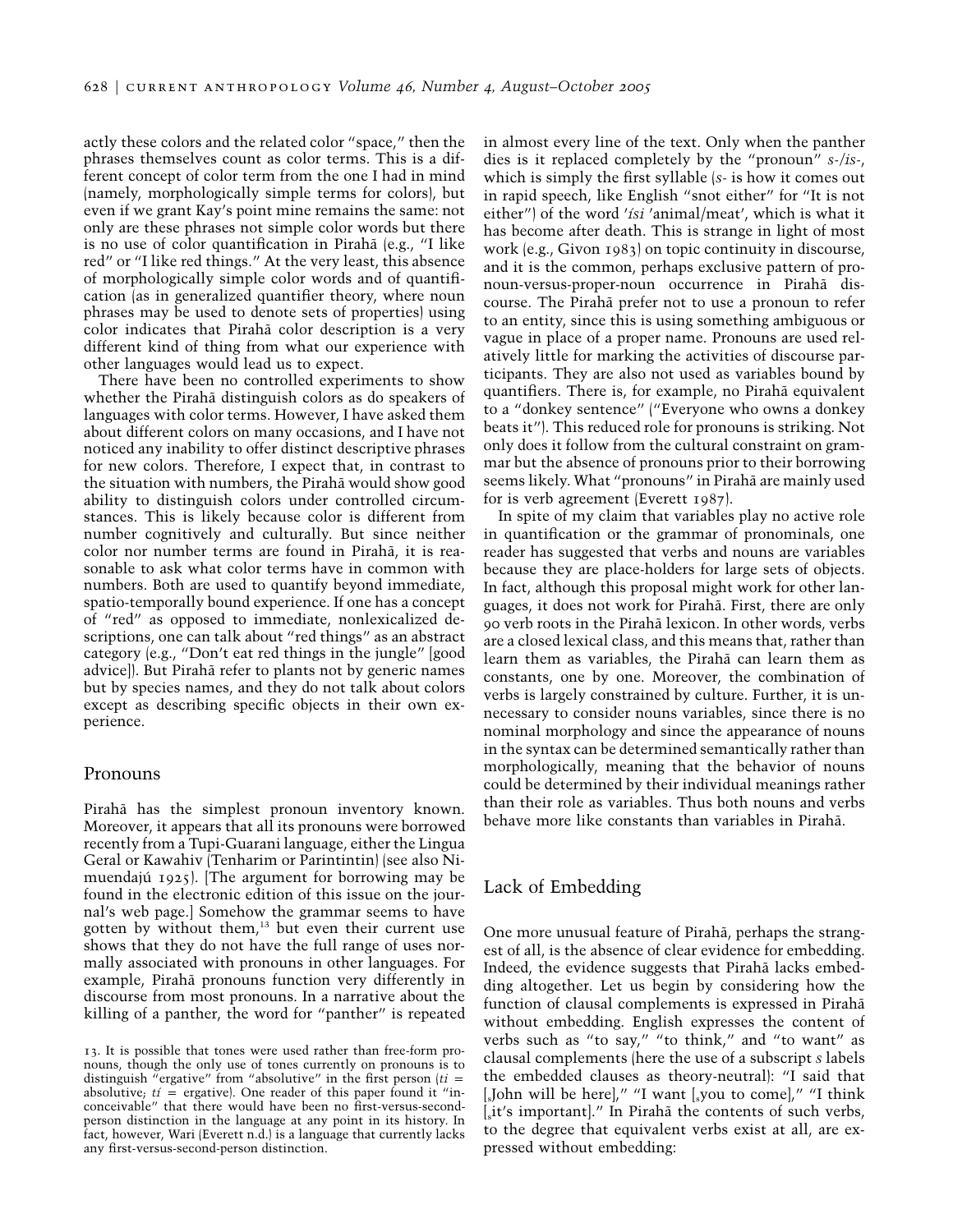actly these colors and the related color "space," then the phrases themselves count as color terms. This is a different concept of color term from the one I had in mind (namely, morphologically simple terms for colors), but even if we grant Kay's point mine remains the same: not only are these phrases not simple color words but there is no use of color quantification in Pirahã (e.g., "I like red" or "I like red things." At the very least, this absence of morphologically simple color words and of quantification (as in generalized quantifier theory, where noun phrases may be used to denote sets of properties) using color indicates that Pirahã color description is a very different kind of thing from what our experience with other languages would lead us to expect.

There have been no controlled experiments to show whether the Piraha distinguish colors as do speakers of languages with color terms. However, I have asked them about different colors on many occasions, and I have not noticed any inability to offer distinct descriptive phrases for new colors. Therefore, I expect that, in contrast to the situation with numbers, the Piraha would show good ability to distinguish colors under controlled circumstances. This is likely because color is different from number cognitively and culturally. But since neither color nor number terms are found in Pirahã, it is reasonable to ask what color terms have in common with numbers. Both are used to quantify beyond immediate, spatio-temporally bound experience. If one has a concept of "red" as opposed to immediate, nonlexicalized descriptions, one can talk about "red things" as an abstract category (e.g., "Don't eat red things in the jungle" [good advice]). But Pirahã refer to plants not by generic names but by species names, and they do not talk about colors except as describing specific objects in their own experience.

#### Pronouns

Pirahã has the simplest pronoun inventory known. Moreover, it appears that all its pronouns were borrowed recently from a Tupi-Guarani language, either the Lingua Geral or Kawahiv (Tenharim or Parintintin) (see also Nimuendajú 1925). [The argument for borrowing may be found in the electronic edition of this issue on the journal's web page.] Somehow the grammar seems to have gotten by without them,<sup>13</sup> but even their current use shows that they do not have the full range of uses normally associated with pronouns in other languages. For example, Pirahã pronouns function very differently in discourse from most pronouns. In a narrative about the killing of a panther, the word for "panther" is repeated in almost every line of the text. Only when the panther dies is it replaced completely by the "pronoun" *s-/is-*, which is simply the first syllable (*s-* is how it comes out in rapid speech, like English "snot either" for "It is not either") of the word '*isi* 'animal/meat', which is what it has become after death. This is strange in light of most work (e.g., Givon 1983) on topic continuity in discourse, and it is the common, perhaps exclusive pattern of pronoun-versus-proper-noun occurrence in Pirahã discourse. The Pirahã prefer not to use a pronoun to refer to an entity, since this is using something ambiguous or vague in place of a proper name. Pronouns are used relatively little for marking the activities of discourse participants. They are also not used as variables bound by quantifiers. There is, for example, no Pirahã equivalent to a "donkey sentence" ("Everyone who owns a donkey beats it"). This reduced role for pronouns is striking. Not only does it follow from the cultural constraint on grammar but the absence of pronouns prior to their borrowing seems likely. What "pronouns" in Pirahã are mainly used for is verb agreement (Everett 1987).

In spite of my claim that variables play no active role in quantification or the grammar of pronominals, one reader has suggested that verbs and nouns are variables because they are place-holders for large sets of objects. In fact, although this proposal might work for other languages, it does not work for Pirahã. First, there are only 90 verb roots in the Pirahã lexicon. In other words, verbs are a closed lexical class, and this means that, rather than learn them as variables, the Pirahã can learn them as constants, one by one. Moreover, the combination of verbs is largely constrained by culture. Further, it is unnecessary to consider nouns variables, since there is no nominal morphology and since the appearance of nouns in the syntax can be determined semantically rather than morphologically, meaning that the behavior of nouns could be determined by their individual meanings rather than their role as variables. Thus both nouns and verbs behave more like constants than variables in Pirahã.

#### Lack of Embedding

One more unusual feature of Pirahã, perhaps the strangest of all, is the absence of clear evidence for embedding. Indeed, the evidence suggests that Pirahã lacks embedding altogether. Let us begin by considering how the function of clausal complements is expressed in Pirahã without embedding. English expresses the content of verbs such as "to say," "to think," and "to want" as clausal complements (here the use of a subscript *s* labels the embedded clauses as theory-neutral): "I said that [sJohn will be here]," "I want [syou to come]," "I think ["it's important]." In Pirahã the contents of such verbs, to the degree that equivalent verbs exist at all, are expressed without embedding:

<sup>13.</sup> It is possible that tones were used rather than free-form pronouns, though the only use of tones currently on pronouns is to distinguish "ergative" from "absolutive" in the first person  $|ti|$ absolutive;  $t_i$ <sup> $\dot{=}$ </sup> ergative). One reader of this paper found it "inconceivable" that there would have been no first-versus-secondperson distinction in the language at any point in its history. In fact, however, Wari (Everett n.d.) is a language that currently lacks any first-versus-second-person distinction.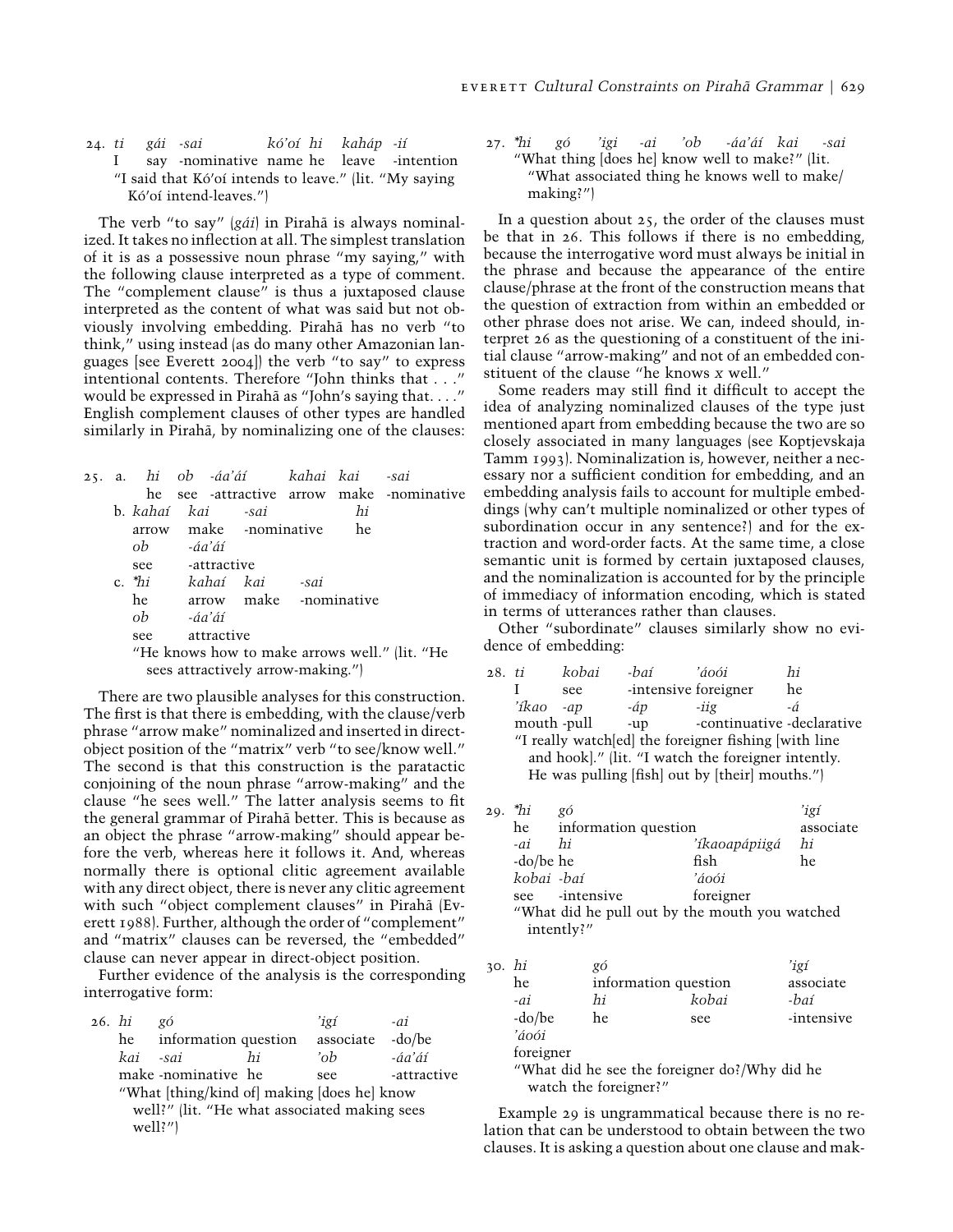24. *ti ga´ i -sai ko´'oı´ hi kaha´ p -iı´* I say -nominative name he leave -intention "I said that Kó'oí intends to leave." (lit. "My saying Kó'oí intend-leaves.")

The verb "to say" (gái) in Pirahã is always nominalized. It takes no inflection at all. The simplest translation of it is as a possessive noun phrase "my saying," with the following clause interpreted as a type of comment. The "complement clause" is thus a juxtaposed clause interpreted as the content of what was said but not obviously involving embedding. Pirahã has no verb "to think," using instead (as do many other Amazonian languages [see Everett 2004]) the verb "to say" to express intentional contents. Therefore "John thinks that . . ." would be expressed in Pirahã as "John's saying that. . . ." English complement clauses of other types are handled similarly in Pirahã, by nominalizing one of the clauses:

|                                   |                                               |                              |  |  |  |                           | 25. a. hi ob -áa'áí kahai kai -sai |                                          |
|-----------------------------------|-----------------------------------------------|------------------------------|--|--|--|---------------------------|------------------------------------|------------------------------------------|
|                                   |                                               |                              |  |  |  |                           |                                    | he see attractive arrow make -nominative |
|                                   |                                               | b. kahaí kai -sai            |  |  |  |                           | hi                                 |                                          |
|                                   |                                               |                              |  |  |  | arrow make -nominative he |                                    |                                          |
|                                   |                                               | ob -áa'áí                    |  |  |  |                           |                                    |                                          |
|                                   |                                               | see -attractive              |  |  |  |                           |                                    |                                          |
|                                   |                                               | c. <i>*hi</i> kahaí kai -sai |  |  |  |                           |                                    |                                          |
|                                   |                                               |                              |  |  |  |                           | he arrow make -nominative          |                                          |
|                                   |                                               | ob -áa'áí                    |  |  |  |                           |                                    |                                          |
|                                   |                                               | see attractive               |  |  |  |                           |                                    |                                          |
|                                   | "He knows how to make arrows well." (lit. "He |                              |  |  |  |                           |                                    |                                          |
| sees attractively arrow-making.") |                                               |                              |  |  |  |                           |                                    |                                          |

There are two plausible analyses for this construction. The first is that there is embedding, with the clause/verb phrase "arrow make" nominalized and inserted in directobject position of the "matrix" verb "to see/know well." The second is that this construction is the paratactic conjoining of the noun phrase "arrow-making" and the clause "he sees well." The latter analysis seems to fit the general grammar of Pirahã better. This is because as an object the phrase "arrow-making" should appear before the verb, whereas here it follows it. And, whereas normally there is optional clitic agreement available with any direct object, there is never any clitic agreement with such "object complement clauses" in Pirahã (Everett 1988). Further, although the order of "complement" and "matrix" clauses can be reversed, the "embedded" clause can never appear in direct-object position.

Further evidence of the analysis is the corresponding interrogative form:

| 26. hi |                                             | gó                                           |    | 'igí      | -ai         |  |  |
|--------|---------------------------------------------|----------------------------------------------|----|-----------|-------------|--|--|
|        | he                                          | information question                         |    | associate | -do/be      |  |  |
|        | kai                                         | $-sai$                                       | hi | 'ob       | -áa'áí      |  |  |
|        |                                             | make -nominative he                          |    | see       | -attractive |  |  |
|        | "What [thing/kind of] making [does he] know |                                              |    |           |             |  |  |
|        |                                             | well?" (lit. "He what associated making sees |    |           |             |  |  |
|        |                                             | well?")                                      |    |           |             |  |  |

27. <sup>∗</sup> *hi go´ 'igi -ai 'ob -a´a'a´ ı´ kai -sai* "What thing [does he] know well to make?" (lit. "What associated thing he knows well to make/ making?")

In a question about 25, the order of the clauses must be that in 26. This follows if there is no embedding, because the interrogative word must always be initial in the phrase and because the appearance of the entire clause/phrase at the front of the construction means that the question of extraction from within an embedded or other phrase does not arise. We can, indeed should, interpret 26 as the questioning of a constituent of the initial clause "arrow-making" and not of an embedded constituent of the clause "he knows *x* well."

Some readers may still find it difficult to accept the idea of analyzing nominalized clauses of the type just mentioned apart from embedding because the two are so closely associated in many languages (see Koptjevskaja Tamm 1993). Nominalization is, however, neither a necessary nor a sufficient condition for embedding, and an embedding analysis fails to account for multiple embeddings (why can't multiple nominalized or other types of subordination occur in any sentence?) and for the extraction and word-order facts. At the same time, a close semantic unit is formed by certain juxtaposed clauses, and the nominalization is accounted for by the principle of immediacy of information encoding, which is stated in terms of utterances rather than clauses.

Other "subordinate" clauses similarly show no evidence of embedding:

| 28.ti |                                                      | kobai  | -haí                 | 'áoói                                              | hi |  |  |
|-------|------------------------------------------------------|--------|----------------------|----------------------------------------------------|----|--|--|
|       |                                                      | see    | -intensive foreigner |                                                    | he |  |  |
|       | 'íkao                                                | $-a$ p | -áp                  | -iig                                               | -á |  |  |
|       | mouth -pull                                          |        | -up                  | -continuative -declarative                         |    |  |  |
|       | "I really watch[ed] the foreigner fishing [with line |        |                      |                                                    |    |  |  |
|       |                                                      |        |                      | and hook]." (lit. "I watch the foreigner intently. |    |  |  |
|       |                                                      |        |                      | He was pulling [fish] out by [their] mouths.")     |    |  |  |
|       |                                                      |        |                      |                                                    |    |  |  |

| 29. | *hi        | gó                                                           |               | 'igí      |
|-----|------------|--------------------------------------------------------------|---------------|-----------|
|     | he         | information question                                         |               | associate |
|     | $-i$       | hi                                                           | 'íkaoapápiigá | hi        |
|     | -do/be he  |                                                              | fish          | he        |
|     | kobai -baí |                                                              | 'áoói         |           |
|     | see        | -intensive                                                   | foreigner     |           |
|     |            | "What did he pull out by the mouth you watched<br>intently?" |               |           |

| 30. hi                                        |           | gó                    |       | 'igí       |  |  |
|-----------------------------------------------|-----------|-----------------------|-------|------------|--|--|
|                                               | he        | information question  |       | associate  |  |  |
|                                               | -ai       | hi                    | kobai | -baí       |  |  |
|                                               | $-do/be$  | he                    | see   | -intensive |  |  |
|                                               | 'áoói     |                       |       |            |  |  |
|                                               | foreigner |                       |       |            |  |  |
| "What did he see the foreigner do?/Why did he |           |                       |       |            |  |  |
|                                               |           | watch the foreigner?" |       |            |  |  |

Example 29 is ungrammatical because there is no relation that can be understood to obtain between the two clauses. It is asking a question about one clause and mak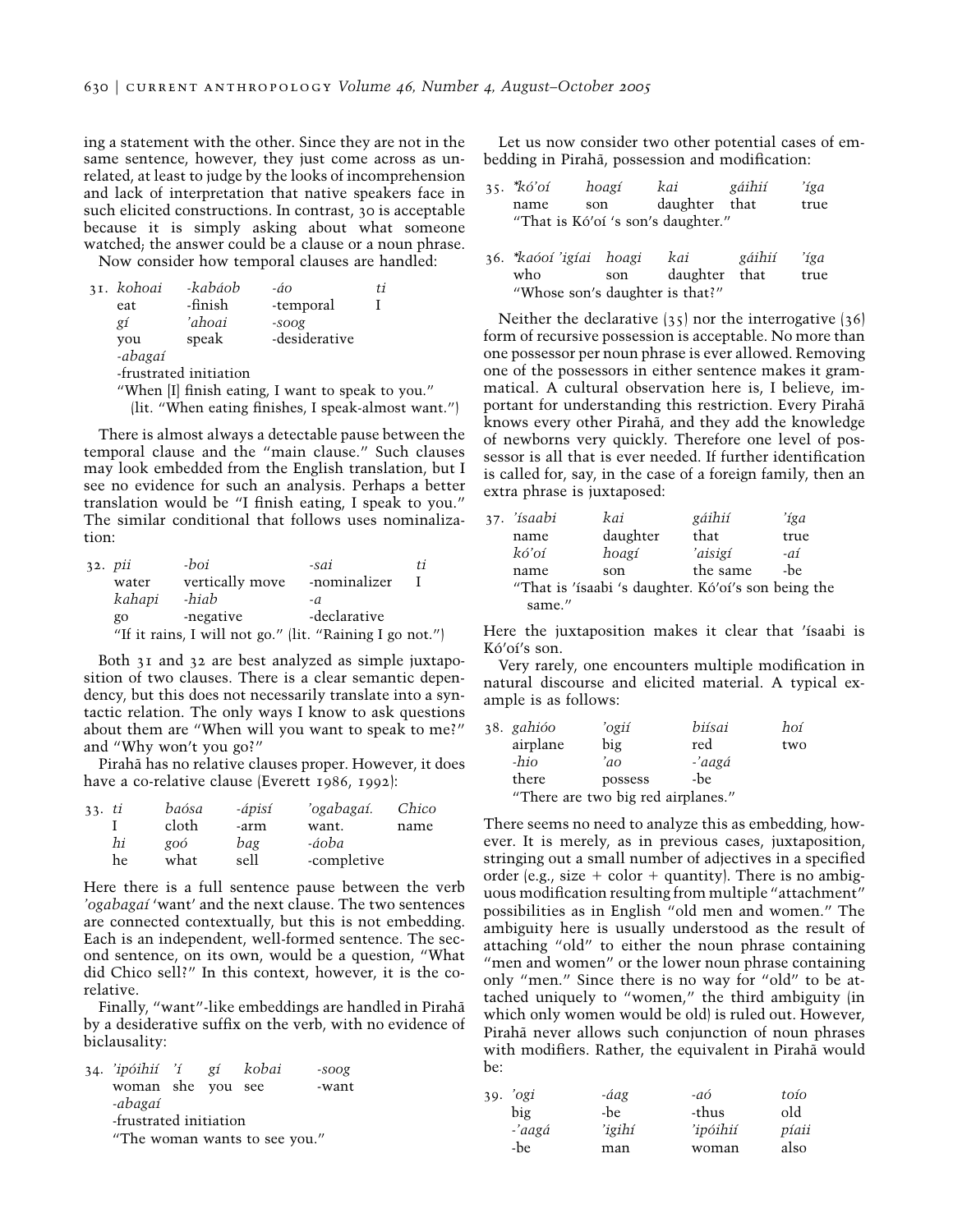ing a statement with the other. Since they are not in the same sentence, however, they just come across as unrelated, at least to judge by the looks of incomprehension and lack of interpretation that native speakers face in such elicited constructions. In contrast, 30 is acceptable because it is simply asking about what someone watched; the answer could be a clause or a noun phrase.

Now consider how temporal clauses are handled: 31. *kohoai -kaba´ob -a´o ti*

| -finish<br>-temporal<br>eat                       |  |
|---------------------------------------------------|--|
|                                                   |  |
| 'ahoai<br>gí<br>$-500g$                           |  |
| -desiderative<br>speak<br>you                     |  |
| -abagaí                                           |  |
| -frustrated initiation                            |  |
| "When [I] finish eating, I want to speak to you." |  |

(lit. "When eating finishes, I speak-almost want.")

There is almost always a detectable pause between the temporal clause and the "main clause." Such clauses may look embedded from the English translation, but I see no evidence for such an analysis. Perhaps a better translation would be "I finish eating, I speak to you." The similar conditional that follows uses nominalization:

| $32.$ pii | -boi                                                     | -sai         | ti |
|-----------|----------------------------------------------------------|--------------|----|
| water     | vertically move                                          | -nominalizer |    |
| kahapi    | -hiab                                                    | -a           |    |
| go        | -negative                                                | -declarative |    |
|           | "If it rains, I will not go." (lit. "Raining I go not.") |              |    |

Both 31 and 32 are best analyzed as simple juxtaposition of two clauses. There is a clear semantic dependency, but this does not necessarily translate into a syntactic relation. The only ways I know to ask questions about them are "When will you want to speak to me?" and "Why won't you go?"

Pirahã has no relative clauses proper. However, it does have a co-relative clause (Everett 1986, 1992):

| 33.ti |    | baósa | -ápisí | 'ogabagaí.  | Chico |
|-------|----|-------|--------|-------------|-------|
|       |    | cloth | -arm   | want.       | name  |
|       | hi | goó   | bag    | -áoba       |       |
|       | he | what  | sell   | -completive |       |

Here there is a full sentence pause between the verb *'ogabagaı´* 'want' and the next clause. The two sentences are connected contextually, but this is not embedding. Each is an independent, well-formed sentence. The second sentence, on its own, would be a question, "What did Chico sell?" In this context, however, it is the corelative.

Finally, "want"-like embeddings are handled in Pirahã by a desiderative suffix on the verb, with no evidence of biclausality:

| 34. <i>'ipóihií 'í</i> gí kobai |  |  |  | $-500g$ |  |  |
|---------------------------------|--|--|--|---------|--|--|
| woman she you see               |  |  |  | -want   |  |  |
| -abagaí                         |  |  |  |         |  |  |
| -frustrated initiation          |  |  |  |         |  |  |
| "The woman wants to see you."   |  |  |  |         |  |  |

Let us now consider two other potential cases of embedding in Pirahã, possession and modification:

| 35. <i>*kó'oí</i>                  | hoagí | kai           | gáihií | 'íga |
|------------------------------------|-------|---------------|--------|------|
| name                               | son   | daughter that |        | true |
| "That is Kó'oí 's son's daughter." |       |               |        |      |

36. <sup>∗</sup> *kao´ oı´ 'igı´ai hoagi kai ga´ ihiı´ 'ı´ga* who son daughter that true "Whose son's daughter is that?"

Neither the declarative (35) nor the interrogative (36) form of recursive possession is acceptable. No more than one possessor per noun phrase is ever allowed. Removing one of the possessors in either sentence makes it grammatical. A cultural observation here is, I believe, important for understanding this restriction. Every Pirahã knows every other Pirahã, and they add the knowledge of newborns very quickly. Therefore one level of possessor is all that is ever needed. If further identification is called for, say, in the case of a foreign family, then an extra phrase is juxtaposed:

| 37. 'ísaabi | kai                                                 | gáihií   | 'íga |
|-------------|-----------------------------------------------------|----------|------|
| name        | daughter                                            | that     | true |
| kó'oí       | hoagí                                               | 'aisigí  | -aí  |
| name        | son                                                 | the same | -be  |
|             | "That is 'isaabi 's daughter. Kó'oi's son being the |          |      |
| same."      |                                                     |          |      |

Here the juxtaposition makes it clear that 'isaabi is Kó'oí's son.

Very rarely, one encounters multiple modification in natural discourse and elicited material. A typical example is as follows:

| 38. gahióo                         | 'ogií   | biísai | hoí |  |
|------------------------------------|---------|--------|-----|--|
| airplane                           | big     | red    | two |  |
| -hio                               | 'ao     | -'aagá |     |  |
| there                              | possess | -be    |     |  |
| "There are two big red airplanes." |         |        |     |  |

There seems no need to analyze this as embedding, however. It is merely, as in previous cases, juxtaposition, stringing out a small number of adjectives in a specified order (e.g., size  $+$  color  $+$  quantity). There is no ambiguous modification resulting from multiple "attachment" possibilities as in English "old men and women." The ambiguity here is usually understood as the result of attaching "old" to either the noun phrase containing "men and women" or the lower noun phrase containing only "men." Since there is no way for "old" to be attached uniquely to "women," the third ambiguity (in which only women would be old) is ruled out. However, Pirahã never allows such conjunction of noun phrases with modifiers. Rather, the equivalent in Pirahã would be:

| 39.<br>$'$ Ogi | -áag   | $-a\acute{o}$ | toío  |
|----------------|--------|---------------|-------|
| big            | -be    | -thus         | old   |
| -'aagá         | 'igihí | 'ipóihií      | píaii |
| -be            | man    | woman         | also  |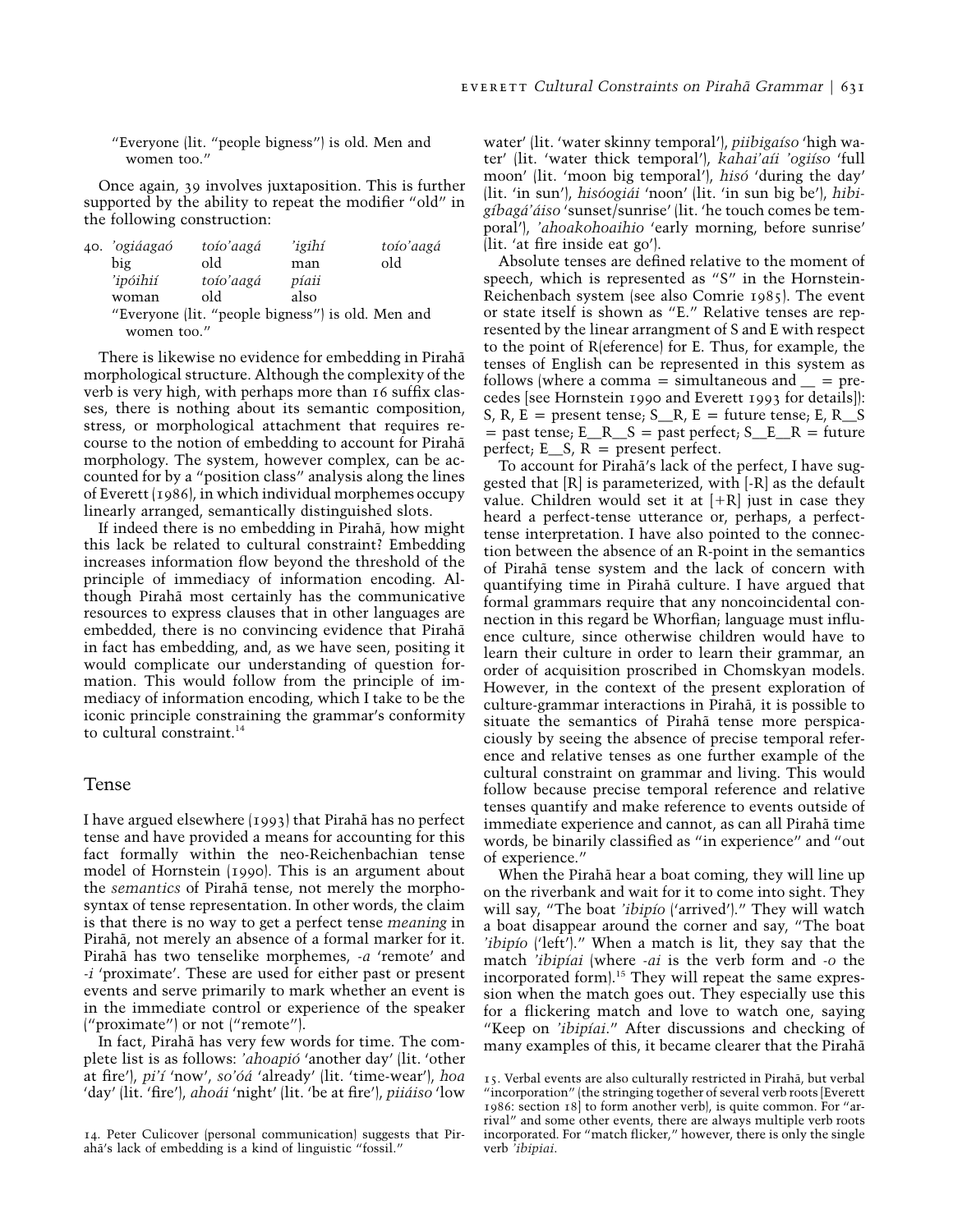"Everyone (lit. "people bigness") is old. Men and women too."

Once again, 39 involves juxtaposition. This is further supported by the ability to repeat the modifier "old" in the following construction:

| 40. | 'ogiáagaó   | toío'aagá | 'igihí                                            | toío'aagá |
|-----|-------------|-----------|---------------------------------------------------|-----------|
|     | big         | old       | man                                               | old       |
|     | 'ipóihií    | toío'aagá | píaii                                             |           |
|     | woman       | old       | also                                              |           |
|     |             |           | "Everyone (lit. "people bigness") is old. Men and |           |
|     | women too." |           |                                                   |           |

There is likewise no evidence for embedding in Pirahã morphological structure. Although the complexity of the verb is very high, with perhaps more than 16 suffix classes, there is nothing about its semantic composition, stress, or morphological attachment that requires recourse to the notion of embedding to account for Piraha morphology. The system, however complex, can be accounted for by a "position class" analysis along the lines of Everett (1986), in which individual morphemes occupy linearly arranged, semantically distinguished slots.

If indeed there is no embedding in Pirahã, how might this lack be related to cultural constraint? Embedding increases information flow beyond the threshold of the principle of immediacy of information encoding. Although Pirahã most certainly has the communicative resources to express clauses that in other languages are embedded, there is no convincing evidence that Piraha in fact has embedding, and, as we have seen, positing it would complicate our understanding of question formation. This would follow from the principle of immediacy of information encoding, which I take to be the iconic principle constraining the grammar's conformity to cultural constraint.<sup>14</sup>

#### Tense

I have argued elsewhere  $(1993)$  that Pirah $\tilde{a}$  has no perfect tense and have provided a means for accounting for this fact formally within the neo-Reichenbachian tense model of Hornstein (1990). This is an argument about the *semantics* of Piraha<sup>®</sup> tense, not merely the morphosyntax of tense representation. In other words, the claim is that there is no way to get a perfect tense *meaning* in Pirahã, not merely an absence of a formal marker for it. Pirahã has two tenselike morphemes, *-a* 'remote' and *-i* 'proximate'. These are used for either past or present events and serve primarily to mark whether an event is in the immediate control or experience of the speaker ("proximate") or not ("remote").

In fact, Pirahã has very few words for time. The complete list is as follows: *'ahoapio´* 'another day' (lit. 'other at fire'), *pi'ı´* 'now', *so'o´a´* 'already' (lit. 'time-wear'), *hoa* 'day' (lit. 'fire'), *ahoái* 'night' (lit. 'be at fire'), *piiáiso* 'low water' (lit. 'water skinny temporal'), *piibigaı´so* 'high water' (lit. 'water thick temporal'), *kahai'aı´i 'ogiı´so* 'full moon' (lit. 'moon big temporal'), hiso 'during the day' (lit. 'in sun'), *hiso´ogia´i* 'noon' (lit. 'in sun big be'), *hibigı´baga´'a´iso* 'sunset/sunrise' (lit. 'he touch comes be temporal'), *'ahoakohoaihio* 'early morning, before sunrise' (lit. 'at fire inside eat go').

Absolute tenses are defined relative to the moment of speech, which is represented as "S" in the Hornstein-Reichenbach system (see also Comrie 1985). The event or state itself is shown as "E." Relative tenses are represented by the linear arrangment of S and E with respect to the point of R(eference) for E. Thus, for example, the tenses of English can be represented in this system as follows (where a comma  $=$  simultaneous and  $\equiv$  precedes [see Hornstein 1990 and Everett 1993 for details]): S, R, E = present tense;  $S_R$ , E = future tense; E, R<sub>s</sub> = past tense;  $E_R_S$  = past perfect;  $S_R_R$  = future perfect;  $E_S$ ,  $R =$  present perfect.

To account for Piraha<sup>'</sup>s lack of the perfect, I have suggested that [R] is parameterized, with [-R] as the default value. Children would set it at  $[+R]$  just in case they heard a perfect-tense utterance or, perhaps, a perfecttense interpretation. I have also pointed to the connection between the absence of an R-point in the semantics of Pirahã tense system and the lack of concern with quantifying time in Pirahã culture. I have argued that formal grammars require that any noncoincidental connection in this regard be Whorfian; language must influence culture, since otherwise children would have to learn their culture in order to learn their grammar, an order of acquisition proscribed in Chomskyan models. However, in the context of the present exploration of culture-grammar interactions in Pirahã, it is possible to situate the semantics of Piraha tense more perspicaciously by seeing the absence of precise temporal reference and relative tenses as one further example of the cultural constraint on grammar and living. This would follow because precise temporal reference and relative tenses quantify and make reference to events outside of immediate experience and cannot, as can all Pirahã time words, be binarily classified as "in experience" and "out of experience."

When the Pirahã hear a boat coming, they will line up on the riverbank and wait for it to come into sight. They will say, "The boat 'ibipio ('arrived')." They will watch a boat disappear around the corner and say, "The boat *'ibipı´o* ('left')." When a match is lit, they say that the match *'ibipíai* (where *-ai* is the verb form and *-o* the incorporated form).<sup>15</sup> They will repeat the same expression when the match goes out. They especially use this for a flickering match and love to watch one, saying "Keep on *'ibipíai*." After discussions and checking of many examples of this, it became clearer that the Piraha<sup>®</sup>

<sup>14.</sup> Peter Culicover (personal communication) suggests that Piraha˜'s lack of embedding is a kind of linguistic "fossil."

<sup>15.</sup> Verbal events are also culturally restricted in Pirahã, but verbal "incorporation" (the stringing together of several verb roots [Everett 1986: section 18] to form another verb), is quite common. For "arrival" and some other events, there are always multiple verb roots incorporated. For "match flicker," however, there is only the single verb *'ibipiai*.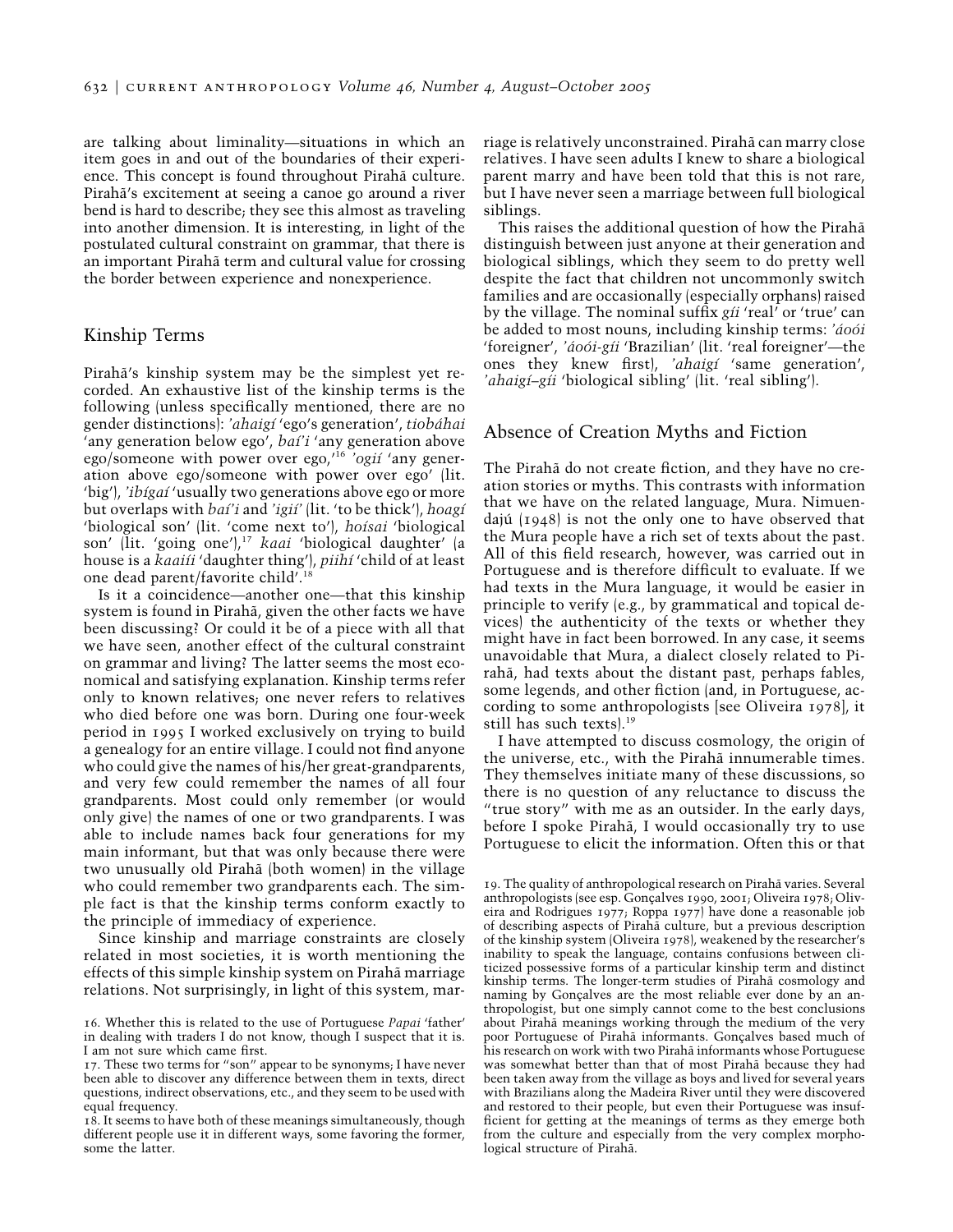are talking about liminality—situations in which an item goes in and out of the boundaries of their experience. This concept is found throughout Piraha culture. Piraha˜'s excitement at seeing a canoe go around a river bend is hard to describe; they see this almost as traveling into another dimension. It is interesting, in light of the postulated cultural constraint on grammar, that there is an important Pirahã term and cultural value for crossing the border between experience and nonexperience.

#### Kinship Terms

Piraha˜'s kinship system may be the simplest yet recorded. An exhaustive list of the kinship terms is the following (unless specifically mentioned, there are no gender distinctions): *'ahaigı´* 'ego's generation', *tioba´hai* 'any generation below ego', *baı´'i* 'any generation above ego/someone with power over ego,'16 *'ogiı´* 'any generation above ego/someone with power over ego' (lit. 'big'), *'ibigai*' usually two generations above ego or more but overlaps with *baı´'i* and *'igiı´'* (lit. 'to be thick'), *hoagı´* 'biological son' (lit. 'come next to'), *hoisai* 'biological son' (lit. 'going one'),<sup>17</sup> kaai 'biological daughter' (a house is a *kaaiı´i* 'daughter thing'), *piihı´* 'child of at least one dead parent/favorite child'.<sup>1</sup>

Is it a coincidence—another one—that this kinship system is found in Pirahã, given the other facts we have been discussing? Or could it be of a piece with all that we have seen, another effect of the cultural constraint on grammar and living? The latter seems the most economical and satisfying explanation. Kinship terms refer only to known relatives; one never refers to relatives who died before one was born. During one four-week period in 1995 I worked exclusively on trying to build a genealogy for an entire village. I could not find anyone who could give the names of his/her great-grandparents, and very few could remember the names of all four grandparents. Most could only remember (or would only give) the names of one or two grandparents. I was able to include names back four generations for my main informant, but that was only because there were two unusually old Piraha (both women) in the village who could remember two grandparents each. The simple fact is that the kinship terms conform exactly to the principle of immediacy of experience.

Since kinship and marriage constraints are closely related in most societies, it is worth mentioning the effects of this simple kinship system on Pirahã marriage relations. Not surprisingly, in light of this system, marriage is relatively unconstrained. Pirahã can marry close relatives. I have seen adults I knew to share a biological parent marry and have been told that this is not rare, but I have never seen a marriage between full biological siblings.

This raises the additional question of how the Piraha<sup>®</sup> distinguish between just anyone at their generation and biological siblings, which they seem to do pretty well despite the fact that children not uncommonly switch families and are occasionally (especially orphans) raised by the village. The nominal suffix *gı´i* 'real' or 'true' can be added to most nouns, including kinship terms: 'áoói 'foreigner', 'áoói-gíi 'Brazilian' (lit. 'real foreigner'-the ones they knew first), *'ahaigı´* 'same generation', *'ahaigı´–gı´i* 'biological sibling' (lit. 'real sibling').

#### Absence of Creation Myths and Fiction

The Pirahã do not create fiction, and they have no creation stories or myths. This contrasts with information that we have on the related language, Mura. Nimuendajú  $(1948)$  is not the only one to have observed that the Mura people have a rich set of texts about the past. All of this field research, however, was carried out in Portuguese and is therefore difficult to evaluate. If we had texts in the Mura language, it would be easier in principle to verify (e.g., by grammatical and topical devices) the authenticity of the texts or whether they might have in fact been borrowed. In any case, it seems unavoidable that Mura, a dialect closely related to Pirahã, had texts about the distant past, perhaps fables, some legends, and other fiction (and, in Portuguese, according to some anthropologists [see Oliveira 1978], it still has such texts).<sup>19</sup>

I have attempted to discuss cosmology, the origin of the universe, etc., with the Piraha innumerable times. They themselves initiate many of these discussions, so there is no question of any reluctance to discuss the "true story" with me as an outsider. In the early days, before I spoke Pirahã, I would occasionally try to use Portuguese to elicit the information. Often this or that

<sup>16.</sup> Whether this is related to the use of Portuguese *Papai* 'father' in dealing with traders I do not know, though I suspect that it is. I am not sure which came first.

<sup>17.</sup> These two terms for "son" appear to be synonyms; I have never been able to discover any difference between them in texts, direct questions, indirect observations, etc., and they seem to be used with equal frequency.

<sup>18.</sup> It seems to have both of these meanings simultaneously, though different people use it in different ways, some favoring the former, some the latter.

<sup>19.</sup> The quality of anthropological research on Pirahã varies. Several anthropologists (see esp. Gonçalves 1990, 2001; Oliveira 1978; Oliveira and Rodrigues 1977; Roppa 1977) have done a reasonable job of describing aspects of Piraha culture, but a previous description of the kinship system (Oliveira 1978), weakened by the researcher's inability to speak the language, contains confusions between cliticized possessive forms of a particular kinship term and distinct kinship terms. The longer-term studies of Piraha cosmology and naming by Gonçalves are the most reliable ever done by an anthropologist, but one simply cannot come to the best conclusions about Pirahã meanings working through the medium of the very poor Portuguese of Pirahã informants. Gonçalves based much of his research on work with two Pirahã informants whose Portuguese was somewhat better than that of most Piraha because they had been taken away from the village as boys and lived for several years with Brazilians along the Madeira River until they were discovered and restored to their people, but even their Portuguese was insufficient for getting at the meanings of terms as they emerge both from the culture and especially from the very complex morphological structure of Pirahã.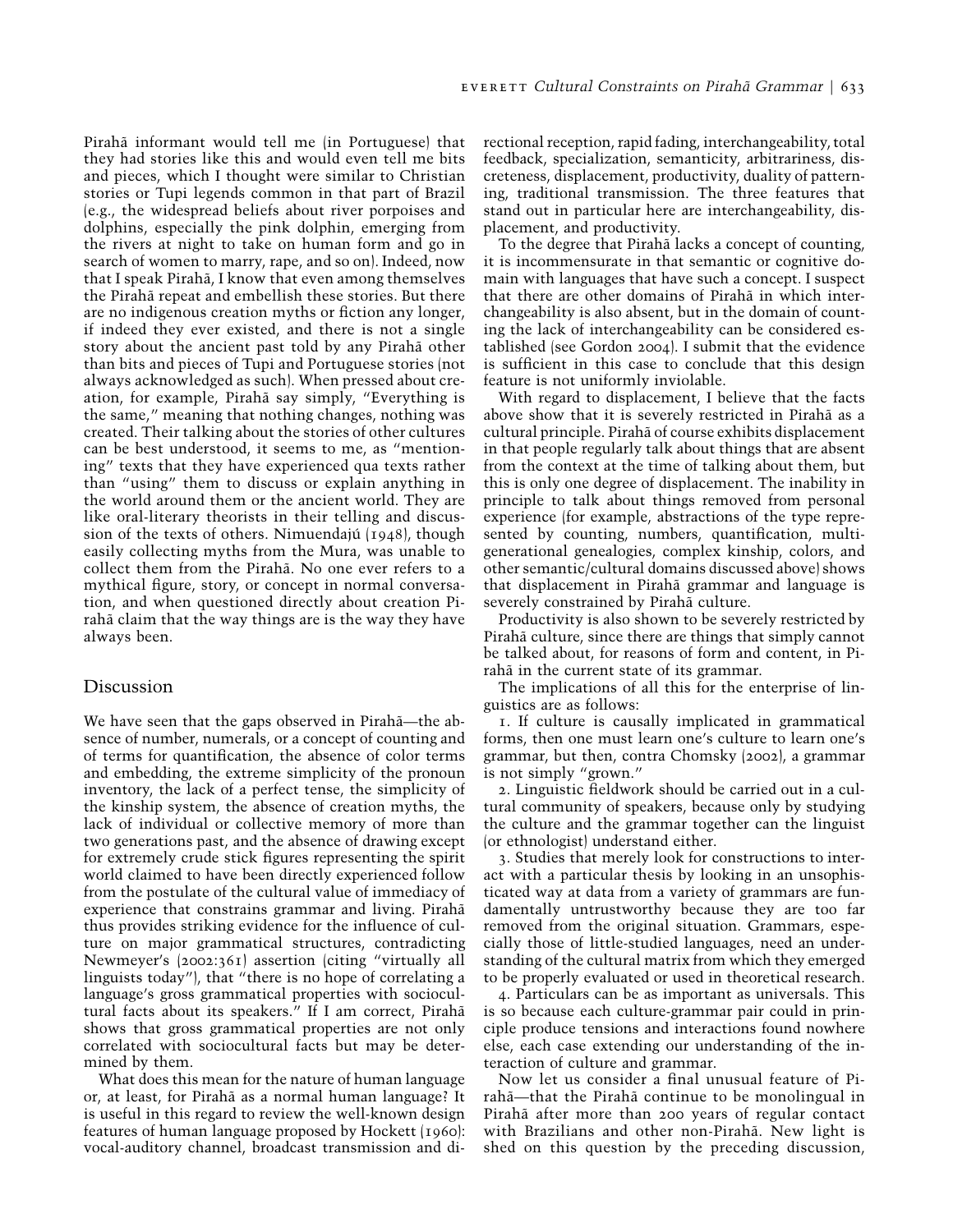Pirahã informant would tell me (in Portuguese) that they had stories like this and would even tell me bits and pieces, which I thought were similar to Christian stories or Tupi legends common in that part of Brazil (e.g., the widespread beliefs about river porpoises and dolphins, especially the pink dolphin, emerging from the rivers at night to take on human form and go in search of women to marry, rape, and so on). Indeed, now that I speak Pirahã, I know that even among themselves the Pirahã repeat and embellish these stories. But there are no indigenous creation myths or fiction any longer, if indeed they ever existed, and there is not a single story about the ancient past told by any Pirahã other than bits and pieces of Tupi and Portuguese stories (not always acknowledged as such). When pressed about creation, for example, Pirahã say simply, "Everything is the same," meaning that nothing changes, nothing was created. Their talking about the stories of other cultures can be best understood, it seems to me, as "mentioning" texts that they have experienced qua texts rather than "using" them to discuss or explain anything in the world around them or the ancient world. They are like oral-literary theorists in their telling and discussion of the texts of others. Nimuendajú  $(1948)$ , though easily collecting myths from the Mura, was unable to collect them from the Pirahã. No one ever refers to a mythical figure, story, or concept in normal conversation, and when questioned directly about creation Pirahã claim that the way things are is the way they have always been.

#### Discussion

We have seen that the gaps observed in Piraha—the absence of number, numerals, or a concept of counting and of terms for quantification, the absence of color terms and embedding, the extreme simplicity of the pronoun inventory, the lack of a perfect tense, the simplicity of the kinship system, the absence of creation myths, the lack of individual or collective memory of more than two generations past, and the absence of drawing except for extremely crude stick figures representing the spirit world claimed to have been directly experienced follow from the postulate of the cultural value of immediacy of experience that constrains grammar and living. Pirahã thus provides striking evidence for the influence of culture on major grammatical structures, contradicting Newmeyer's (2002:361) assertion (citing "virtually all linguists today"), that "there is no hope of correlating a language's gross grammatical properties with sociocultural facts about its speakers." If I am correct, Pirahã shows that gross grammatical properties are not only correlated with sociocultural facts but may be determined by them.

What does this mean for the nature of human language or, at least, for Pirahã as a normal human language? It is useful in this regard to review the well-known design features of human language proposed by Hockett (1960): vocal-auditory channel, broadcast transmission and directional reception, rapid fading, interchangeability, total feedback, specialization, semanticity, arbitrariness, discreteness, displacement, productivity, duality of patterning, traditional transmission. The three features that stand out in particular here are interchangeability, displacement, and productivity.

To the degree that Piraha lacks a concept of counting, it is incommensurate in that semantic or cognitive domain with languages that have such a concept. I suspect that there are other domains of Pirahã in which interchangeability is also absent, but in the domain of counting the lack of interchangeability can be considered established (see Gordon 2004). I submit that the evidence is sufficient in this case to conclude that this design feature is not uniformly inviolable.

With regard to displacement, I believe that the facts above show that it is severely restricted in Pirahã as a cultural principle. Pirahã of course exhibits displacement in that people regularly talk about things that are absent from the context at the time of talking about them, but this is only one degree of displacement. The inability in principle to talk about things removed from personal experience (for example, abstractions of the type represented by counting, numbers, quantification, multigenerational genealogies, complex kinship, colors, and other semantic/cultural domains discussed above) shows that displacement in Piraha grammar and language is severely constrained by Piraha culture.

Productivity is also shown to be severely restricted by Pirahã culture, since there are things that simply cannot be talked about, for reasons of form and content, in Pirahã in the current state of its grammar.

The implications of all this for the enterprise of linguistics are as follows:

1. If culture is causally implicated in grammatical forms, then one must learn one's culture to learn one's grammar, but then, contra Chomsky (2002), a grammar is not simply "grown."

2. Linguistic fieldwork should be carried out in a cultural community of speakers, because only by studying the culture and the grammar together can the linguist (or ethnologist) understand either.

3. Studies that merely look for constructions to interact with a particular thesis by looking in an unsophisticated way at data from a variety of grammars are fundamentally untrustworthy because they are too far removed from the original situation. Grammars, especially those of little-studied languages, need an understanding of the cultural matrix from which they emerged to be properly evaluated or used in theoretical research.

4. Particulars can be as important as universals. This is so because each culture-grammar pair could in principle produce tensions and interactions found nowhere else, each case extending our understanding of the interaction of culture and grammar.

Now let us consider a final unusual feature of Pirahã—that the Pirahã continue to be monolingual in Pirahã after more than 200 years of regular contact with Brazilians and other non-Pirahã. New light is shed on this question by the preceding discussion,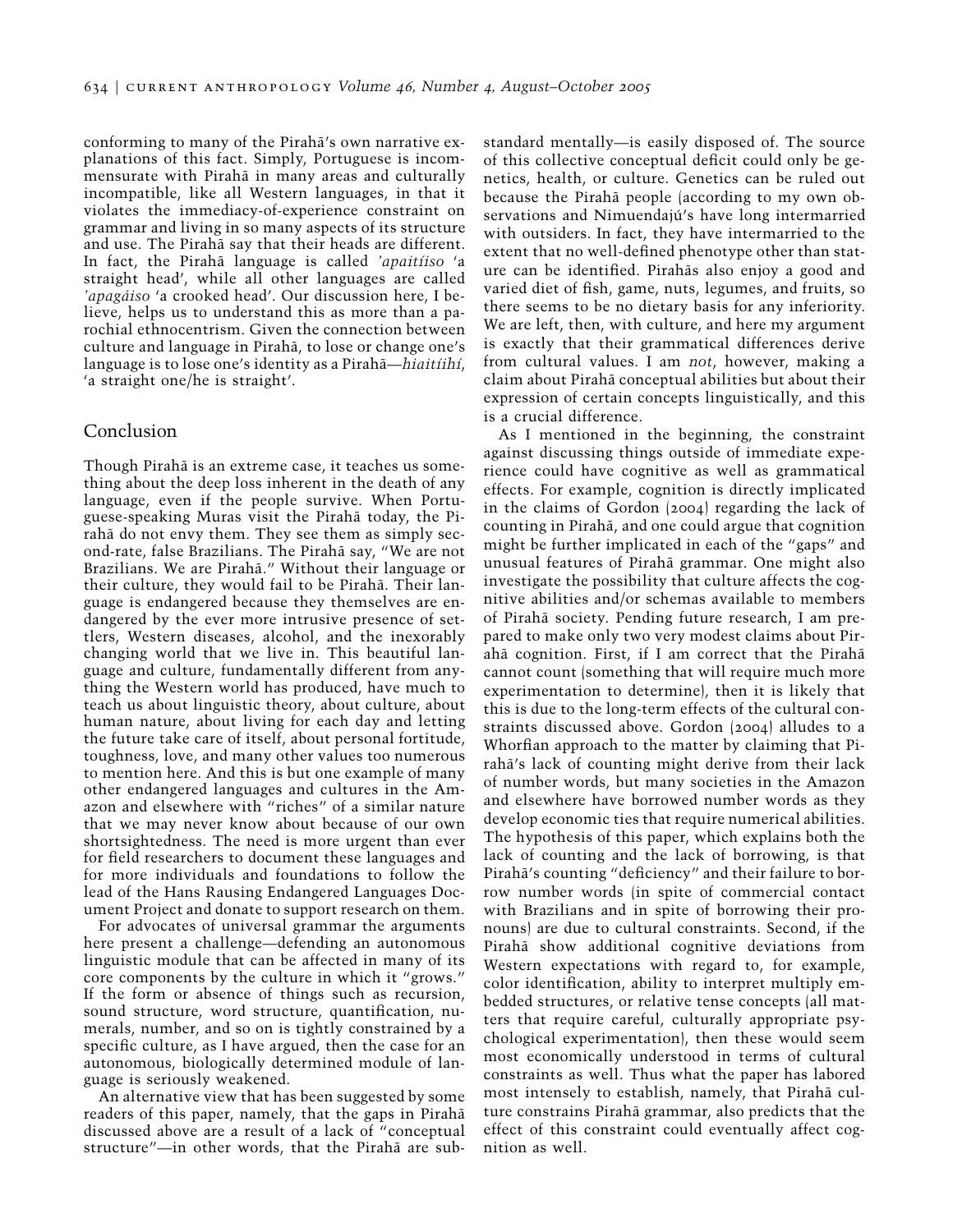conforming to many of the Piraha's own narrative explanations of this fact. Simply, Portuguese is incommensurate with Pirahã in many areas and culturally incompatible, like all Western languages, in that it violates the immediacy-of-experience constraint on grammar and living in so many aspects of its structure and use. The Pirahã say that their heads are different. In fact, the Pirahã language is called *'apaitiiso* 'a straight head', while all other languages are called *'apaga´iso* 'a crooked head'. Our discussion here, I believe, helps us to understand this as more than a parochial ethnocentrism. Given the connection between culture and language in Pirahã, to lose or change one's language is to lose one's identity as a Piraha˜—*hiaitı´ihı´*, 'a straight one/he is straight'.

#### Conclusion

Though Pirahã is an extreme case, it teaches us something about the deep loss inherent in the death of any language, even if the people survive. When Portuguese-speaking Muras visit the Pirahã today, the Pirahã do not envy them. They see them as simply second-rate, false Brazilians. The Pirahã say, "We are not Brazilians. We are Pirahã." Without their language or their culture, they would fail to be Pirahã. Their language is endangered because they themselves are endangered by the ever more intrusive presence of settlers, Western diseases, alcohol, and the inexorably changing world that we live in. This beautiful language and culture, fundamentally different from anything the Western world has produced, have much to teach us about linguistic theory, about culture, about human nature, about living for each day and letting the future take care of itself, about personal fortitude, toughness, love, and many other values too numerous to mention here. And this is but one example of many other endangered languages and cultures in the Amazon and elsewhere with "riches" of a similar nature that we may never know about because of our own shortsightedness. The need is more urgent than ever for field researchers to document these languages and for more individuals and foundations to follow the lead of the Hans Rausing Endangered Languages Document Project and donate to support research on them.

For advocates of universal grammar the arguments here present a challenge—defending an autonomous linguistic module that can be affected in many of its core components by the culture in which it "grows." If the form or absence of things such as recursion, sound structure, word structure, quantification, numerals, number, and so on is tightly constrained by a specific culture, as I have argued, then the case for an autonomous, biologically determined module of language is seriously weakened.

An alternative view that has been suggested by some readers of this paper, namely, that the gaps in Pirahã discussed above are a result of a lack of "conceptual structure"—in other words, that the Pirahã are substandard mentally—is easily disposed of. The source of this collective conceptual deficit could only be genetics, health, or culture. Genetics can be ruled out because the Pirahã people (according to my own observations and Nimuendajú's have long intermarried with outsiders. In fact, they have intermarried to the extent that no well-defined phenotype other than stature can be identified. Pirahãs also enjoy a good and varied diet of fish, game, nuts, legumes, and fruits, so there seems to be no dietary basis for any inferiority. We are left, then, with culture, and here my argument is exactly that their grammatical differences derive from cultural values. I am *not*, however, making a claim about Pirahã conceptual abilities but about their expression of certain concepts linguistically, and this is a crucial difference.

As I mentioned in the beginning, the constraint against discussing things outside of immediate experience could have cognitive as well as grammatical effects. For example, cognition is directly implicated in the claims of Gordon (2004) regarding the lack of counting in Pirahã, and one could argue that cognition might be further implicated in each of the "gaps" and unusual features of Pirahã grammar. One might also investigate the possibility that culture affects the cognitive abilities and/or schemas available to members of Pirahã society. Pending future research, I am prepared to make only two very modest claims about Pirahã cognition. First, if I am correct that the Pirahã cannot count (something that will require much more experimentation to determine), then it is likely that this is due to the long-term effects of the cultural constraints discussed above. Gordon (2004) alludes to a Whorfian approach to the matter by claiming that Pirahã's lack of counting might derive from their lack of number words, but many societies in the Amazon and elsewhere have borrowed number words as they develop economic ties that require numerical abilities. The hypothesis of this paper, which explains both the lack of counting and the lack of borrowing, is that Pirahã's counting "deficiency" and their failure to borrow number words (in spite of commercial contact with Brazilians and in spite of borrowing their pronouns) are due to cultural constraints. Second, if the Pirahã show additional cognitive deviations from Western expectations with regard to, for example, color identification, ability to interpret multiply embedded structures, or relative tense concepts (all matters that require careful, culturally appropriate psychological experimentation), then these would seem most economically understood in terms of cultural constraints as well. Thus what the paper has labored most intensely to establish, namely, that Pirahã culture constrains Pirahã grammar, also predicts that the effect of this constraint could eventually affect cognition as well.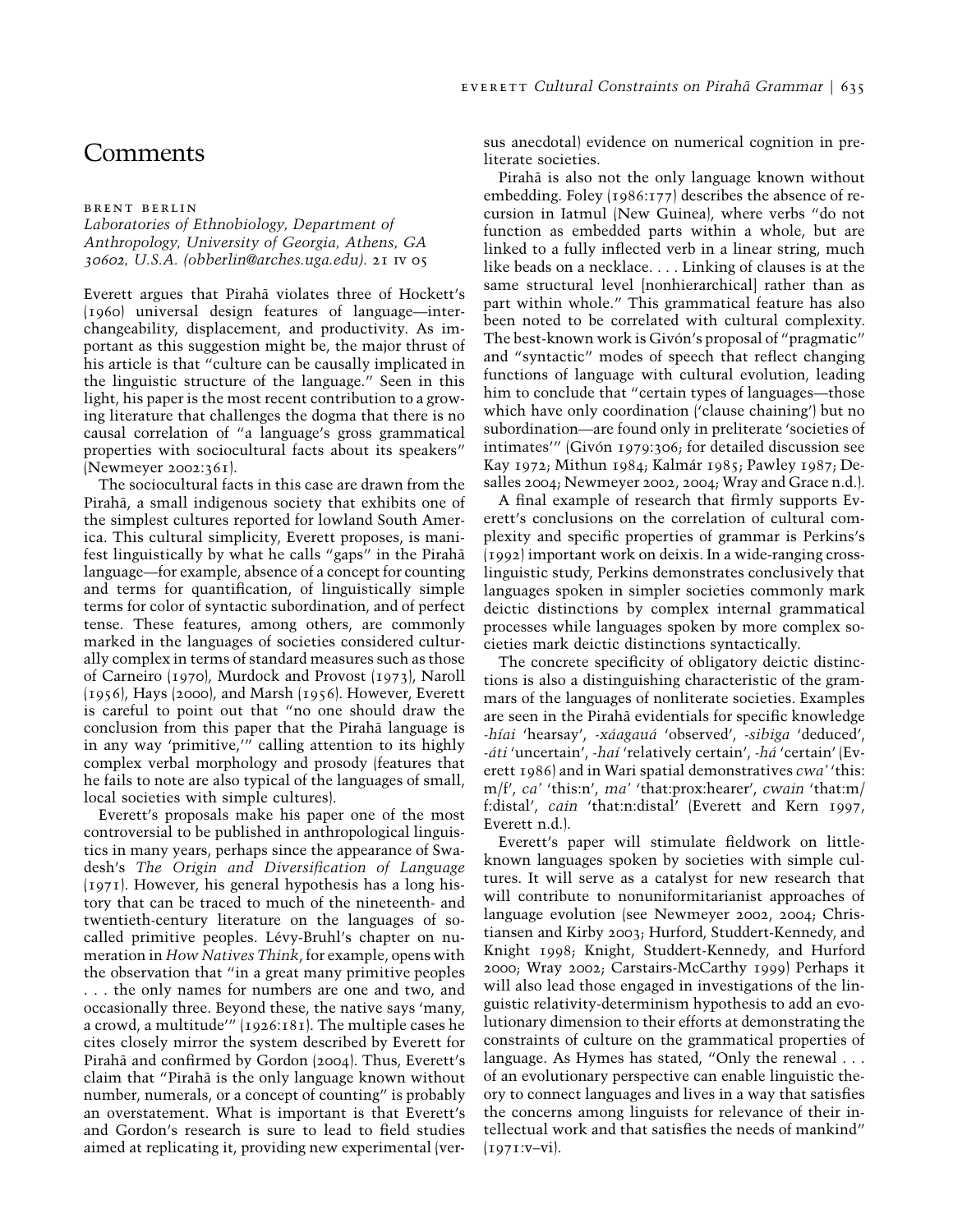### Comments

brent berlin

*Laboratories of Ethnobiology, Department of Anthropology, University of Georgia, Athens, GA* 30602*, U.S.A. (obberlin@arches.uga.edu).* 21 iv 05

Everett argues that Piraha violates three of Hockett's (1960) universal design features of language—interchangeability, displacement, and productivity. As important as this suggestion might be, the major thrust of his article is that "culture can be causally implicated in the linguistic structure of the language." Seen in this light, his paper is the most recent contribution to a growing literature that challenges the dogma that there is no causal correlation of "a language's gross grammatical properties with sociocultural facts about its speakers" (Newmeyer 2002:361).

The sociocultural facts in this case are drawn from the Pirahã, a small indigenous society that exhibits one of the simplest cultures reported for lowland South America. This cultural simplicity, Everett proposes, is manifest linguistically by what he calls "gaps" in the Pirahã language—for example, absence of a concept for counting and terms for quantification, of linguistically simple terms for color of syntactic subordination, and of perfect tense. These features, among others, are commonly marked in the languages of societies considered culturally complex in terms of standard measures such as those of Carneiro (1970), Murdock and Provost (1973), Naroll (1956), Hays (2000), and Marsh (1956). However, Everett is careful to point out that "no one should draw the conclusion from this paper that the Pirahã language is in any way 'primitive,'" calling attention to its highly complex verbal morphology and prosody (features that he fails to note are also typical of the languages of small, local societies with simple cultures).

Everett's proposals make his paper one of the most controversial to be published in anthropological linguistics in many years, perhaps since the appearance of Swadesh's *The Origin and Diversification of Language* (1971). However, his general hypothesis has a long history that can be traced to much of the nineteenth- and twentieth-century literature on the languages of socalled primitive peoples. Lévy-Bruhl's chapter on numeration in *How Natives Think*, for example, opens with the observation that "in a great many primitive peoples . . . the only names for numbers are one and two, and occasionally three. Beyond these, the native says 'many, a crowd, a multitude'" (1926:181). The multiple cases he cites closely mirror the system described by Everett for Pirahã and confirmed by Gordon (2004). Thus, Everett's claim that "Pirahã is the only language known without number, numerals, or a concept of counting" is probably an overstatement. What is important is that Everett's and Gordon's research is sure to lead to field studies aimed at replicating it, providing new experimental (versus anecdotal) evidence on numerical cognition in preliterate societies.

Pirahã is also not the only language known without embedding. Foley (1986:177) describes the absence of recursion in Iatmul (New Guinea), where verbs "do not function as embedded parts within a whole, but are linked to a fully inflected verb in a linear string, much like beads on a necklace. . . . Linking of clauses is at the same structural level [nonhierarchical] rather than as part within whole." This grammatical feature has also been noted to be correlated with cultural complexity. The best-known work is Givón's proposal of "pragmatic" and "syntactic" modes of speech that reflect changing functions of language with cultural evolution, leading him to conclude that "certain types of languages—those which have only coordination ('clause chaining') but no subordination—are found only in preliterate 'societies of intimates'" (Givón 1979:306; for detailed discussion see Kay 1972; Mithun 1984; Kalmár 1985; Pawley 1987; Desalles 2004; Newmeyer 2002, 2004; Wray and Grace n.d.).

A final example of research that firmly supports Everett's conclusions on the correlation of cultural complexity and specific properties of grammar is Perkins's (1992) important work on deixis. In a wide-ranging crosslinguistic study, Perkins demonstrates conclusively that languages spoken in simpler societies commonly mark deictic distinctions by complex internal grammatical processes while languages spoken by more complex societies mark deictic distinctions syntactically.

The concrete specificity of obligatory deictic distinctions is also a distinguishing characteristic of the grammars of the languages of nonliterate societies. Examples are seen in the Pirahã evidentials for specific knowledge *-hı´ai* 'hearsay', *-xa´agaua´* 'observed', *-sibiga* 'deduced', *-a´ti* 'uncertain', *-haı´* 'relatively certain', *-ha´* 'certain' (Everett 1986) and in Wari spatial demonstratives *cwa'* 'this: m/f', *ca'* 'this:n', *ma'* 'that:prox:hearer', *cwain* 'that:m/ f:distal', *cain* 'that:n:distal' (Everett and Kern 1997, Everett n.d.).

Everett's paper will stimulate fieldwork on littleknown languages spoken by societies with simple cultures. It will serve as a catalyst for new research that will contribute to nonuniformitarianist approaches of language evolution (see Newmeyer 2002, 2004; Christiansen and Kirby 2003; Hurford, Studdert-Kennedy, and Knight 1998; Knight, Studdert-Kennedy, and Hurford 2000; Wray 2002; Carstairs-McCarthy 1999) Perhaps it will also lead those engaged in investigations of the linguistic relativity-determinism hypothesis to add an evolutionary dimension to their efforts at demonstrating the constraints of culture on the grammatical properties of language. As Hymes has stated, "Only the renewal . . . of an evolutionary perspective can enable linguistic theory to connect languages and lives in a way that satisfies the concerns among linguists for relevance of their intellectual work and that satisfies the needs of mankind"  $(1971:V-Vi)$ .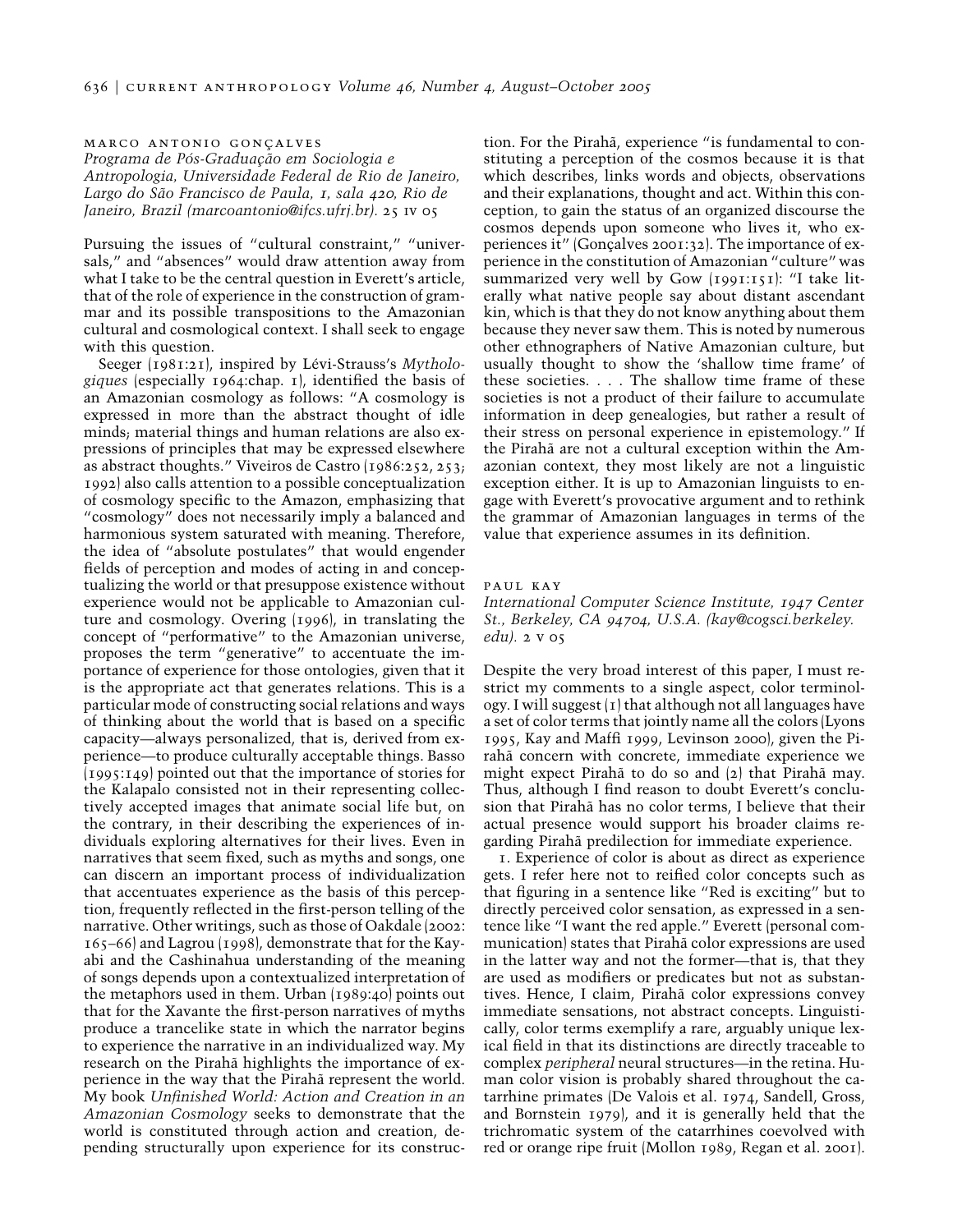#### MARCO ANTONIO GONÇALVES

*Programa de Po´s-Graduac¸a˜o em Sociologia e Antropologia, Universidade Federal de Rio de Janeiro, Largo do Sa˜o Francisco de Paula,* <sup>1</sup>*, sala* <sup>420</sup>*, Rio de Janeiro, Brazil (marcoantonio@ifcs.ufrj.br).* 25 iv 05

Pursuing the issues of "cultural constraint," "universals," and "absences" would draw attention away from what I take to be the central question in Everett's article, that of the role of experience in the construction of grammar and its possible transpositions to the Amazonian cultural and cosmological context. I shall seek to engage with this question.

Seeger (1981:21), inspired by Lévi-Strauss's *Mythologiques* (especially 1964:chap. 1), identified the basis of an Amazonian cosmology as follows: "A cosmology is expressed in more than the abstract thought of idle minds; material things and human relations are also expressions of principles that may be expressed elsewhere as abstract thoughts." Viveiros de Castro (1986:252, 253; 1992) also calls attention to a possible conceptualization of cosmology specific to the Amazon, emphasizing that "cosmology" does not necessarily imply a balanced and harmonious system saturated with meaning. Therefore, the idea of "absolute postulates" that would engender fields of perception and modes of acting in and conceptualizing the world or that presuppose existence without experience would not be applicable to Amazonian culture and cosmology. Overing (1996), in translating the concept of "performative" to the Amazonian universe, proposes the term "generative" to accentuate the importance of experience for those ontologies, given that it is the appropriate act that generates relations. This is a particular mode of constructing social relations and ways of thinking about the world that is based on a specific capacity—always personalized, that is, derived from experience—to produce culturally acceptable things. Basso (1995:149) pointed out that the importance of stories for the Kalapalo consisted not in their representing collectively accepted images that animate social life but, on the contrary, in their describing the experiences of individuals exploring alternatives for their lives. Even in narratives that seem fixed, such as myths and songs, one can discern an important process of individualization that accentuates experience as the basis of this perception, frequently reflected in the first-person telling of the narrative. Other writings, such as those of Oakdale (2002: 165–66) and Lagrou (1998), demonstrate that for the Kayabi and the Cashinahua understanding of the meaning of songs depends upon a contextualized interpretation of the metaphors used in them. Urban (1989:40) points out that for the Xavante the first-person narratives of myths produce a trancelike state in which the narrator begins to experience the narrative in an individualized way. My research on the Piraha highlights the importance of experience in the way that the Piraha represent the world. My book *Unfinished World: Action and Creation in an Amazonian Cosmology* seeks to demonstrate that the world is constituted through action and creation, depending structurally upon experience for its construction. For the Pirahã, experience "is fundamental to constituting a perception of the cosmos because it is that which describes, links words and objects, observations and their explanations, thought and act. Within this conception, to gain the status of an organized discourse the cosmos depends upon someone who lives it, who experiences it" (Gonçalves 2001:32). The importance of experience in the constitution of Amazonian "culture" was summarized very well by Gow (1991:151): "I take literally what native people say about distant ascendant kin, which is that they do not know anything about them because they never saw them. This is noted by numerous other ethnographers of Native Amazonian culture, but usually thought to show the 'shallow time frame' of these societies. . . . The shallow time frame of these societies is not a product of their failure to accumulate information in deep genealogies, but rather a result of their stress on personal experience in epistemology." If the Pirahã are not a cultural exception within the Amazonian context, they most likely are not a linguistic exception either. It is up to Amazonian linguists to engage with Everett's provocative argument and to rethink the grammar of Amazonian languages in terms of the value that experience assumes in its definition.

#### paul kay

*International Computer Science Institute,* 1947 *Center St., Berkeley, CA* 94704*, U.S.A. (kay@cogsci.berkeley. edu).* 2 v 05

Despite the very broad interest of this paper, I must restrict my comments to a single aspect, color terminology. I will suggest  $(i)$  that although not all languages have a set of color terms that jointly name all the colors (Lyons 1995, Kay and Maffi 1999, Levinson 2000), given the Pirahã concern with concrete, immediate experience we might expect Pirahã to do so and  $(z)$  that Pirahã may. Thus, although I find reason to doubt Everett's conclusion that Pirahã has no color terms, I believe that their actual presence would support his broader claims regarding Piraha predilection for immediate experience.

1. Experience of color is about as direct as experience gets. I refer here not to reified color concepts such as that figuring in a sentence like "Red is exciting" but to directly perceived color sensation, as expressed in a sentence like "I want the red apple." Everett (personal communication) states that Pirahã color expressions are used in the latter way and not the former—that is, that they are used as modifiers or predicates but not as substantives. Hence, I claim, Pirahã color expressions convey immediate sensations, not abstract concepts. Linguistically, color terms exemplify a rare, arguably unique lexical field in that its distinctions are directly traceable to complex *peripheral* neural structures—in the retina. Human color vision is probably shared throughout the catarrhine primates (De Valois et al. 1974, Sandell, Gross, and Bornstein 1979), and it is generally held that the trichromatic system of the catarrhines coevolved with red or orange ripe fruit (Mollon 1989, Regan et al. 2001).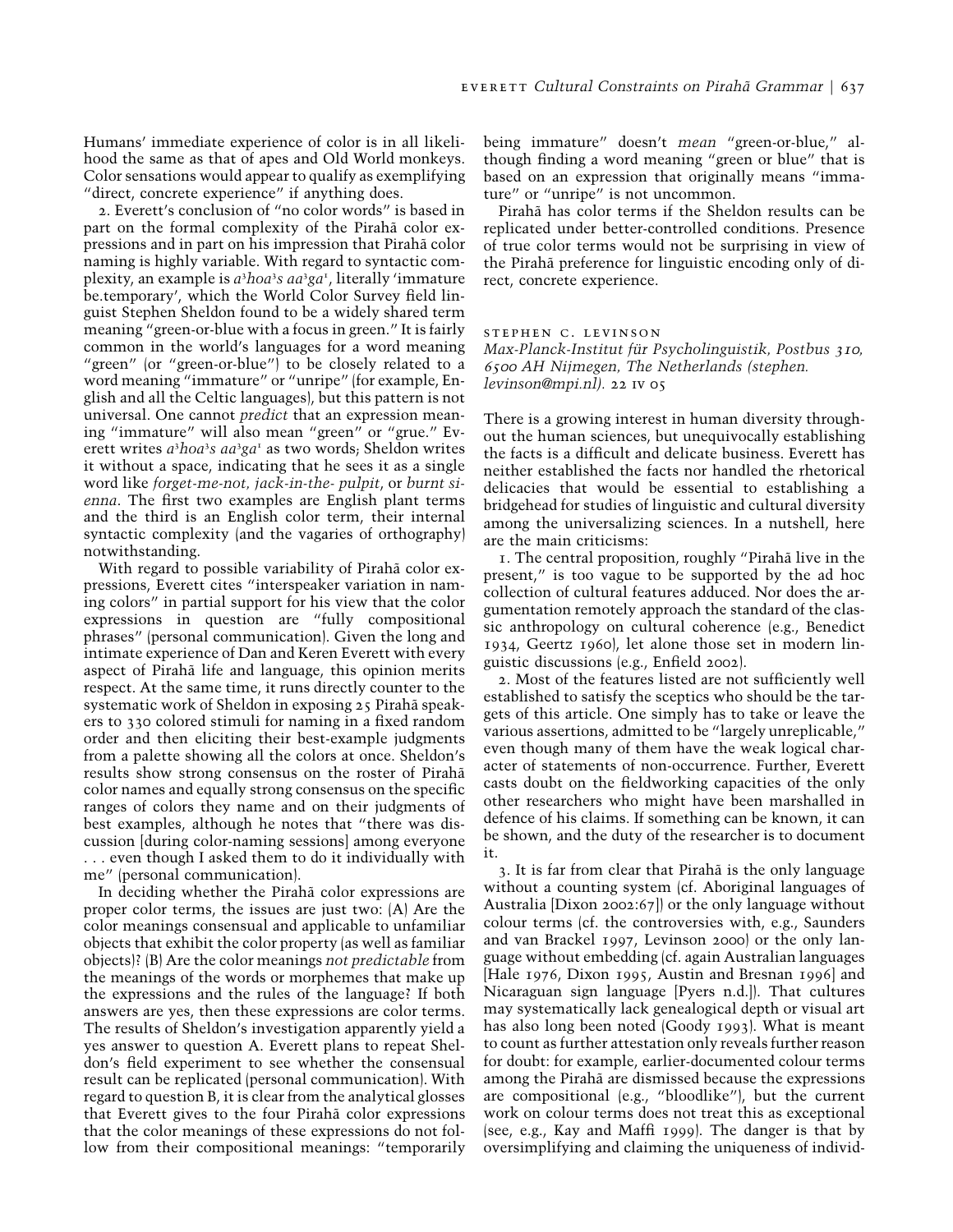Humans' immediate experience of color is in all likelihood the same as that of apes and Old World monkeys. Color sensations would appear to qualify as exemplifying "direct, concrete experience" if anything does.

2. Everett's conclusion of "no color words" is based in part on the formal complexity of the Pirahã color expressions and in part on his impression that Pirahã color naming is highly variable. With regard to syntactic complexity, an example is  $a^3$ *hoa*<sup>3</sup>s aa<sup>3</sup>ga<sup>1</sup>, literally 'immature be.temporary', which the World Color Survey field linguist Stephen Sheldon found to be a widely shared term meaning "green-or-blue with a focus in green." It is fairly common in the world's languages for a word meaning "green" (or "green-or-blue") to be closely related to a word meaning "immature" or "unripe" (for example, English and all the Celtic languages), but this pattern is not universal. One cannot *predict* that an expression meaning "immature" will also mean "green" or "grue." Everett writes  $a^3$ hoa<sup>3</sup>s aa<sup>3</sup>ga<sup>1</sup> as two words; Sheldon writes it without a space, indicating that he sees it as a single word like *forget-me-not, jack-in-the- pulpit*, or *burnt sienna*. The first two examples are English plant terms and the third is an English color term, their internal syntactic complexity (and the vagaries of orthography) notwithstanding.

With regard to possible variability of Pirahã color expressions, Everett cites "interspeaker variation in naming colors" in partial support for his view that the color expressions in question are "fully compositional phrases" (personal communication). Given the long and intimate experience of Dan and Keren Everett with every aspect of Pirahã life and language, this opinion merits respect. At the same time, it runs directly counter to the systematic work of Sheldon in exposing 25 Pirahã speakers to 330 colored stimuli for naming in a fixed random order and then eliciting their best-example judgments from a palette showing all the colors at once. Sheldon's results show strong consensus on the roster of Pirahã color names and equally strong consensus on the specific ranges of colors they name and on their judgments of best examples, although he notes that "there was discussion [during color-naming sessions] among everyone . . . even though I asked them to do it individually with me" (personal communication).

In deciding whether the Pirahã color expressions are proper color terms, the issues are just two: (A) Are the color meanings consensual and applicable to unfamiliar objects that exhibit the color property (as well as familiar objects)? (B) Are the color meanings *not predictable* from the meanings of the words or morphemes that make up the expressions and the rules of the language? If both answers are yes, then these expressions are color terms. The results of Sheldon's investigation apparently yield a yes answer to question A. Everett plans to repeat Sheldon's field experiment to see whether the consensual result can be replicated (personal communication). With regard to question B, it is clear from the analytical glosses that Everett gives to the four Pirahã color expressions that the color meanings of these expressions do not follow from their compositional meanings: "temporarily being immature" doesn't *mean* "green-or-blue," although finding a word meaning "green or blue" that is based on an expression that originally means "immature" or "unripe" is not uncommon.

Pirahã has color terms if the Sheldon results can be replicated under better-controlled conditions. Presence of true color terms would not be surprising in view of the Pirahã preference for linguistic encoding only of direct, concrete experience.

#### stephen c. levinson

*Max-Planck-Institut fu¨ r Psycholinguistik, Postbus* <sup>310</sup>*,* 6500 *AH Nijmegen, The Netherlands (stephen. levinson@mpi.nl).* 22 iv 05

There is a growing interest in human diversity throughout the human sciences, but unequivocally establishing the facts is a difficult and delicate business. Everett has neither established the facts nor handled the rhetorical delicacies that would be essential to establishing a bridgehead for studies of linguistic and cultural diversity among the universalizing sciences. In a nutshell, here are the main criticisms:

1. The central proposition, roughly "Pirahã live in the present," is too vague to be supported by the ad hoc collection of cultural features adduced. Nor does the argumentation remotely approach the standard of the classic anthropology on cultural coherence (e.g., Benedict 1934, Geertz 1960), let alone those set in modern linguistic discussions (e.g., Enfield 2002).

2. Most of the features listed are not sufficiently well established to satisfy the sceptics who should be the targets of this article. One simply has to take or leave the various assertions, admitted to be "largely unreplicable," even though many of them have the weak logical character of statements of non-occurrence. Further, Everett casts doubt on the fieldworking capacities of the only other researchers who might have been marshalled in defence of his claims. If something can be known, it can be shown, and the duty of the researcher is to document it.

3. It is far from clear that Pirahã is the only language without a counting system (cf. Aboriginal languages of Australia [Dixon 2002:67]) or the only language without colour terms (cf. the controversies with, e.g., Saunders and van Brackel 1997, Levinson 2000) or the only language without embedding (cf. again Australian languages [Hale 1976, Dixon 1995, Austin and Bresnan 1996] and Nicaraguan sign language [Pyers n.d.]). That cultures may systematically lack genealogical depth or visual art has also long been noted (Goody 1993). What is meant to count as further attestation only reveals further reason for doubt: for example, earlier-documented colour terms among the Pirahã are dismissed because the expressions are compositional (e.g., "bloodlike"), but the current work on colour terms does not treat this as exceptional (see, e.g., Kay and Maffi 1999). The danger is that by oversimplifying and claiming the uniqueness of individ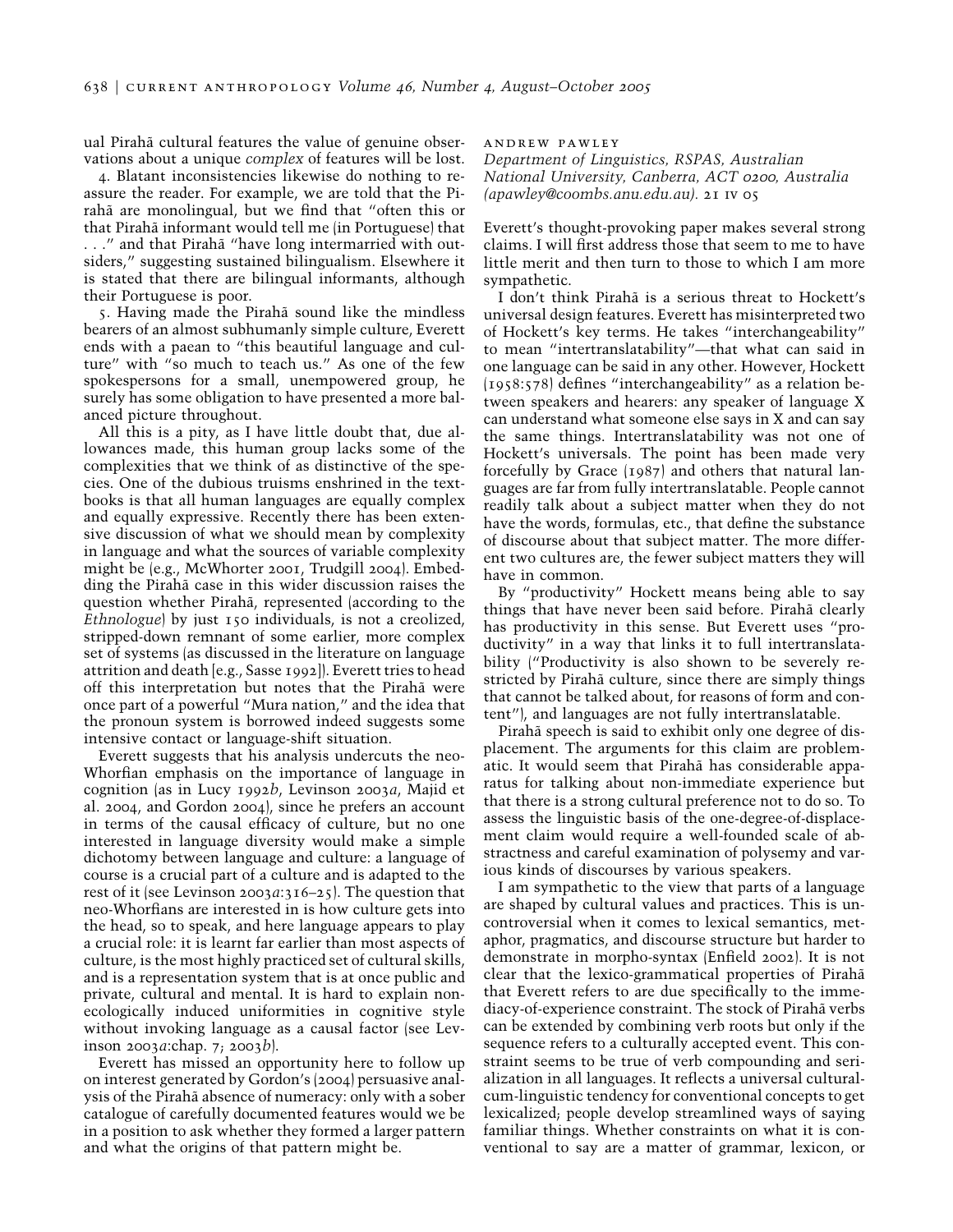ual Pirahã cultural features the value of genuine observations about a unique *complex* of features will be lost.

4. Blatant inconsistencies likewise do nothing to reassure the reader. For example, we are told that the Pirahã are monolingual, but we find that "often this or that Pirahã informant would tell me (in Portuguese) that ..." and that Pirahã "have long intermarried with outsiders," suggesting sustained bilingualism. Elsewhere it is stated that there are bilingual informants, although their Portuguese is poor.

5. Having made the Pirahã sound like the mindless bearers of an almost subhumanly simple culture, Everett ends with a paean to "this beautiful language and culture" with "so much to teach us." As one of the few spokespersons for a small, unempowered group, he surely has some obligation to have presented a more balanced picture throughout.

All this is a pity, as I have little doubt that, due allowances made, this human group lacks some of the complexities that we think of as distinctive of the species. One of the dubious truisms enshrined in the textbooks is that all human languages are equally complex and equally expressive. Recently there has been extensive discussion of what we should mean by complexity in language and what the sources of variable complexity might be (e.g., McWhorter 2001, Trudgill 2004). Embedding the Piraha case in this wider discussion raises the question whether Pirahã, represented (according to the *Ethnologue*) by just 150 individuals, is not a creolized, stripped-down remnant of some earlier, more complex set of systems (as discussed in the literature on language attrition and death [e.g., Sasse 1992]). Everett tries to head off this interpretation but notes that the Piraha were once part of a powerful "Mura nation," and the idea that the pronoun system is borrowed indeed suggests some intensive contact or language-shift situation.

Everett suggests that his analysis undercuts the neo-Whorfian emphasis on the importance of language in cognition (as in Lucy 1992*b*, Levinson 2003*a*, Majid et al. 2004, and Gordon 2004), since he prefers an account in terms of the causal efficacy of culture, but no one interested in language diversity would make a simple dichotomy between language and culture: a language of course is a crucial part of a culture and is adapted to the rest of it (see Levinson 2003*a*:316–25). The question that neo-Whorfians are interested in is how culture gets into the head, so to speak, and here language appears to play a crucial role: it is learnt far earlier than most aspects of culture, is the most highly practiced set of cultural skills, and is a representation system that is at once public and private, cultural and mental. It is hard to explain nonecologically induced uniformities in cognitive style without invoking language as a causal factor (see Levinson 2003*a*:chap. 7; 2003*b*).

Everett has missed an opportunity here to follow up on interest generated by Gordon's (2004) persuasive analysis of the Pirahã absence of numeracy: only with a sober catalogue of carefully documented features would we be in a position to ask whether they formed a larger pattern and what the origins of that pattern might be.

andrew pawley

*Department of Linguistics, RSPAS, Australian National University, Canberra, ACT* <sup>0200</sup>*, Australia (apawley@coombs.anu.edu.au).* 21 iv 05

Everett's thought-provoking paper makes several strong claims. I will first address those that seem to me to have little merit and then turn to those to which I am more sympathetic.

I don't think Pirahã is a serious threat to Hockett's universal design features. Everett has misinterpreted two of Hockett's key terms. He takes "interchangeability" to mean "intertranslatability"—that what can said in one language can be said in any other. However, Hockett (1958:578) defines "interchangeability" as a relation between speakers and hearers: any speaker of language X can understand what someone else says in X and can say the same things. Intertranslatability was not one of Hockett's universals. The point has been made very forcefully by Grace (1987) and others that natural languages are far from fully intertranslatable. People cannot readily talk about a subject matter when they do not have the words, formulas, etc., that define the substance of discourse about that subject matter. The more different two cultures are, the fewer subject matters they will have in common.

By "productivity" Hockett means being able to say things that have never been said before. Pirahã clearly has productivity in this sense. But Everett uses "productivity" in a way that links it to full intertranslatability ("Productivity is also shown to be severely restricted by Pirahã culture, since there are simply things that cannot be talked about, for reasons of form and content"), and languages are not fully intertranslatable.

Pirahã speech is said to exhibit only one degree of displacement. The arguments for this claim are problematic. It would seem that Piraha has considerable apparatus for talking about non-immediate experience but that there is a strong cultural preference not to do so. To assess the linguistic basis of the one-degree-of-displacement claim would require a well-founded scale of abstractness and careful examination of polysemy and various kinds of discourses by various speakers.

I am sympathetic to the view that parts of a language are shaped by cultural values and practices. This is uncontroversial when it comes to lexical semantics, metaphor, pragmatics, and discourse structure but harder to demonstrate in morpho-syntax (Enfield 2002). It is not clear that the lexico-grammatical properties of Pirahã that Everett refers to are due specifically to the immediacy-of-experience constraint. The stock of Pirahã verbs can be extended by combining verb roots but only if the sequence refers to a culturally accepted event. This constraint seems to be true of verb compounding and serialization in all languages. It reflects a universal culturalcum-linguistic tendency for conventional concepts to get lexicalized; people develop streamlined ways of saying familiar things. Whether constraints on what it is conventional to say are a matter of grammar, lexicon, or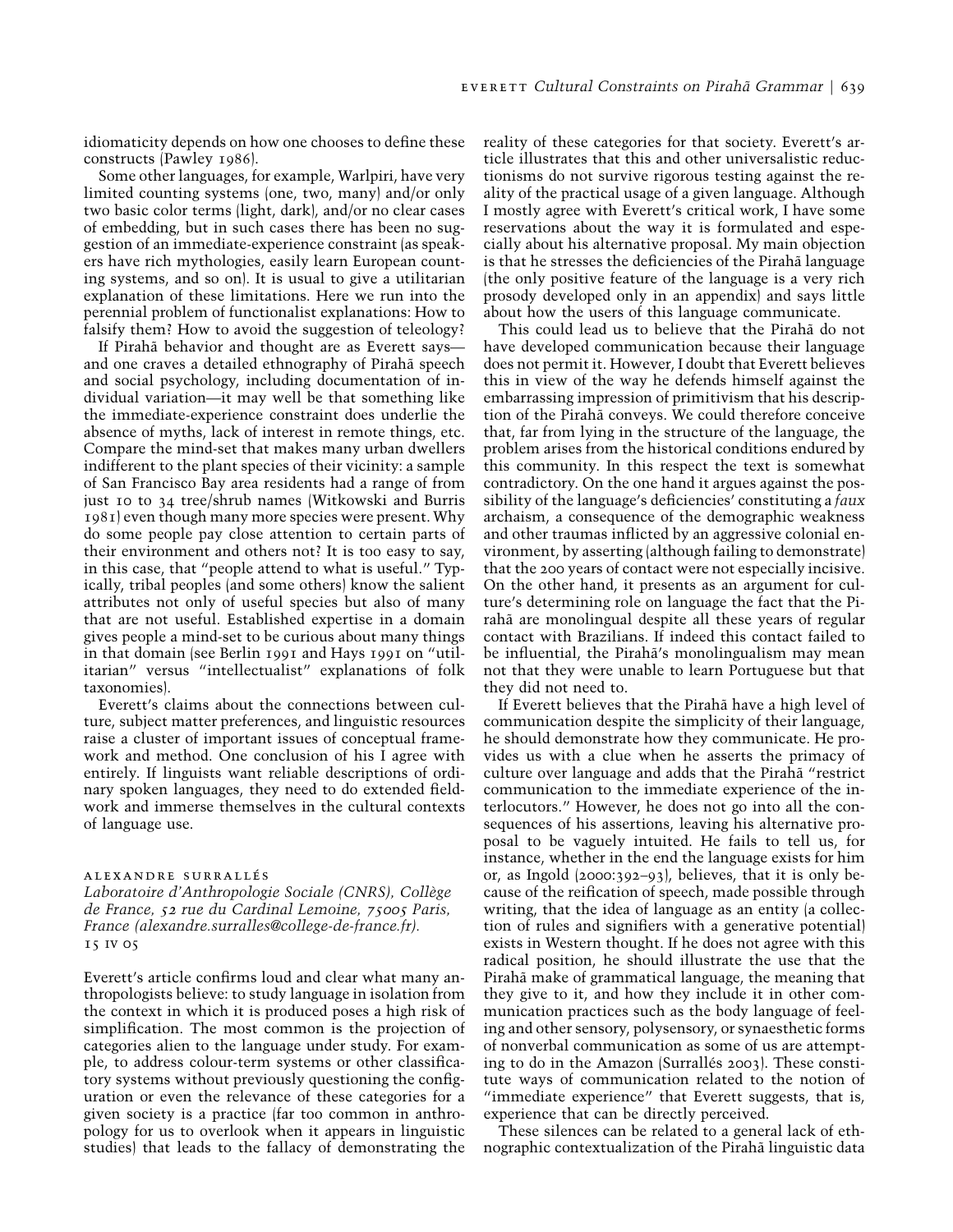idiomaticity depends on how one chooses to define these constructs (Pawley 1986).

Some other languages, for example, Warlpiri, have very limited counting systems (one, two, many) and/or only two basic color terms (light, dark), and/or no clear cases of embedding, but in such cases there has been no suggestion of an immediate-experience constraint (as speakers have rich mythologies, easily learn European counting systems, and so on). It is usual to give a utilitarian explanation of these limitations. Here we run into the perennial problem of functionalist explanations: How to falsify them? How to avoid the suggestion of teleology?

If Pirahã behavior and thought are as Everett says and one craves a detailed ethnography of Pirahã speech and social psychology, including documentation of individual variation—it may well be that something like the immediate-experience constraint does underlie the absence of myths, lack of interest in remote things, etc. Compare the mind-set that makes many urban dwellers indifferent to the plant species of their vicinity: a sample of San Francisco Bay area residents had a range of from just 10 to 34 tree/shrub names (Witkowski and Burris 1981) even though many more species were present. Why do some people pay close attention to certain parts of their environment and others not? It is too easy to say, in this case, that "people attend to what is useful." Typically, tribal peoples (and some others) know the salient attributes not only of useful species but also of many that are not useful. Established expertise in a domain gives people a mind-set to be curious about many things in that domain (see Berlin 1991 and Hays 1991 on "utilitarian" versus "intellectualist" explanations of folk taxonomies).

Everett's claims about the connections between culture, subject matter preferences, and linguistic resources raise a cluster of important issues of conceptual framework and method. One conclusion of his I agree with entirely. If linguists want reliable descriptions of ordinary spoken languages, they need to do extended fieldwork and immerse themselves in the cultural contexts of language use.

#### ALEXANDRE SURRALLÉS

*Laboratoire d'Anthropologie Sociale (CNRS), Colle`ge de France,* <sup>52</sup> *rue du Cardinal Lemoine,* <sup>75005</sup> *Paris, France (alexandre.surralles@college-de-france.fr).* 15 iv 05

Everett's article confirms loud and clear what many anthropologists believe: to study language in isolation from the context in which it is produced poses a high risk of simplification. The most common is the projection of categories alien to the language under study. For example, to address colour-term systems or other classificatory systems without previously questioning the configuration or even the relevance of these categories for a given society is a practice (far too common in anthropology for us to overlook when it appears in linguistic studies) that leads to the fallacy of demonstrating the reality of these categories for that society. Everett's article illustrates that this and other universalistic reductionisms do not survive rigorous testing against the reality of the practical usage of a given language. Although I mostly agree with Everett's critical work, I have some reservations about the way it is formulated and especially about his alternative proposal. My main objection is that he stresses the deficiencies of the Piraha language (the only positive feature of the language is a very rich prosody developed only in an appendix) and says little about how the users of this language communicate.

This could lead us to believe that the Pirahã do not have developed communication because their language does not permit it. However, I doubt that Everett believes this in view of the way he defends himself against the embarrassing impression of primitivism that his description of the Pirahã conveys. We could therefore conceive that, far from lying in the structure of the language, the problem arises from the historical conditions endured by this community. In this respect the text is somewhat contradictory. On the one hand it argues against the possibility of the language's deficiencies' constituting a *faux* archaism, a consequence of the demographic weakness and other traumas inflicted by an aggressive colonial environment, by asserting (although failing to demonstrate) that the 200 years of contact were not especially incisive. On the other hand, it presents as an argument for culture's determining role on language the fact that the Pirahã are monolingual despite all these years of regular contact with Brazilians. If indeed this contact failed to be influential, the Piraha<sup>'</sup>s monolingualism may mean not that they were unable to learn Portuguese but that they did not need to.

If Everett believes that the Pirahã have a high level of communication despite the simplicity of their language, he should demonstrate how they communicate. He provides us with a clue when he asserts the primacy of culture over language and adds that the Piraha<sup>"</sup> restrict communication to the immediate experience of the interlocutors." However, he does not go into all the consequences of his assertions, leaving his alternative proposal to be vaguely intuited. He fails to tell us, for instance, whether in the end the language exists for him or, as Ingold (2000:392–93), believes, that it is only because of the reification of speech, made possible through writing, that the idea of language as an entity (a collection of rules and signifiers with a generative potential) exists in Western thought. If he does not agree with this radical position, he should illustrate the use that the Pirahã make of grammatical language, the meaning that they give to it, and how they include it in other communication practices such as the body language of feeling and other sensory, polysensory, or synaesthetic forms of nonverbal communication as some of us are attempting to do in the Amazon (Surrallés 2003). These constitute ways of communication related to the notion of "immediate experience" that Everett suggests, that is, experience that can be directly perceived.

These silences can be related to a general lack of ethnographic contextualization of the Piraha linguistic data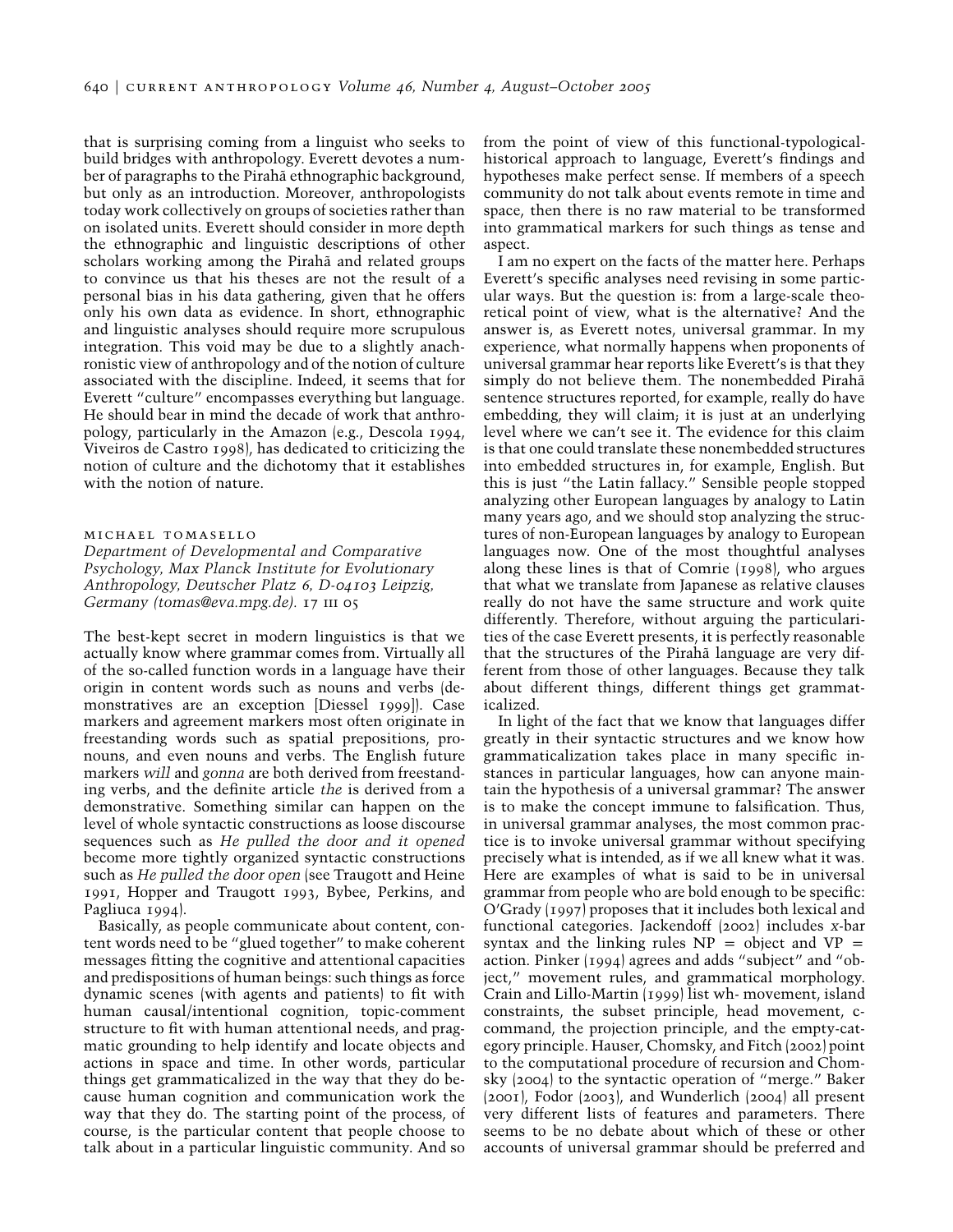that is surprising coming from a linguist who seeks to build bridges with anthropology. Everett devotes a number of paragraphs to the Pirahã ethnographic background, but only as an introduction. Moreover, anthropologists today work collectively on groups of societies rather than on isolated units. Everett should consider in more depth the ethnographic and linguistic descriptions of other scholars working among the Piraha and related groups to convince us that his theses are not the result of a personal bias in his data gathering, given that he offers only his own data as evidence. In short, ethnographic and linguistic analyses should require more scrupulous integration. This void may be due to a slightly anachronistic view of anthropology and of the notion of culture associated with the discipline. Indeed, it seems that for Everett "culture" encompasses everything but language. He should bear in mind the decade of work that anthropology, particularly in the Amazon (e.g., Descola 1994, Viveiros de Castro 1998), has dedicated to criticizing the notion of culture and the dichotomy that it establishes with the notion of nature.

#### michael tomasello

*Department of Developmental and Comparative Psychology, Max Planck Institute for Evolutionary Anthropology, Deutscher Platz* <sup>6</sup>*, D-*<sup>04103</sup> *Leipzig, Germany (tomas@eva.mpg.de).* 17 iii 05

The best-kept secret in modern linguistics is that we actually know where grammar comes from. Virtually all of the so-called function words in a language have their origin in content words such as nouns and verbs (demonstratives are an exception [Diessel 1999]). Case markers and agreement markers most often originate in freestanding words such as spatial prepositions, pronouns, and even nouns and verbs. The English future markers *will* and *gonna* are both derived from freestanding verbs, and the definite article *the* is derived from a demonstrative. Something similar can happen on the level of whole syntactic constructions as loose discourse sequences such as *He pulled the door and it opened* become more tightly organized syntactic constructions such as *He pulled the door open* (see Traugott and Heine 1991, Hopper and Traugott 1993, Bybee, Perkins, and Pagliuca 1994).

Basically, as people communicate about content, content words need to be "glued together" to make coherent messages fitting the cognitive and attentional capacities and predispositions of human beings: such things as force dynamic scenes (with agents and patients) to fit with human causal/intentional cognition, topic-comment structure to fit with human attentional needs, and pragmatic grounding to help identify and locate objects and actions in space and time. In other words, particular things get grammaticalized in the way that they do because human cognition and communication work the way that they do. The starting point of the process, of course, is the particular content that people choose to talk about in a particular linguistic community. And so from the point of view of this functional-typologicalhistorical approach to language, Everett's findings and hypotheses make perfect sense. If members of a speech community do not talk about events remote in time and space, then there is no raw material to be transformed into grammatical markers for such things as tense and aspect.

I am no expert on the facts of the matter here. Perhaps Everett's specific analyses need revising in some particular ways. But the question is: from a large-scale theoretical point of view, what is the alternative? And the answer is, as Everett notes, universal grammar. In my experience, what normally happens when proponents of universal grammar hear reports like Everett's is that they simply do not believe them. The nonembedded Pirahã sentence structures reported, for example, really do have embedding, they will claim; it is just at an underlying level where we can't see it. The evidence for this claim is that one could translate these nonembedded structures into embedded structures in, for example, English. But this is just "the Latin fallacy." Sensible people stopped analyzing other European languages by analogy to Latin many years ago, and we should stop analyzing the structures of non-European languages by analogy to European languages now. One of the most thoughtful analyses along these lines is that of Comrie (1998), who argues that what we translate from Japanese as relative clauses really do not have the same structure and work quite differently. Therefore, without arguing the particularities of the case Everett presents, it is perfectly reasonable that the structures of the Piraha language are very different from those of other languages. Because they talk about different things, different things get grammaticalized.

In light of the fact that we know that languages differ greatly in their syntactic structures and we know how grammaticalization takes place in many specific instances in particular languages, how can anyone maintain the hypothesis of a universal grammar? The answer is to make the concept immune to falsification. Thus, in universal grammar analyses, the most common practice is to invoke universal grammar without specifying precisely what is intended, as if we all knew what it was. Here are examples of what is said to be in universal grammar from people who are bold enough to be specific: O'Grady (1997) proposes that it includes both lexical and functional categories. Jackendoff (2002) includes *x*-bar syntax and the linking rules  $NP = object$  and  $VP =$ action. Pinker (1994) agrees and adds "subject" and "object," movement rules, and grammatical morphology. Crain and Lillo-Martin (1999) list wh- movement, island constraints, the subset principle, head movement, ccommand, the projection principle, and the empty-category principle. Hauser, Chomsky, and Fitch (2002) point to the computational procedure of recursion and Chomsky (2004) to the syntactic operation of "merge." Baker (2001), Fodor (2003), and Wunderlich (2004) all present very different lists of features and parameters. There seems to be no debate about which of these or other accounts of universal grammar should be preferred and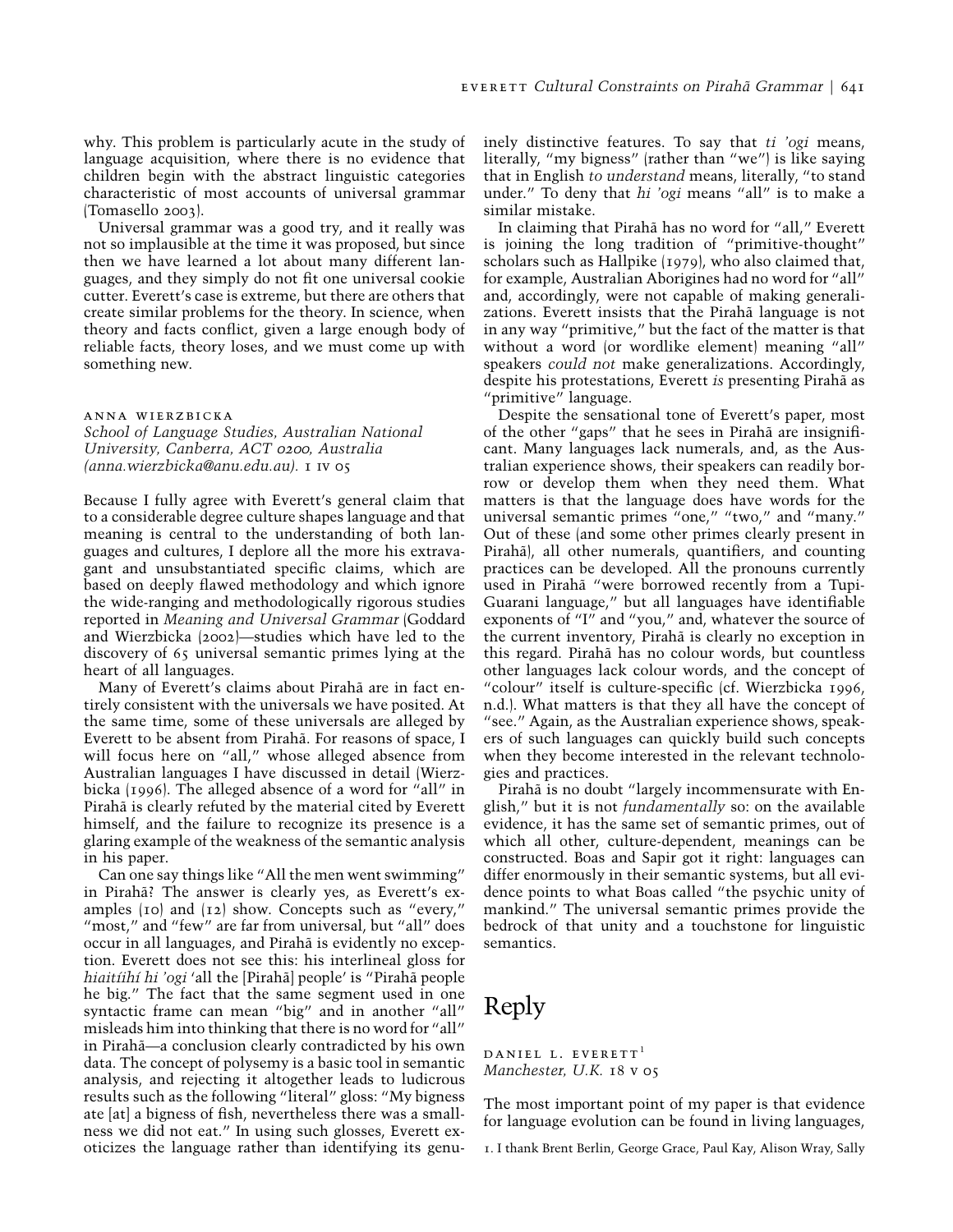why. This problem is particularly acute in the study of language acquisition, where there is no evidence that children begin with the abstract linguistic categories characteristic of most accounts of universal grammar (Tomasello 2003).

Universal grammar was a good try, and it really was not so implausible at the time it was proposed, but since then we have learned a lot about many different languages, and they simply do not fit one universal cookie cutter. Everett's case is extreme, but there are others that create similar problems for the theory. In science, when theory and facts conflict, given a large enough body of reliable facts, theory loses, and we must come up with something new.

#### anna wierzbicka

*School of Language Studies, Australian National University, Canberra, ACT* <sup>0200</sup>*, Australia (anna.wierzbicka@anu.edu.au).* 1 iv 05

Because I fully agree with Everett's general claim that to a considerable degree culture shapes language and that meaning is central to the understanding of both languages and cultures, I deplore all the more his extravagant and unsubstantiated specific claims, which are based on deeply flawed methodology and which ignore the wide-ranging and methodologically rigorous studies reported in *Meaning and Universal Grammar* (Goddard and Wierzbicka (2002)—studies which have led to the discovery of 65 universal semantic primes lying at the heart of all languages.

Many of Everett's claims about Pirahã are in fact entirely consistent with the universals we have posited. At the same time, some of these universals are alleged by Everett to be absent from Pirahã. For reasons of space, I will focus here on "all," whose alleged absence from Australian languages I have discussed in detail (Wierzbicka (1996). The alleged absence of a word for "all" in Pirahã is clearly refuted by the material cited by Everett himself, and the failure to recognize its presence is a glaring example of the weakness of the semantic analysis in his paper.

Can one say things like "All the men went swimming" in Pirahã? The answer is clearly yes, as Everett's examples (10) and (12) show. Concepts such as "every," "most," and "few" are far from universal, but "all" does occur in all languages, and Pirahã is evidently no exception. Everett does not see this: his interlineal gloss for *hiaitiihi hi 'ogi* 'all the [Pirahă] people' is "Pirahă people he big." The fact that the same segment used in one syntactic frame can mean "big" and in another "all" misleads him into thinking that there is no word for "all" in Pirahã—a conclusion clearly contradicted by his own data. The concept of polysemy is a basic tool in semantic analysis, and rejecting it altogether leads to ludicrous results such as the following "literal" gloss: "My bigness ate [at] a bigness of fish, nevertheless there was a smallness we did not eat." In using such glosses, Everett exoticizes the language rather than identifying its genuinely distinctive features. To say that *ti 'ogi* means, literally, "my bigness" (rather than "we") is like saying that in English *to understand* means, literally, "to stand under." To deny that *hi 'ogi* means "all" is to make a similar mistake.

In claiming that Pirahã has no word for "all," Everett is joining the long tradition of "primitive-thought" scholars such as Hallpike (1979), who also claimed that, for example, Australian Aborigines had no word for "all" and, accordingly, were not capable of making generalizations. Everett insists that the Pirahã language is not in any way "primitive," but the fact of the matter is that without a word (or wordlike element) meaning "all" speakers *could not* make generalizations. Accordingly, despite his protestations, Everett *is* presenting Pirahã as "primitive" language.

Despite the sensational tone of Everett's paper, most of the other "gaps" that he sees in Pirahã are insignificant. Many languages lack numerals, and, as the Australian experience shows, their speakers can readily borrow or develop them when they need them. What matters is that the language does have words for the universal semantic primes "one," "two," and "many." Out of these (and some other primes clearly present in Pirahã), all other numerals, quantifiers, and counting practices can be developed. All the pronouns currently used in Pirahã "were borrowed recently from a Tupi-Guarani language," but all languages have identifiable exponents of "I" and "you," and, whatever the source of the current inventory, Pirahã is clearly no exception in this regard. Pirahã has no colour words, but countless other languages lack colour words, and the concept of "colour" itself is culture-specific (cf. Wierzbicka 1996, n.d.). What matters is that they all have the concept of "see." Again, as the Australian experience shows, speakers of such languages can quickly build such concepts when they become interested in the relevant technologies and practices.

Pirahã is no doubt "largely incommensurate with English," but it is not *fundamentally* so: on the available evidence, it has the same set of semantic primes, out of which all other, culture-dependent, meanings can be constructed. Boas and Sapir got it right: languages can differ enormously in their semantic systems, but all evidence points to what Boas called "the psychic unity of mankind." The universal semantic primes provide the bedrock of that unity and a touchstone for linguistic semantics.

### Reply

DANIEL L. EVERETT<sup>1</sup> *Manchester, U.K.* 18 v 05

The most important point of my paper is that evidence for language evolution can be found in living languages,

1. I thank Brent Berlin, George Grace, Paul Kay, Alison Wray, Sally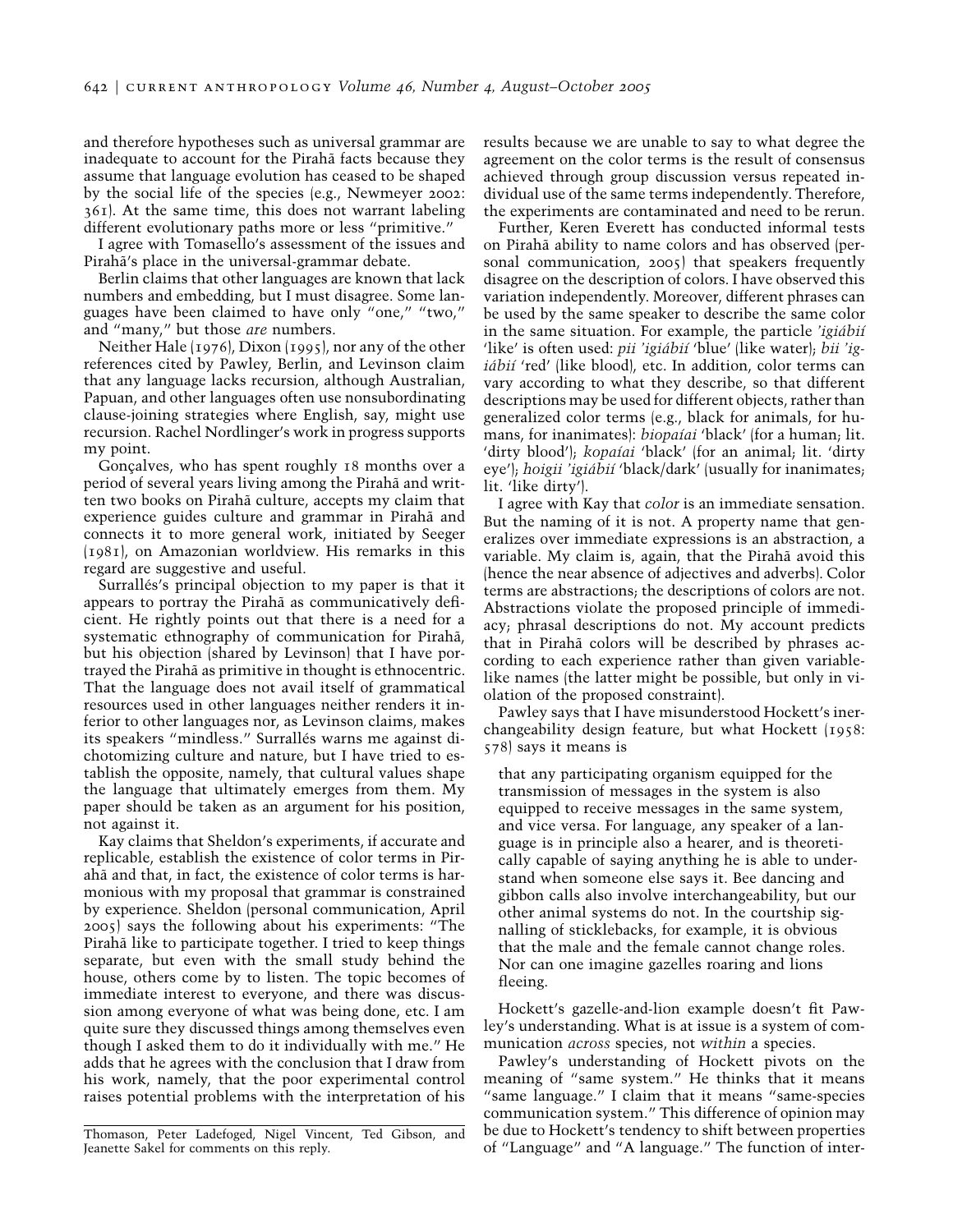and therefore hypotheses such as universal grammar are inadequate to account for the Piraha facts because they assume that language evolution has ceased to be shaped by the social life of the species (e.g., Newmeyer 2002: 361). At the same time, this does not warrant labeling different evolutionary paths more or less "primitive."

I agree with Tomasello's assessment of the issues and Pirahã's place in the universal-grammar debate.

Berlin claims that other languages are known that lack numbers and embedding, but I must disagree. Some languages have been claimed to have only "one," "two," and "many," but those *are* numbers.

Neither Hale (1976), Dixon (1995), nor any of the other references cited by Pawley, Berlin, and Levinson claim that any language lacks recursion, although Australian, Papuan, and other languages often use nonsubordinating clause-joining strategies where English, say, might use recursion. Rachel Nordlinger's work in progress supports my point.

Goncalves, who has spent roughly 18 months over a period of several years living among the Piraha and written two books on Pirahã culture, accepts my claim that experience guides culture and grammar in Pirahã and connects it to more general work, initiated by Seeger (1981), on Amazonian worldview. His remarks in this regard are suggestive and useful.

Surrallés's principal objection to my paper is that it appears to portray the Pirahã as communicatively deficient. He rightly points out that there is a need for a systematic ethnography of communication for Pirahã, but his objection (shared by Levinson) that I have portrayed the Pirahã as primitive in thought is ethnocentric. That the language does not avail itself of grammatical resources used in other languages neither renders it inferior to other languages nor, as Levinson claims, makes its speakers "mindless." Surrallés warns me against dichotomizing culture and nature, but I have tried to establish the opposite, namely, that cultural values shape the language that ultimately emerges from them. My paper should be taken as an argument for his position, not against it.

Kay claims that Sheldon's experiments, if accurate and replicable, establish the existence of color terms in Pirahã and that, in fact, the existence of color terms is harmonious with my proposal that grammar is constrained by experience. Sheldon (personal communication, April 2005) says the following about his experiments: "The Pirahã like to participate together. I tried to keep things separate, but even with the small study behind the house, others come by to listen. The topic becomes of immediate interest to everyone, and there was discussion among everyone of what was being done, etc. I am quite sure they discussed things among themselves even though I asked them to do it individually with me." He adds that he agrees with the conclusion that I draw from his work, namely, that the poor experimental control raises potential problems with the interpretation of his results because we are unable to say to what degree the agreement on the color terms is the result of consensus achieved through group discussion versus repeated individual use of the same terms independently. Therefore, the experiments are contaminated and need to be rerun.

Further, Keren Everett has conducted informal tests on Pirahã ability to name colors and has observed (personal communication, 2005) that speakers frequently disagree on the description of colors. I have observed this variation independently. Moreover, different phrases can be used by the same speaker to describe the same color in the same situation. For example, the particle *'igiábií* 'like' is often used: *pii 'igiábií* 'blue' (like water); *bii 'igiábií* 'red' (like blood), etc. In addition, color terms can vary according to what they describe, so that different descriptions may be used for different objects, rather than generalized color terms (e.g., black for animals, for humans, for inanimates): *biopaíai* 'black' (for a human; lit. 'dirty blood'); *kopaíai* 'black' (for an animal; lit. 'dirty eye'); *hoigii 'igiábií* 'black/dark' (usually for inanimates; lit. 'like dirty').

I agree with Kay that *color* is an immediate sensation. But the naming of it is not. A property name that generalizes over immediate expressions is an abstraction, a variable. My claim is, again, that the Pirahã avoid this (hence the near absence of adjectives and adverbs). Color terms are abstractions; the descriptions of colors are not. Abstractions violate the proposed principle of immediacy; phrasal descriptions do not. My account predicts that in Pirahã colors will be described by phrases according to each experience rather than given variablelike names (the latter might be possible, but only in violation of the proposed constraint).

Pawley says that I have misunderstood Hockett's inerchangeability design feature, but what Hockett (1958: 578) says it means is

that any participating organism equipped for the transmission of messages in the system is also equipped to receive messages in the same system, and vice versa. For language, any speaker of a language is in principle also a hearer, and is theoretically capable of saying anything he is able to understand when someone else says it. Bee dancing and gibbon calls also involve interchangeability, but our other animal systems do not. In the courtship signalling of sticklebacks, for example, it is obvious that the male and the female cannot change roles. Nor can one imagine gazelles roaring and lions fleeing.

Hockett's gazelle-and-lion example doesn't fit Pawley's understanding. What is at issue is a system of communication *across* species, not *within* a species.

Pawley's understanding of Hockett pivots on the meaning of "same system." He thinks that it means "same language." I claim that it means "same-species communication system." This difference of opinion may be due to Hockett's tendency to shift between properties of "Language" and "A language." The function of inter-

Thomason, Peter Ladefoged, Nigel Vincent, Ted Gibson, and Jeanette Sakel for comments on this reply.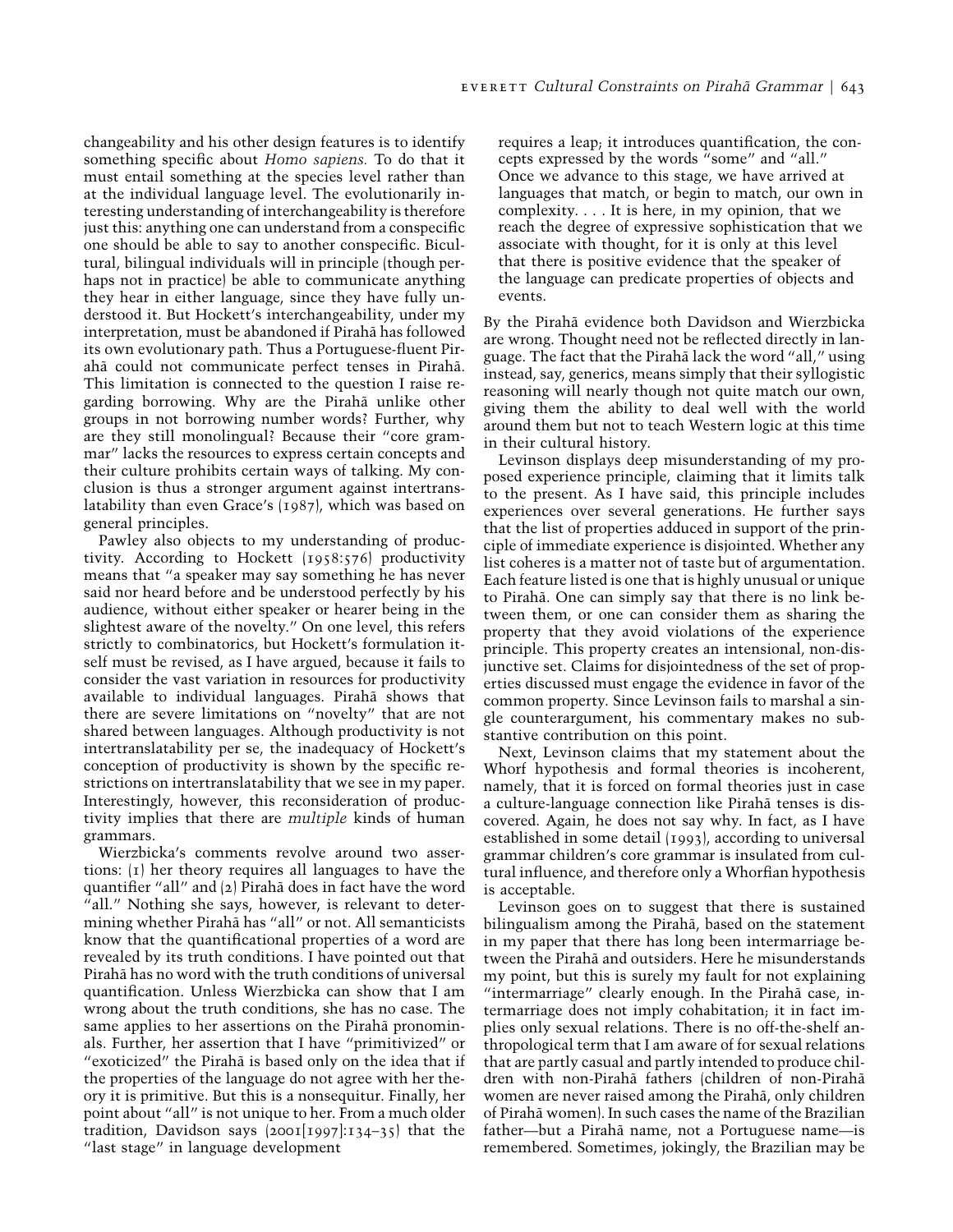changeability and his other design features is to identify something specific about *Homo sapiens.* To do that it must entail something at the species level rather than at the individual language level. The evolutionarily interesting understanding of interchangeability is therefore just this: anything one can understand from a conspecific one should be able to say to another conspecific. Bicultural, bilingual individuals will in principle (though perhaps not in practice) be able to communicate anything they hear in either language, since they have fully understood it. But Hockett's interchangeability, under my interpretation, must be abandoned if Pirahã has followed its own evolutionary path. Thus a Portuguese-fluent Pirahã could not communicate perfect tenses in Pirahã. This limitation is connected to the question I raise regarding borrowing. Why are the Piraha unlike other groups in not borrowing number words? Further, why are they still monolingual? Because their "core grammar" lacks the resources to express certain concepts and their culture prohibits certain ways of talking. My conclusion is thus a stronger argument against intertranslatability than even Grace's (1987), which was based on general principles.

Pawley also objects to my understanding of productivity. According to Hockett (1958:576) productivity means that "a speaker may say something he has never said nor heard before and be understood perfectly by his audience, without either speaker or hearer being in the slightest aware of the novelty." On one level, this refers strictly to combinatorics, but Hockett's formulation itself must be revised, as I have argued, because it fails to consider the vast variation in resources for productivity available to individual languages. Pirahã shows that there are severe limitations on "novelty" that are not shared between languages. Although productivity is not intertranslatability per se, the inadequacy of Hockett's conception of productivity is shown by the specific restrictions on intertranslatability that we see in my paper. Interestingly, however, this reconsideration of productivity implies that there are *multiple* kinds of human grammars.

Wierzbicka's comments revolve around two assertions: (1) her theory requires all languages to have the quantifier "all" and (2) Pirahã does in fact have the word "all." Nothing she says, however, is relevant to determining whether Pirahã has "all" or not. All semanticists know that the quantificational properties of a word are revealed by its truth conditions. I have pointed out that Pirahã has no word with the truth conditions of universal quantification. Unless Wierzbicka can show that I am wrong about the truth conditions, she has no case. The same applies to her assertions on the Piraha pronominals. Further, her assertion that I have "primitivized" or "exoticized" the Pirahã is based only on the idea that if the properties of the language do not agree with her theory it is primitive. But this is a nonsequitur. Finally, her point about "all" is not unique to her. From a much older tradition, Davidson says  $(2001[1997]:134-35)$  that the "last stage" in language development

requires a leap; it introduces quantification, the concepts expressed by the words "some" and "all." Once we advance to this stage, we have arrived at languages that match, or begin to match, our own in complexity. . . . It is here, in my opinion, that we reach the degree of expressive sophistication that we associate with thought, for it is only at this level that there is positive evidence that the speaker of the language can predicate properties of objects and events.

By the Pirahã evidence both Davidson and Wierzbicka are wrong. Thought need not be reflected directly in language. The fact that the Pirahã lack the word "all," using instead, say, generics, means simply that their syllogistic reasoning will nearly though not quite match our own, giving them the ability to deal well with the world around them but not to teach Western logic at this time in their cultural history.

Levinson displays deep misunderstanding of my proposed experience principle, claiming that it limits talk to the present. As I have said, this principle includes experiences over several generations. He further says that the list of properties adduced in support of the principle of immediate experience is disjointed. Whether any list coheres is a matter not of taste but of argumentation. Each feature listed is one that is highly unusual or unique to Pirahã. One can simply say that there is no link between them, or one can consider them as sharing the property that they avoid violations of the experience principle. This property creates an intensional, non-disjunctive set. Claims for disjointedness of the set of properties discussed must engage the evidence in favor of the common property. Since Levinson fails to marshal a single counterargument, his commentary makes no substantive contribution on this point.

Next, Levinson claims that my statement about the Whorf hypothesis and formal theories is incoherent, namely, that it is forced on formal theories just in case a culture-language connection like Pirahã tenses is discovered. Again, he does not say why. In fact, as I have established in some detail (1993), according to universal grammar children's core grammar is insulated from cultural influence, and therefore only a Whorfian hypothesis is acceptable.

Levinson goes on to suggest that there is sustained bilingualism among the Pirahã, based on the statement in my paper that there has long been intermarriage between the Pirahã and outsiders. Here he misunderstands my point, but this is surely my fault for not explaining "intermarriage" clearly enough. In the Pirahã case, intermarriage does not imply cohabitation; it in fact implies only sexual relations. There is no off-the-shelf anthropological term that I am aware of for sexual relations that are partly casual and partly intended to produce children with non-Pirahã fathers (children of non-Pirahã women are never raised among the Pirahã, only children of Pirahã women). In such cases the name of the Brazilian father—but a Pirahã name, not a Portuguese name—is remembered. Sometimes, jokingly, the Brazilian may be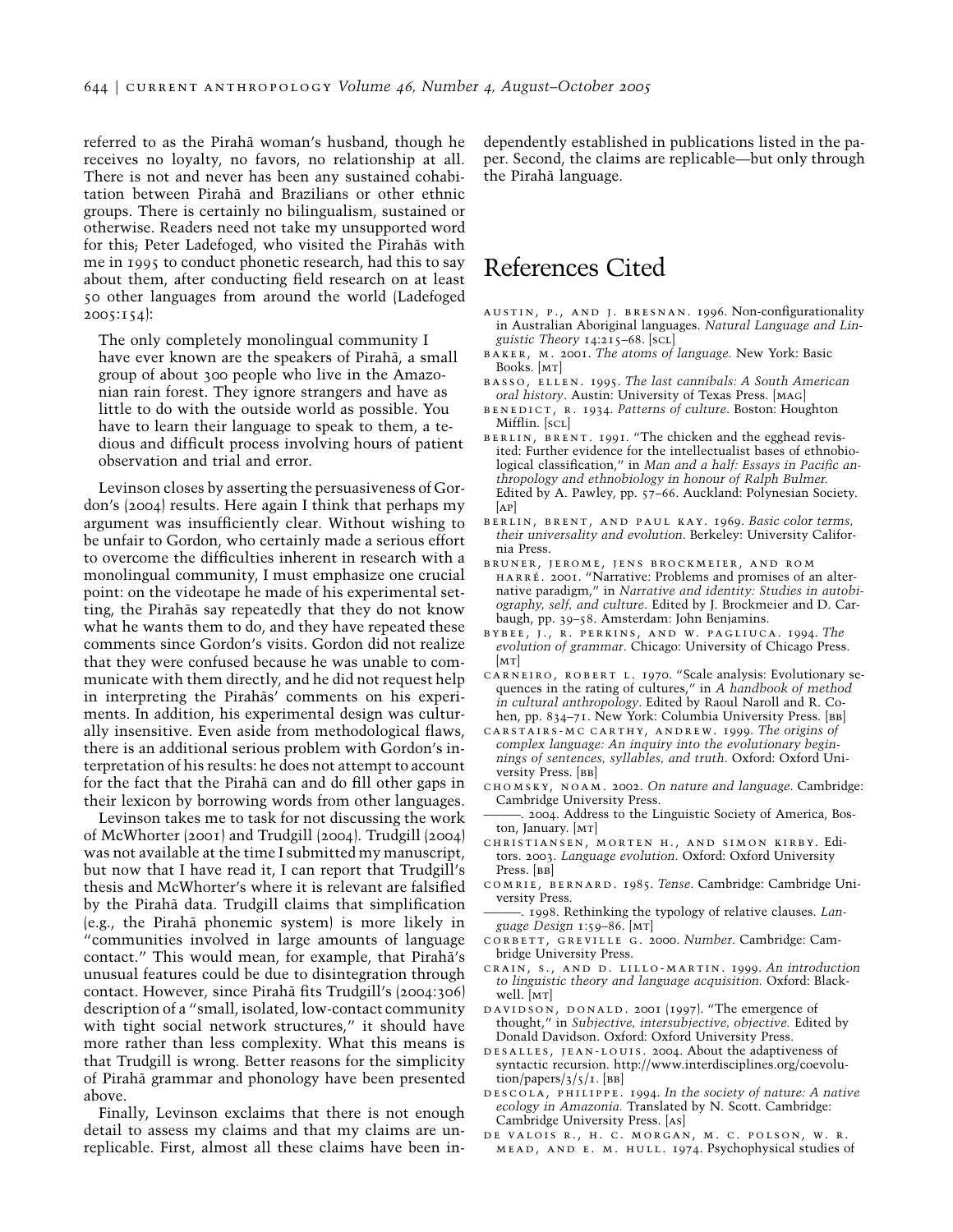referred to as the Piraha woman's husband, though he receives no loyalty, no favors, no relationship at all. There is not and never has been any sustained cohabitation between Pirahã and Brazilians or other ethnic groups. There is certainly no bilingualism, sustained or otherwise. Readers need not take my unsupported word for this; Peter Ladefoged, who visited the Pirahãs with me in 1995 to conduct phonetic research, had this to say about them, after conducting field research on at least 50 other languages from around the world (Ladefoged 2005:154):

The only completely monolingual community I have ever known are the speakers of Pirahã, a small group of about 300 people who live in the Amazonian rain forest. They ignore strangers and have as little to do with the outside world as possible. You have to learn their language to speak to them, a tedious and difficult process involving hours of patient observation and trial and error.

Levinson closes by asserting the persuasiveness of Gordon's (2004) results. Here again I think that perhaps my argument was insufficiently clear. Without wishing to be unfair to Gordon, who certainly made a serious effort to overcome the difficulties inherent in research with a monolingual community, I must emphasize one crucial point: on the videotape he made of his experimental setting, the Pirahãs say repeatedly that they do not know what he wants them to do, and they have repeated these comments since Gordon's visits. Gordon did not realize that they were confused because he was unable to communicate with them directly, and he did not request help in interpreting the Pirahãs' comments on his experiments. In addition, his experimental design was culturally insensitive. Even aside from methodological flaws, there is an additional serious problem with Gordon's interpretation of his results: he does not attempt to account for the fact that the Piraha can and do fill other gaps in their lexicon by borrowing words from other languages.

Levinson takes me to task for not discussing the work of McWhorter (2001) and Trudgill (2004). Trudgill (2004) was not available at the time I submitted my manuscript, but now that I have read it, I can report that Trudgill's thesis and McWhorter's where it is relevant are falsified by the Pirahã data. Trudgill claims that simplification (e.g., the Piraha˜ phonemic system) is more likely in "communities involved in large amounts of language contact." This would mean, for example, that Piraha's unusual features could be due to disintegration through contact. However, since Pirahã fits Trudgill's (2004:306) description of a "small, isolated, low-contact community with tight social network structures," it should have more rather than less complexity. What this means is that Trudgill is wrong. Better reasons for the simplicity of Pirahã grammar and phonology have been presented above.

Finally, Levinson exclaims that there is not enough detail to assess my claims and that my claims are unreplicable. First, almost all these claims have been independently established in publications listed in the paper. Second, the claims are replicable—but only through the Pirahã language.

### References Cited

- austin, p., and j. bresnan. 1996. Non-configurationality in Australian Aboriginal languages. *Natural Language and Linguistic Theory* 14:215–68. [scl]
- baker, m. 2001. *The atoms of language.* New York: Basic Books. [MT]
- basso, ellen. 1995. *The last cannibals: A South American oral history*. Austin: University of Texas Press. [mag]
- benedict, r. 1934. *Patterns of culture*. Boston: Houghton Mifflin. [scɪ.]
- BERLIN, BRENT. 1991. "The chicken and the egghead revisited: Further evidence for the intellectualist bases of ethnobiological classification," in *Man and a half: Essays in Pacific anthropology and ethnobiology in honour of Ralph Bulmer.* Edited by A. Pawley, pp. 57–66. Auckland: Polynesian Society.  $[AP]$
- berlin, brent, and paul kay. 1969. *Basic color terms, their universality and evolution*. Berkeley: University California Press.
- bruner, jerome, jens brockmeier, and rom HARRÉ. 2001. "Narrative: Problems and promises of an alternative paradigm," in *Narrative and identity: Studies in autobiography, self, and culture*. Edited by J. Brockmeier and D. Carbaugh, pp. 39–58. Amsterdam: John Benjamins.
- bybee, j., r. perkins, and w. pagliuca. 1994. *The evolution of grammar*. Chicago: University of Chicago Press.  $\lceil m \rceil$
- carneiro, robert l. 1970. "Scale analysis: Evolutionary sequences in the rating of cultures," in *A handbook of method in cultural anthropology*. Edited by Raoul Naroll and R. Cohen, pp. 834–71. New York: Columbia University Press. [BB]
- carstairs-mc carthy, andrew. 1999. *The origins of complex language: An inquiry into the evolutionary beginnings of sentences, syllables, and truth*. Oxford: Oxford University Press. [bb]
- chomsky, noam. 2002. *On nature and language*. Cambridge: Cambridge University Press.
- ———. 2004. Address to the Linguistic Society of America, Boston, January. [MT]
- christiansen, morten h., and simon kirby. Editors. 2003. *Language evolution*. Oxford: Oxford University Press. [BB]
- comrie, bernard. 1985. *Tense*. Cambridge: Cambridge University Press.
- ———. 1998. Rethinking the typology of relative clauses. *Language Design* 1:59–86. [mt]
- corbett, greville g. 2000. *Number*. Cambridge: Cambridge University Press.
- crain, s., and d. lillo-martin. 1999. *An introduction to linguistic theory and language acquisition.* Oxford: Blackwell. [MT]
- davidson, donald. 2001 (1997). "The emergence of thought," in *Subjective, intersubjective, objective.* Edited by Donald Davidson. Oxford: Oxford University Press.
- desalles, jean-louis. 2004. About the adaptiveness of syntactic recursion. http://www.interdisciplines.org/coevolution/papers/ $3/5/1$ . [BB]
- descola, philippe. 1994. *In the society of nature: A native ecology in Amazonia.* Translated by N. Scott. Cambridge: Cambridge University Press. [as]
- de valois r., h. c. morgan, m. c. polson, w. r. mead, and e. m. hull. 1974. Psychophysical studies of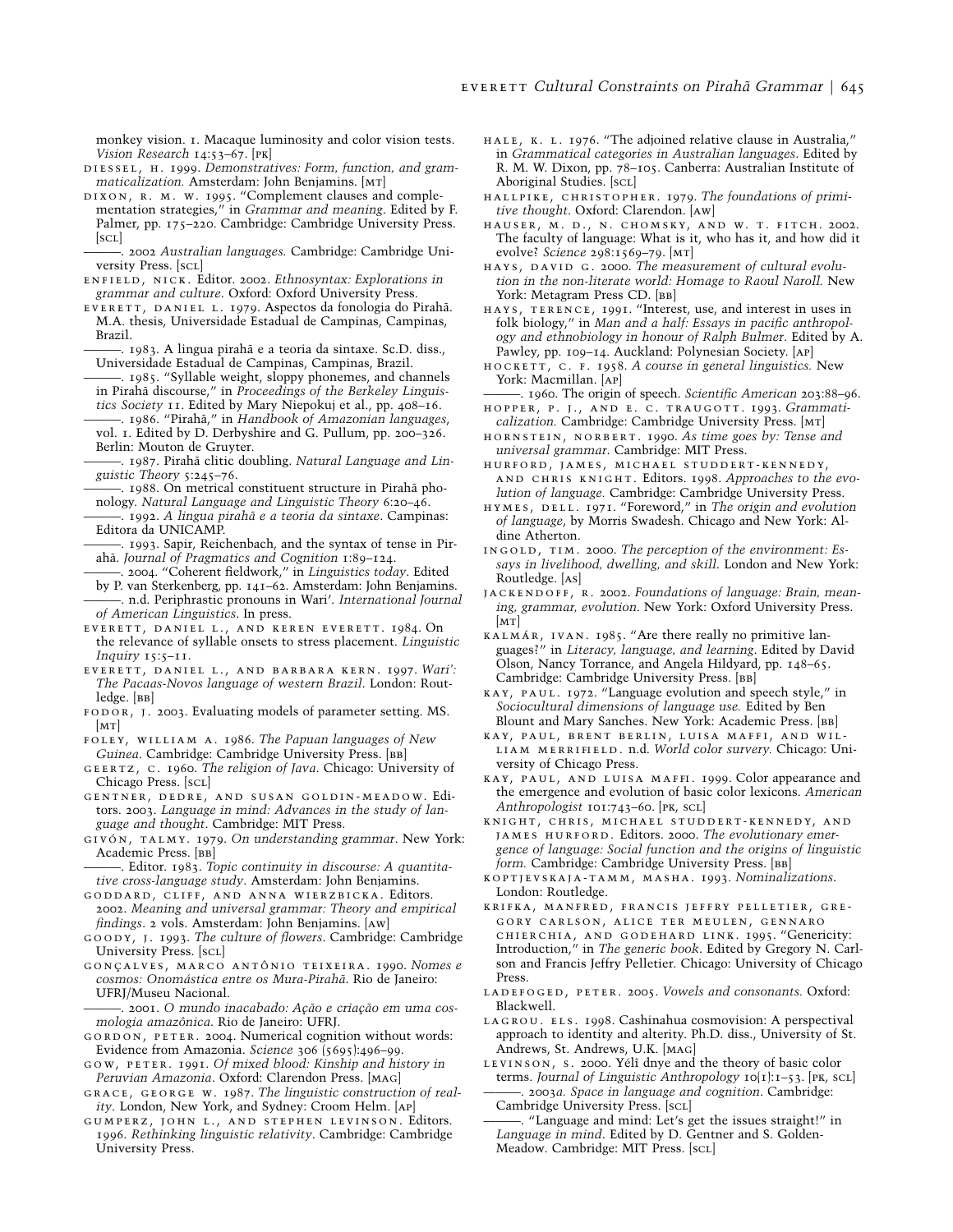monkey vision. 1. Macaque luminosity and color vision tests. *Vision Research* 14:53–67. [pk]

- diessel, h. 1999. *Demonstratives: Form, function, and grammaticalization.* Amsterdam: John Benjamins. [mt]
- DIXON, R. M. W. 1995. "Complement clauses and complementation strategies," in *Grammar and meaning*. Edited by F. Palmer, pp. 175–220. Cambridge: Cambridge University Press. [scl]
- ———. 2002 *Australian languages.* Cambridge: Cambridge University Press. [scL]
- enfield, nick. Editor. 2002. *Ethnosyntax: Explorations in grammar and culture*. Oxford: Oxford University Press.
- EVERETT, DANIEL L. 1979. Aspectos da fonologia do Pirahã. M.A. thesis, Universidade Estadual de Campinas, Campinas, Brazil.
- ———. 1983. A lingua piraha˜ e a teoria da sintaxe. Sc.D. diss., Universidade Estadual de Campinas, Campinas, Brazil.
- ———. 1985. "Syllable weight, sloppy phonemes, and channels in Pirahã discourse," in *Proceedings of the Berkeley Linguistics Society* 11. Edited by Mary Niepokuj et al., pp. 408–16.
- ———. 1986. "Piraha˜," in *Handbook of Amazonian languages*, vol. 1. Edited by D. Derbyshire and G. Pullum, pp. 200–326. Berlin: Mouton de Gruyter.
- -. 1987. Pirahã clitic doubling. *Natural Language and Linguistic Theory* 5:245–76.
- -. 1988. On metrical constituent structure in Pirahã phonology. *Natural Language and Linguistic Theory* 6:20–46.

———. 1992. *A lingua piraha˜ e a teoria da sintaxe*. Campinas: Editora da UNICAMP.

1993. Sapir, Reichenbach, and the syntax of tense in Pirahã. *Journal of Pragmatics and Cognition* 1:89-124.

———. 2004. "Coherent fieldwork," in *Linguistics today*. Edited by P. van Sterkenberg, pp. 141–62. Amsterdam: John Benjamins.

———. n.d. Periphrastic pronouns in Wari'. *International Journal of American Linguistics*. In press.

everett, daniel l., and keren everett. 1984. On the relevance of syllable onsets to stress placement. *Linguistic Inquiry* 15:5–11.

everett, daniel l., and barbara kern. 1997. *Wari': The Pacaas-Novos language of western Brazil*. London: Rout $ledge.$  [ $BB$ ]

- fodor, j. 2003. Evaluating models of parameter setting. MS.  $\lceil m \rceil$
- foley, william a. 1986. *The Papuan languages of New Guinea*. Cambridge: Cambridge University Press. [bb]
- geertz, c. 1960. *The religion of Java*. Chicago: University of Chicago Press. [scl]
- gentner, dedre, and susan goldin-meadow. Editors. 2003. *Language in mind: Advances in the study of language and thought*. Cambridge: MIT Press.

GIVÓN, TALMY. 1979. *On understanding grammar*. New York: Academic Press. [BB]

———. Editor. 1983. *Topic continuity in discourse: A quantitative cross-language study*. Amsterdam: John Benjamins.

goddard, cliff, and anna wierzbicka. Editors. 2002. *Meaning and universal grammar: Theory and empirical findings*. 2 vols. Amsterdam: John Benjamins. [aw]

- goody, j. 1993. *The culture of flowers*. Cambridge: Cambridge University Press. [scl]
- gonc¸ alves, marco antoˆ nio teixeira. 1990. *Nomes e cosmos: Onoma´stica entre os Mura-Piraha˜*. Rio de Janeiro: UFRJ/Museu Nacional.
- ———. 2001. *O mundo inacabado: Ac¸a˜o e criac¸a˜o em uma cosmologia amazoˆnica*. Rio de Janeiro: UFRJ.

gordon, peter. 2004. Numerical cognition without words: Evidence from Amazonia. *Science* 306 (5695):496–99.

gow, peter. 1991. *Of mixed blood: Kinship and history in Peruvian Amazonia*. Oxford: Clarendon Press. [mag]

GRACE, GEORGE W. 1987. The linguistic construction of real*ity*. London, New York, and Sydney: Croom Helm. [ap]

gumperz, john l., and stephen levinson. Editors. 1996. *Rethinking linguistic relativity*. Cambridge: Cambridge University Press.

- HALE, K. L. 1976. "The adjoined relative clause in Australia," in *Grammatical categories in Australian languages*. Edited by R. M. W. Dixon, pp. 78–105. Canberra: Australian Institute of Aboriginal Studies. [scl]
- hallpike, christopher. 1979. *The foundations of primitive thought*. Oxford: Clarendon. [aw]
- hauser, m. d., n. chomsky, and w. t. fitch. 2002. The faculty of language: What is it, who has it, and how did it evolve? *Science* 298:1569–79. [mt]
- hays, david g. 2000. *The measurement of cultural evolution in the non-literate world: Homage to Raoul Naroll.* New York: Metagram Press CD. [BB]
- hays, terence, 1991. "Interest, use, and interest in uses in folk biology," in *Man and a half: Essays in pacific anthropology and ethnobiology in honour of Ralph Bulmer*. Edited by A. Pawley, pp. 109–14. Auckland: Polynesian Society. [ap]
- hockett, c. f. 1958. *A course in general linguistics.* New York: Macmillan. [ap]
- ———. 1960. The origin of speech. *Scientific American* 203:88–96. hopper, p. j., and e. c. traugott. 1993. *Grammati-*
- *calization.* Cambridge: Cambridge University Press. [mt] hornstein, norbert. 1990. *As time goes by: Tense and*

*universal grammar*. Cambridge: MIT Press. hurford, james, michael studdert-kennedy, and chris knight. Editors. 1998. *Approaches to the evolution of language.* Cambridge: Cambridge University Press.

hymes, dell. 1971. "Foreword," in *The origin and evolution of language*, by Morris Swadesh. Chicago and New York: Aldine Atherton.

- ingold, tim. 2000. *The perception of the environment: Essays in livelihood, dwelling, and skill*. London and New York: Routledge. [as]
- jackendoff, r. 2002. *Foundations of language: Brain, meaning, grammar, evolution*. New York: Oxford University Press.  $\lceil m \right]$

 $KALMAR$ , IVAN. 1985. "Are there really no primitive languages?" in *Literacy, language, and learning*. Edited by David Olson, Nancy Torrance, and Angela Hildyard, pp. 148–65. Cambridge: Cambridge University Press. [bb]

- kay, paul. 1972. "Language evolution and speech style," in *Sociocultural dimensions of language use.* Edited by Ben Blount and Mary Sanches. New York: Academic Press. [BB]
- kay, paul, brent berlin, luisa maffi, and william merrifield. n.d. *World color survery.* Chicago: University of Chicago Press.
- kay, paul, and luisa maffi. 1999. Color appearance and the emergence and evolution of basic color lexicons. *American Anthropologist* 101:743–60. [pk, scl]
- knight, chris, michael studdert-kennedy, and james hurford. Editors. 2000. *The evolutionary emergence of language: Social function and the origins of linguistic form.* Cambridge: Cambridge University Press. [bb]
- koptjevskaja-tamm, masha. 1993. *Nominalizations*. London: Routledge.
- krifka, manfred, francis jeffry pelletier, gregory carlson, alice ter meulen, gennaro chierchia, and godehard link. 1995. "Genericity: Introduction," in *The generic book*. Edited by Gregory N. Carlson and Francis Jeffry Pelletier. Chicago: University of Chicago Press.
- ladefoged, peter. 2005. *Vowels and consonants.* Oxford: Blackwell.
- LAGROU. ELS. 1998. Cashinahua cosmovision: A perspectival approach to identity and alterity. Ph.D. diss., University of St. Andrews, St. Andrews, U.K. [mag]

LEVINSON, S. 2000. Yélî dnye and the theory of basic color terms. *Journal of Linguistic Anthropology* 10(1):1–53. [pk, scl] ———. 2003*a. Space in language and cognition*. Cambridge:

Cambridge University Press. [scl] -. "Language and mind: Let's get the issues straight!" in *Language in mind*. Edited by D. Gentner and S. Golden-Meadow. Cambridge: MIT Press. [scl]